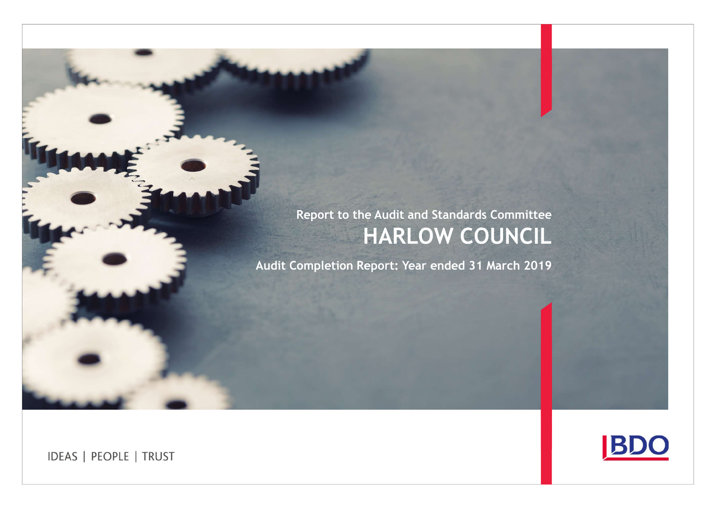# Report to the Audit and Standards Committee HARLOW COUNCIL

Audit Completion Report: Year ended 31 March 2019

**IDEAS | PEOPLE | TRUST** 

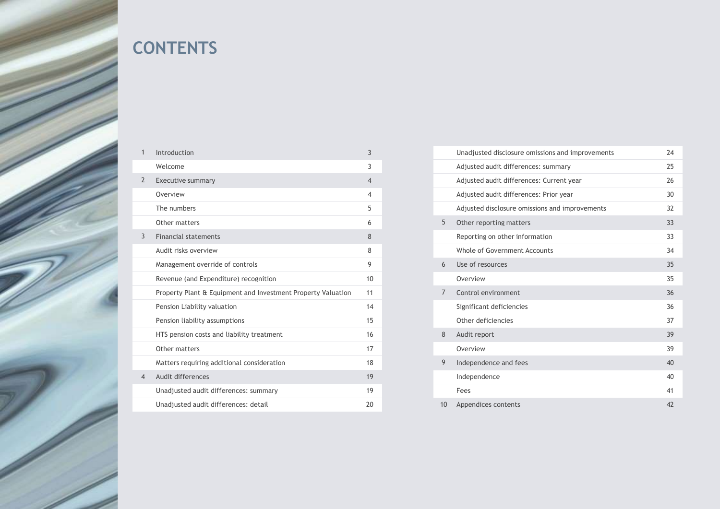

# **CONTENTS**

| 1              | Introduction                                                 | 3              |                | Unadjusted disclosu  |
|----------------|--------------------------------------------------------------|----------------|----------------|----------------------|
|                | Welcome                                                      | 3              |                | Adjusted audit diffe |
| $\overline{2}$ | Executive summary                                            | $\overline{4}$ |                | Adjusted audit diffe |
|                | Overview                                                     | $\overline{4}$ |                | Adjusted audit diffe |
|                | The numbers                                                  | 5              |                | Adjusted disclosure  |
|                | Other matters                                                | 6              | 5              | Other reporting ma   |
| 3              | <b>Financial statements</b>                                  | 8              |                | Reporting on other   |
|                | Audit risks overview                                         | 8              |                | Whole of Governme    |
|                | Management override of controls                              | 9              | 6              | Use of resources     |
|                | Revenue (and Expenditure) recognition                        | 10             |                | Overview             |
|                | Property Plant & Equipment and Investment Property Valuation | 11             | $\overline{7}$ | Control environmen   |
|                | Pension Liability valuation                                  | 14             |                | Significant deficien |
|                | Pension liability assumptions                                | 15             |                | Other deficiencies   |
|                | HTS pension costs and liability treatment                    | 16             | 8              | Audit report         |
|                | Other matters                                                | 17             |                | Overview             |
|                | Matters requiring additional consideration                   | 18             | 9              | Independence and 1   |
| 4              | Audit differences                                            | 19             |                | Independence         |
|                | Unadjusted audit differences: summary                        | 19             |                | Fees                 |
|                | Unadjusted audit differences: detail                         | 20             | 10             | Appendices content   |
|                |                                                              |                |                |                      |

|                | Unadjusted disclosure omissions and improvements | 24 |
|----------------|--------------------------------------------------|----|
|                | Adjusted audit differences: summary              | 25 |
|                | Adjusted audit differences: Current year         | 26 |
|                | Adjusted audit differences: Prior year           | 30 |
|                | Adjusted disclosure omissions and improvements   | 32 |
| 5              | Other reporting matters                          | 33 |
|                | Reporting on other information                   | 33 |
|                | Whole of Government Accounts                     | 34 |
| 6              | Use of resources                                 | 35 |
|                | Overview                                         | 35 |
| $\overline{7}$ | Control environment                              | 36 |
|                | Significant deficiencies                         | 36 |
|                | Other deficiencies                               | 37 |
| 8              | Audit report                                     | 39 |
|                | Overview                                         | 39 |
| 9              | Independence and fees                            | 40 |
|                | Independence                                     | 40 |
|                | Fees                                             | 41 |
| 10             | Appendices contents                              | 42 |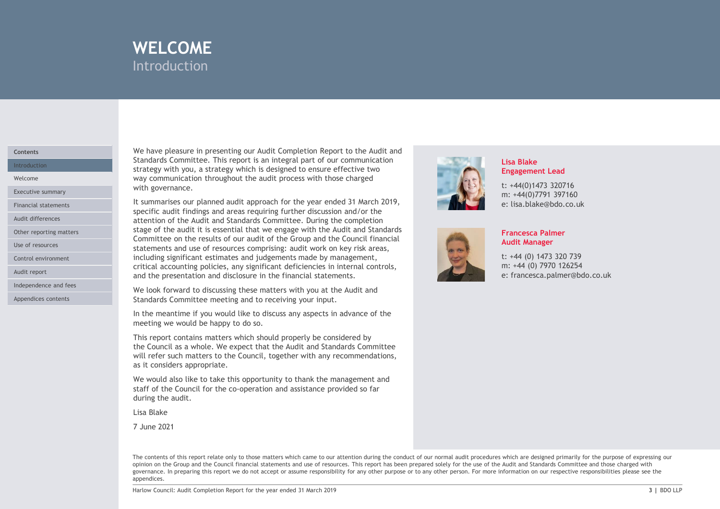

# **Contents**

Other reporting matters

Control environment

Audit report

Independence and fees

Appendices contents

We have pleasure in presenting our Audit Completion Report to the Audit and Standards Committee. This report is an integral part of our communication Introduction **Exercise 2020** Strategy with you, a strategy which is designed to ensure effective two **Intervention** WELCOME<br>
Introduction<br>
We have pleasure in presenting our Audit Completion Report to the Audit and<br>
Standards Committee. This report is an integral part of our communication<br>
strategy with you, a strategy which is designed Welcome **Example 2018** Way communication throughout the audit process with those charged Executive summary **Executive summary** 

WELCOME<br>
Introduction<br>
Introduction<br>
Standards Committee. This report is an integral part of our communication<br>
Strandards Committee. This report is an integral part of our communication<br>
strategy with you, a strategy whic **INTELCOME**<br>
Introduction<br>
Standards Committee. This report is an integral part of our communication<br>
Standards Committee. This report is an integral to ensure effective two<br>
started with gour as attendy which is designed Specific audit midlings and areas requiring further discussion and/or the middle and state of our control or the specific audit process with those charged<br>
Statedards Communication throughout the audit process with those c Audit differences **Exercise 2 and Standards Committee.** During the completion and Standards Committee. During the completion stage of the audit it is essential that we engage with the Audit and Standards Committee on the results of our audit of the Group and the Council financial Use of resources **Statements and use of resources comprising:** audit work on key risk areas, including significant estimates and judgements made by management, critical accounting policies, any significant deficiencies in internal controls, and the presentation and disclosure in the financial statements. We have pleasure in presenting our Audit Completion Report to the Audit and<br>
Strategy with you, a strategy which is aintegral part of our communication<br>
strategy with you, a strategy which is designed to ensure effective t We have pleasure in presenting our Audit Completion Report to the Audit and<br>Standards Committee. This report is an integral part of our communication<br>strategy with you, a strategy which is designed to ensure effective two<br> strategy with you, a strategy which is designed to ensure effective two<br>strategy with you, a strategy which the audit process with those charged<br>with governance.<br>Statement is our planed audit approach for the yearge end 31 Financial statements **Exercise Exercise Exercise** 1 summarises our planned audit approach for the year ended 31 March 2019,<br>specific audit findings and areas requiring further discussion and/or the

We look forward to discussing these matters with you at the Audit and Standards Committee meeting and to receiving your input.

In the meantime if you would like to discuss any aspects in advance of the meeting we would be happy to do so.

This report contains matters which should properly be considered by as it considers appropriate.

We would also like to take this opportunity to thank the management and during the audit.

Lisa Blake

7 June 2021



# Lisa Blake Engagement Lead

t: +44(0)1473 320716 m: +44(0)7791 397160 e: lisa.blake@bdo.co.uk



# Francesca Palmer Audit Manager

t: +44 (0) 1473 320 739 m: +44 (0) 7970 126254 e: francesca.palmer@bdo.co.uk

Unteraction and the Council: And You are the thin the United Acts and the Audit and the year ended 31 March 2019 201<br>
We look forward to discussing these matters with pous a fit and statements.<br>
In the meantine if you woul The contents of this report relate only to those matters which came to our attention during the conduct of our normal audit procedures which are designed primarily for the purpose of expressing our opinion on the Group and the Council financial statements and use of resources. This report has been prepared solely for the use of the Audit and Standards Committee and those charged with governance. In preparing this report we do not accept or assume responsibility for any other purpose or to any other person. For more information on our respective responsibilities please see the appendices.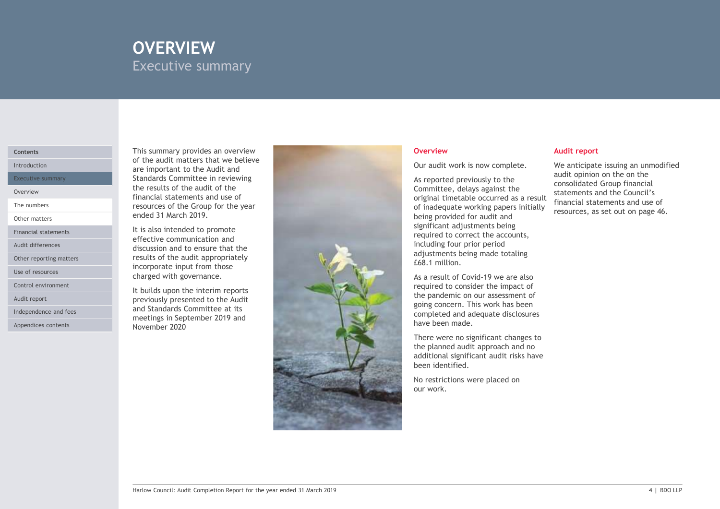# OVERVIEW EXECUTIVE SUMMARY Executive summary

# Contents

The numbers

Other matters

Financial statements

Other reporting matters

Use of resources

Control environment

Audit report

Independence and fees

Appendices contents

This summary provides an overview of the audit matters that we believe Introduction **Exercise 2 are important to the Audit and Intervention Control of the Audit and Intervention Control of Technical Audit Audit and Intervention Control of Technical Audit Audit Audit Audit Audit Audit Audit Au** Executive summary **Executive Standards Committee in reviewing** and the standard state of the state of the state of the state of the state of the state of the state of the state of the state of the state of the state of the the results of the audit of the Overview **Example 2018** Chemical statements and use of the Chemical School of the Chemical School of the Chemical School of the Chemical School of the Chemical School of the Chemical School of the Chemical School of the Ch resources of the Group for the year ended 31 March 2019.

It is also intended to promote effective communication and Audit differences **Exercise 2018 discussion and to ensure that the and the contract of the contract of the contract of the contract of the contract of the contract of the contract of the contract of the contract of the c** results of the audit appropriately incorporate input from those charged with governance.

> It builds upon the interim reports previously presented to the Audit and Standards Committee at its meetings in September 2019 and November 2020



Our audit work is now complete.

As reported previously to the Committee, delays against the original timetable occurred as a result of inadequate working papers initially being provided for audit and significant adjustments being required to correct the accounts, including four prior period adjustments being made totaling £68.1 million. our activity to the same of the matter and the matter of the matter of the and connective.<br>
As reported previously to the and the connollated Group financial<br>
Committee, delays against the connollated Group financial<br>
orig

As a result of Covid-19 we are also required to consider the impact of the pandemic on our assessment of going concern. This work has been completed and adequate disclosures have been made.

There were no significant changes to the planned audit approach and no additional significant audit risks have been identified.

No restrictions were placed on

# Overview Audit report

We anticipate issuing an unmodified audit opinion on the on the consolidated Group financial statements and the Council's financial statements and use of resources, as set out on page 46.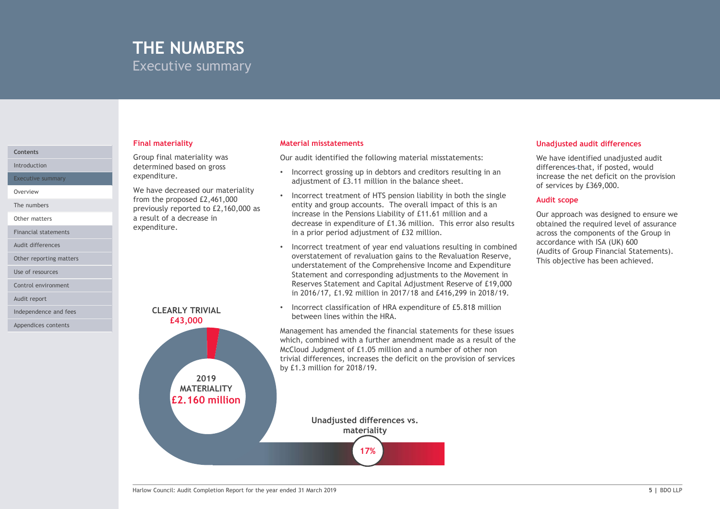# THE NUMBERS Executive summary

# Final materiality

Group final materiality was Introduction **Executive Construction** and determined based on gross expenditure.

We have decreased our materiality Overview from the proposed £2,461,000 previously reported to £2,160,000 as a result of a decrease in expenditure.

### Material misstatements

Our audit identified the following material misstatements:

- Incorrect grossing up in debtors and creditors resulting in an differences-that, if posted, would adjustment of £3.11 million in the balance sheet.
- Incorrect treatment of HTS pension liability in both the single entity and group accounts. The overall impact of this is an increase in the Pensions Liability of £11.61 million and a decrease in expenditure of £1.36 million. This error also results in a prior period adjustment of £32 million.
- Incorrect treatment of year end valuations resulting in combined (Audits of Group Financial Statements). overstatement of revaluation gains to the Revaluation Reserve,<br>This objective has been achieved. understatement of the Comprehensive Income and Expenditure Statement and corresponding adjustments to the Movement in Reserves Statement and Capital Adjustment Reserve of £19,000 in 2016/17, £1.92 million in 2017/18 and £416,299 in 2018/19.
- Incorrect classification of HRA expenditure of £5.818 million between lines within the HRA.

Management has amended the financial statements for these issues which, combined with a further amendment made as a result of the McCloud Judgment of £1.05 million and a number of other non trivial differences, increases the deficit on the provision of services

# Unadjusted audit differences

We have identified unadjusted audit Unadjusted audit differences<br>We have identified unadjusted audit<br>differences-that, if posted, would<br>increase the net deficit on the provision<br>of services by £369,000.<br>Audit scope<br>Our approach was designed to ensure we<br>repr increase the net deficit on the provision of services by £369,000.

### Audit scope

Our approach was designed to ensure we obtained the required level of assurance across the components of the Group in accordance with ISA (UK) 600 Unadjusted audit differences<br>We have identified unadjusted audit<br>differences-that, if posted, would<br>increase the net deficit on the provision<br>of services by £369,000.<br>Audit scope<br>Our approach was designed to ensure we<br>obta **Unadjusted audit differences**<br>We have identified unadjusted audit<br>differences-that, if posted, would<br>increase the net deficit on the provision<br>of services by £369,000.<br>**Audit scope**<br>Our approach was designed to ensure we<br>



# **Contents**

Executive summary

The numbers

Other matters

Financial statements

Audit differences

Other reporting matters

Use of resources

Control environment

Audit report

Independence and fees

Appendices contents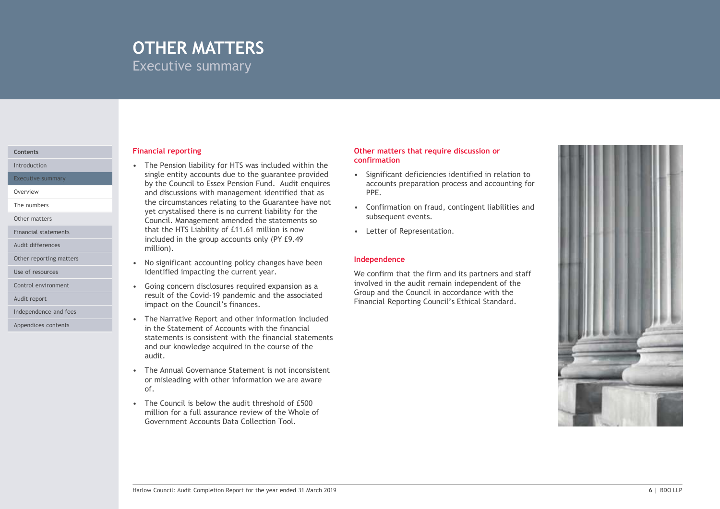# OTHER MATTERS Executive summary

Executive summary

The numbers

Other matters

Financial statements

Audit differences

Use of resources

Audit report

Appendices contents

# **Financial reporting Contents of the Content of Contents of the Content of Trumper Contents of the Content of Trumper Content of Trumper Contents of Trumper Content of Trumper Content of Trumper Content of Trumper Content**

**COTHER MATTERS**<br>
Executive summary<br>
Financial reporting<br>
• The Pension liability for HTS was included within the<br>
single entity accounts due to the guarantee provided<br>
• Significant deficition<br>
and discussions with manage single entity accounts due to the guarantee provided  $\bullet$  Significant deficiencies identified in relation to by the Council to Essex Pension Fund. Audit enquires and discussions with management identified that as Overview the circumstances relating to the Guarantee have not<br>the confirmation on fraud, contingent liabilities and<br> $\bullet$  Confirmation on fraud, contingent liabilities and THER MATTERS<br>
eccutive summary<br>
The Pension liability for HTS was included within the<br>
The Pension liability for HTS was included within the<br>
single entity accounts due to the guarantee provide<br>
by the Council to Essex Pen Council. Management amended the statements so that the HTS Liability of £11.61 million is now • Letter of Representation. included in the group accounts only (PY £9.49 million). **COTHER MATTERS**<br>
Executive summary<br>
Financial reporting<br>
• The Pension liability for HTS was included within the<br>
signe entity accounts due to the guarantee provide<br>
• Significant deficition<br>
and discussions with manageme Executive Summary<br>
• The Pension liability for HTS was included within the confirmation<br>
single entity accounts due to the guarantee provided<br>
by the Council to Essex Pension Fund. Audit enquires<br>
the crimustances relating Financial reporting<br>
• The Pension liability for HTS was included within the<br>
single entity accounts due to the guarantee provided<br>
• Singlificant deficies<br>
the Cuaractic Basex Pension Fund. Audit enquires<br>
• accounts pre Financial reporting<br>
• The Pension liabitity for HTS was included within the<br>
• The Pension liabitity for HTS was included within the<br>
• confirmation<br>
• Significant deficities<br>
and discussions with management identified t For Council to Essaye Pension Fund. Audit enguires are<br>counts preparated discussions with management identified that as<br>the circumstances relating to the Guarantee have not<br>expect and socialised there is no current liabili Introduction **Interversion Controller Controller Controller Controller Controller Controller Controller Controller Controller Controller Controller Controller Controller Controller Controller Controller Controller Controll** 

- identified impacting the current year. Other reporting matters **CONFIDENTIAL CONFIDENTIAL CONFIDENTIAL CONFIDENTIAL CONFIDENTIAL CONFIDENTIAL CONFIDENT**
- result of the Covid-19 pandemic and the associated Group and the Council in accordance with the impact on the Council's finances. Control environment • Going concern disclosures required expansion as a
- in the Statement of Accounts with the financial statements is consistent with the financial statements and our knowledge acquired in the course of the audit. Independence and fees<br>
Fine Narrative Report and other information included<br>
Fine Narrative Report and other information included
	- or misleading with other information we are aware of.
	- million for a full assurance review of the Whole of Government Accounts Data Collection Tool.

# Other matters that require discussion or confirmation

- accounts preparation process and accounting for PPE.
- subsequent events.
- 

# Independence

We confirm that the firm and its partners and staff involved in the audit remain independent of the Financial Reporting Council's Ethical Standard.

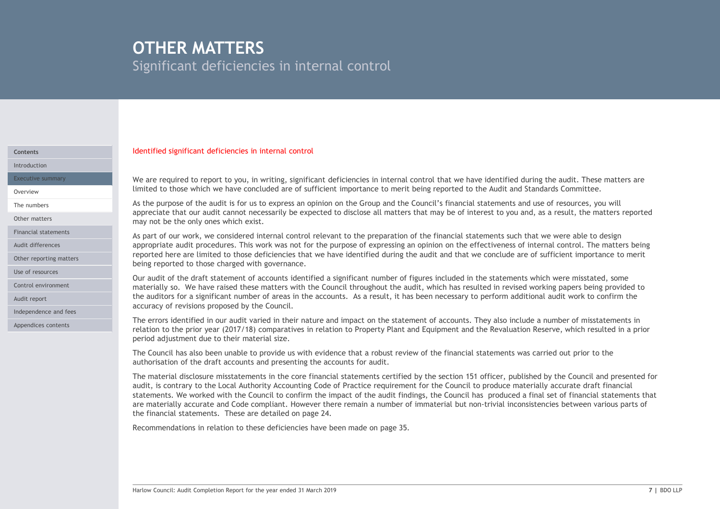# OTHER MATTERS

Significant deficiencies in internal control

# Identified significant deficiencies in internal control Contents

Introduction

Other reporting matters

Use of resources

Audit report

Independence and fees

Appendices contents

limited to those which we have concluded are of sufficient importance to merit being reported to the Audit and Standards Committee. Overview Executive summary **Executive summary** We are required to report to you, in writing, significant deficiencies in internal control that we have identified during the audit. These matters are

**Stignificant deficiencies in internal control**<br>Stignificant deficiencies in internal control<br>We are required to report to you, in writing, significant deficiencies in internal control that we have identified during the au appreciate that our audit cannot necessarily be expected to disclose all matters that may be of interest to you and, as a result, the matters reported may not be the only ones which exist. Other matters The numbers and use of resources, you will the audit is for us to express an opinion on the Group and the Council's financial statements and use of resources, you will

**Significant deficiencies in internal control**<br>Significant deficiencies in internal control<br>Memorial of the audit is for us to the audit is for user the council of the audit internal control<br>with the audit is for user the **OTHER MATTERS**<br>Significant deficiencies in internal control<br>We are required to report to you, in writing, significant deficiencies in internal control that we have identified during the audit. These matters are<br>timited to appropriate audit procedures. This work was not for the purpose of expressing an opinion on the effectiveness of internal control. The matters being Audit differences reported here are limited to those deficiencies that we have identified during the audit and that we conclude are of sufficient importance to merit being reported to those charged with governance. Financial statements<br>As part of our work, we considered internal control relevant to the preparation of the financial statements such that we were able to design

Our audit of the draft statement of accounts identified a significant number of figures included in the statements which were misstated, some Control environment **the controller of the materially so.** We have raised these matters with the Council throughout the audit, which has resulted in revised working papers being provided to the auditors for a significant number of areas in the accounts. As a result, it has been necessary to perform additional audit work to confirm the accuracy of revisions proposed by the Council.

> The errors identified in our audit varied in their nature and impact on the statement of accounts. They also include a number of misstatements in relation to the prior year (2017/18) comparatives in relation to Property Plant and Equipment and the Revaluation Reserve, which resulted in a prior period adjustment due to their material size.

authorisation of the draft accounts and presenting the accounts for audit.

Our audit of the draft statement of accounts identified a significant number of figures included in the statements which were misstated, some<br>materially as. We have raised these matters with the Council throughout the audi Mentified significant deficiencies in internal control<br>We are required to report to you, in writing, significant deficiences in internal control that we have identified during the audit. These matters are<br>limited to those We are required to report to you, in writing, significant deficiencies in internal control that we have identified during the audit. These matters are limited to those which we have concluded are of sufficient importance t We are required to report to you, in writing, significant deficiencies in internal control that we have identified during the audit, in These matters are limited to those which we have also the Authority accounts of the Co statements. We worked with the Council to confirm the impact of the audit findings, the Council has produced a final set of financial statements that are materially accurate and Code compliant. However there remain a number of immaterial but non-trivial inconsistencies between various parts of the financial statements. These are detailed on page 24.

Recommendations in relation to these deficiencies have been made on page 35.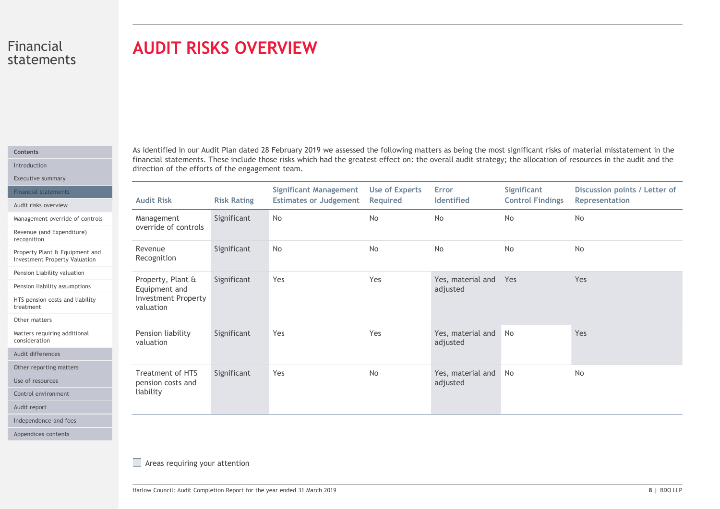# AUDIT RISKS OVERVIEW

| tatements                                                                                       | <b>AUDIT RISKS OVERVIEW</b>                                                   |                    |                                                                |                                   |                                   |                                        |                                                                                                                                                                                                                                                                                                                                |  |  |
|-------------------------------------------------------------------------------------------------|-------------------------------------------------------------------------------|--------------------|----------------------------------------------------------------|-----------------------------------|-----------------------------------|----------------------------------------|--------------------------------------------------------------------------------------------------------------------------------------------------------------------------------------------------------------------------------------------------------------------------------------------------------------------------------|--|--|
|                                                                                                 | direction of the efforts of the engagement team.                              |                    |                                                                |                                   |                                   |                                        | As identified in our Audit Plan dated 28 February 2019 we assessed the following matters as being the most significant risks of material misstatement in the<br>financial statements. These include those risks which had the greatest effect on: the overall audit strategy; the allocation of resources in the audit and the |  |  |
| <b>Financial statements</b>                                                                     | <b>Audit Risk</b>                                                             | <b>Risk Rating</b> | <b>Significant Management</b><br><b>Estimates or Judgement</b> | <b>Use of Experts</b><br>Required | Error<br>Identified               | Significant<br><b>Control Findings</b> | Discussion points / Letter of<br>Representation                                                                                                                                                                                                                                                                                |  |  |
| Management override of controls<br>Revenue (and Expenditure)                                    | Management<br>override of controls                                            | Significant        | No                                                             | No                                | No                                | No                                     | No                                                                                                                                                                                                                                                                                                                             |  |  |
| Property Plant & Equipment and<br><b>Investment Property Valuation</b>                          | Revenue<br>Recognition                                                        | Significant        | No                                                             | No                                | No                                | No                                     | No                                                                                                                                                                                                                                                                                                                             |  |  |
| Pension Liability valuation<br>Pension liability assumptions<br>HTS pension costs and liability | Property, Plant &<br>Equipment and<br><b>Investment Property</b><br>valuation | Significant        | Yes                                                            | Yes                               | Yes, material and Yes<br>adjusted |                                        | Yes                                                                                                                                                                                                                                                                                                                            |  |  |
| Matters requiring additional                                                                    | Pension liability<br>valuation                                                | Significant        | Yes                                                            | Yes                               | Yes, material and No<br>adjusted  |                                        | Yes                                                                                                                                                                                                                                                                                                                            |  |  |
| Other reporting matters                                                                         | Treatment of HTS<br>pension costs and                                         | Significant        | Yes                                                            | No                                | Yes, material and No<br>adjusted  |                                        | No                                                                                                                                                                                                                                                                                                                             |  |  |
|                                                                                                 | liability                                                                     |                    |                                                                |                                   |                                   |                                        |                                                                                                                                                                                                                                                                                                                                |  |  |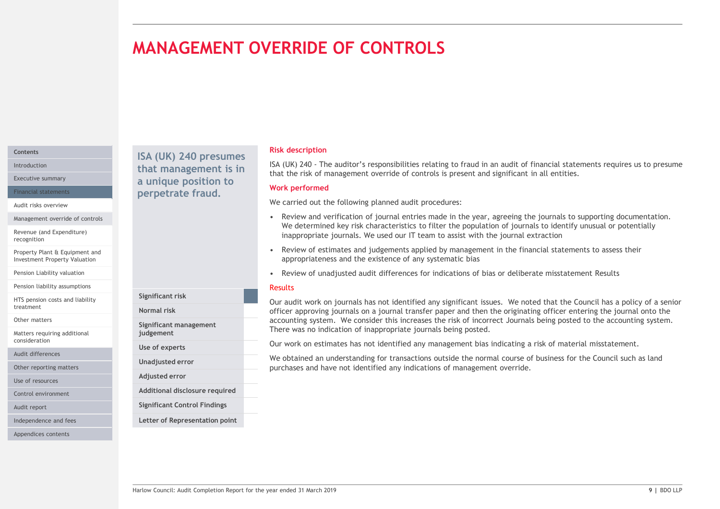# MANAGEMENT OVERRIDE OF CONTROLS

# **Contents**

Audit risks overview

Management override of controls

Revenue (and Expenditure) recognition

Property Plant & Equipment and Investment Property Valuation

Pension Liability valuation

Pension liability assumptions

HTS pension costs and liability treatment<br>
Mormal risk

Other matters

Matters requiring additional consideration

Audit differences

Other reporting matters

Use of resources

Control environment

Audit report

Independence and fees

Appendices contents

Introduction **that management is in**  $I_{\text{A}}(UK)$   $I_{\text{A}}(UK)$  and  $I_{\text{B}}(UK)$  and  $I_{\text{B}}(IK)$ Executive summary **Executive summary a unique position to West Bank** Financial statements **Example 19 Perpetrate fraud.** The contracter of the contracted of the contracted of the contracted of the contracted of the contracted of the contracted of the contracted of the contracted of the cont

Significant risk

judgement Use of experts Unadjusted error Adjusted error

Significant management

Additional disclosure required Significant Control Findings Letter of Representation point

# Risk description

**ISA (UK) 240 - The auditor's responsibilities relating to fraud in an audit of financial statements requires us to presume that the risk of management override of controls is present and significant in all entities.<br>Werk** that the risk of management override of controls is present and significant in all entities. ISA (UK) 240 presumes<br>that management is in ISA (UK) 240 - The auditor's responsibilities relating to fraud in an audit of financial statements requires us to presume

# Work performed

We carried out the following planned audit procedures:

- FIRANCE SECT AND TROLS<br>
FIRAL CONSIDENCIAL CONSIDER SECTION OF THE ANDER CONSIDENT OF THE ANDER ON THE ANDER OF THE ANDER OF THE ANDER OF THE ANDER THE SCHOOL OF THE ANDER THE SCHOOL OF JOURNAL CONSIDERATION OF JOURNAL CON We determined key risk characteristics to filter the population of journals to identify unusual or potentially inappropriate journals. We used our IT team to assist with the journal extraction **ERRIDE OF CONTROLS**<br> **EAST AND 240 - The auditor's responsibilities relating to fraud in an audit of financial statements requires us to presume<br>
that the risk of management override of controls is present and significant**
- appropriateness and the existence of any systematic bias
- 

# Results

Faculti and the state of madjusted audit differences for indications of bias or deliberate misstatement Results<br>
Reported that the Council has a policy of a senior<br>
Normal risk completion Report and Differee approving gior **REVIEW ORT CONTROLL CONTROLL CONTROLL CONTROLL CONTROLL CONTROLL**<br>
SIGN (UK) 240 - The auditor's responsibilities relating to fraud in an audit of financial statements requires us to presume<br>
that the risk of management o Our audit work on journals has not identified any significant issues. We noted that the Council has a policy of a senior officer approving journals on a journal transfer paper and then the originating officer entering the journal onto the Normal risk accounting system. We consider this increases the risk of incorrect Journals being posted to the accounting system. There was no indication of inappropriate journals being posted.

Our work on estimates has not identified any management bias indicating a risk of material misstatement.

We obtained an understanding for transactions outside the normal course of business for the Council such as land purchases and have not identified any indications of management override.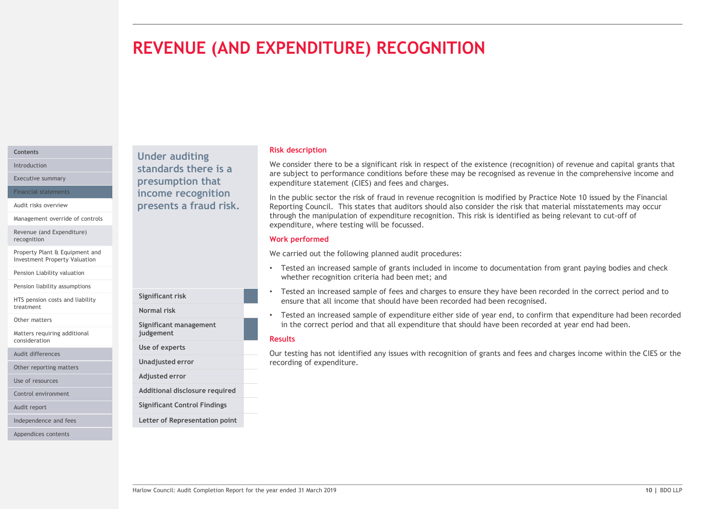# REVENUE (AND EXPENDITURE) RECOGNITION

# Contents

Management override of controls

Revenue (and Expenditure) recognition

Property Plant & Equipment and Investment Property Valuation

Pension Liability valuation

Pension liability assumptions

HTS pension costs and liability treatment<br>
Mormal risk

Other matters

Matters requiring additional consideration

Audit differences

Other reporting matters

Use of resources

Control environment

Audit report

Independence and fees

Appendices contents

Under auditing Introduction **Standards there is a** We consider the Unitroduction Executive summary **Executive summary presumption that** expenditure expenditure Financial statements **Example 20 income recognition** and the public Audit risks overview **Exercise Service Service Service Connect Presents a fraud risk.** Reporting Council.

Significant risk

judgement Use of experts Unadjusted error Adjusted error

Significant management

Additional disclosure required Significant Control Findings Letter of Representation point

# Risk description

We consider there to be a significant risk in respect of the existence (recognition) of revenue and capital grants that are subject to performance conditions before these may be recognised as revenue in the comprehensive income and expenditure statement (CIES) and fees and charges.

In the public sector the risk of fraud in revenue recognition is modified by Practice Note 10 issued by the Financial Reporting Council. This states that auditors should also consider the risk that material misstatements may occur through the manipulation of expenditure recognition. This risk is identified as being relevant to cut-off of expenditure, where testing will be focussed.

# Work performed

We carried out the following planned audit procedures:

- Tested an increased sample of grants included in income to documentation from grant paying bodies and check whether recognition criteria had been met; and
- Tested an increased sample of fees and charges to ensure they have been recorded in the correct period and to ensure that all income that should have been recorded had been recognised.
- Figure 1 and increased sample of grants and necessary and enecestive methods in microme to documentation from grant paying bootes and check<br>
Mether recognition criteria had been method above been accorded in the correct pe • Tested an increased sample of expenditure either side of year end, to confirm that expenditure had been recorded Normal risk in the correct period and that all expenditure that should have been recorded at year end had been.

# Results

Our testing has not identified any issues with recognition of grants and fees and charges income within the CIES or the recording of expenditure.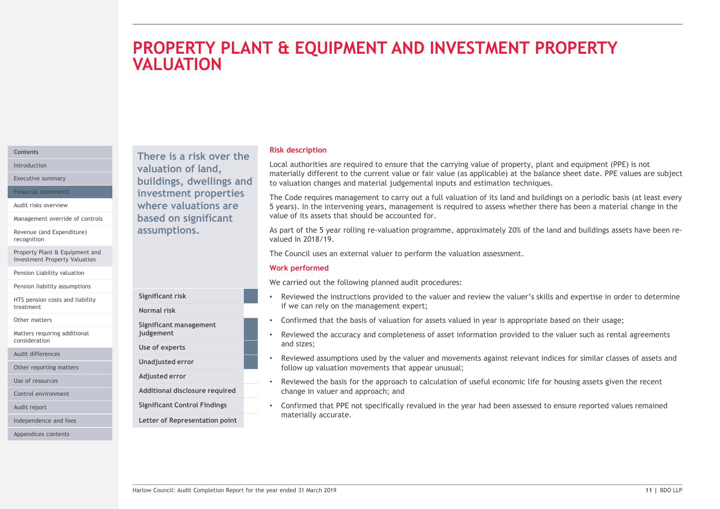# THE **EQUIPMENT AND INVESTMENT PROPERTY**<br>
Risk description<br>
local authorities are required to ensure that the carrying value of property, plant and equipment (PPE) is not<br>
materially different to the current value of fair v PROPERTY PLANT & EQUIPMENT AND INVESTMENT PROPERTY **VALUATION**

# **Contents**

Management override of controls

Revenue (and Expenditure) recognition

Property Plant & Equipment and Investment Property Valuation

Pension Liability valuation

Pension liability assumptions

HTS pension costs and liability treatment

Other matters

Matters requiring additional consideration

Audit differences

Other reporting matters

Use of resources

Control environment

Audit report

Independence and fees

Appendices contents

There is a risk over the Introduction **Example 2 Valuation of land, Example 2 LOCAL AUTH** Executive summary **Executive summary Executive summary Executive summary Executive summary** Financial statements **Example 11 investment properties** The Code require Audit risks overview **EXEC EXECUTE:** Where valuations are **the set of Syears**). In the based on significant assumptions.

Normal risk

Use of experts

Adjusted error

Significant management

Significant Control Findings Letter of Representation point

# Risk description

Local authorities are required to ensure that the carrying value of property, plant and equipment (PPE) is not materially different to the current value or fair value (as applicable) at the balance sheet date. PPE values are subject to valuation changes and material judgemental inputs and estimation techniques.

The Code requires management to carry out a full valuation of its land and buildings on a periodic basis (at least every 5 years). In the intervening years, management is required to assess whether there has been a material change in the value of its assets that should be accounted for. **Risk description**<br>
Risk description<br>
Risk description<br>
Incastrially different to the current value of six value (as applicable) at the balance sheet date. PPE values are subject<br>
to valuation changes and material in outer **Risk description**<br>
Local authorities are required to ensure that the carrying value of property, plant and equipment (PPE) is not<br>
materially different to the current value of rair value (as applicable) at the balance she **Risk description**<br>
Risk description<br>
Local authorities are required to ensure value or fair value (as applicable) at the balance sheet date. PPE values are subject<br>
materially different to the current value or fair value terially different to the current value or fair value (as applicable) at the balance sheet date. PPE-<br>cludication changes and material judgemental inputs and estimation techniques.<br>Code requires management to carry out a f

As part of the 5 year rolling re-valuation programme, approximately 20% of the land and buildings assets have been revalued in 2018/19.

# Work performed

We carried out the following planned audit procedures:

- if we can rely on the management expert; Significant risk **Exercise 20** • Reviewed the instructions provided to the valuer and review the valuer's skills and expertise in order to determine
	- Confirmed that the basis of valuation for assets valued in year is appropriate based on their usage;
- and sizes; judgement example the accuracy and completeness of asset information provided to the valuer such as rental agreements
- follow up valuation movements that appear unusual; Unadjusted error **Table 19 and 19 and 19 and 19 and 19 and 19 and 19 and 19 and 19 and 19 and 19 and 19 and 19 and 19 and 19 and 19 and 19 and 19 and 19 and 19 and 19 and 19 and 19 and 19 and 19 and 19 and 19 and 19 and 19**
- Reviewed the basis for the approach to calculation of useful economic life for housing assets given the recent Additional disclosure required entity change in valuer and approach; and
- Significant risk<br>
We carried out the following planned audit procedures:<br>
We carried out the following planned to the valuer and review the valuer's skills and expertise in order to determine<br>
Significant management<br>
Signi • Confirmed that PPE not specifically revalued in the year had been assessed to ensure reported values remained materially accurate.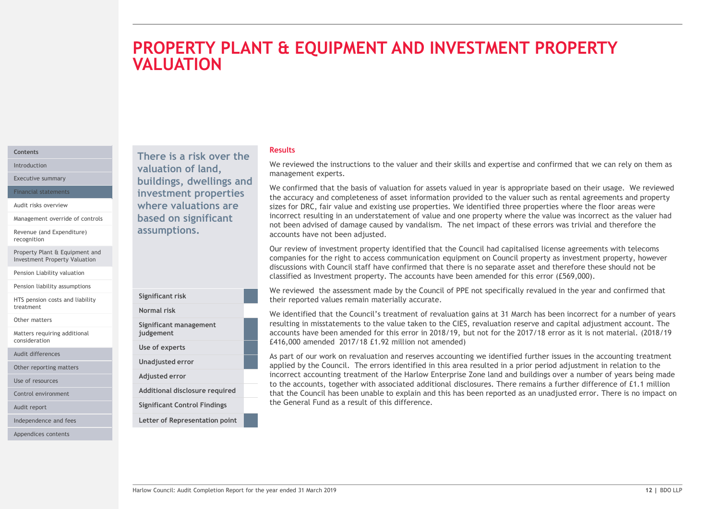# PROPERTY PLANT & EQUIPMENT AND INVESTMENT PROPERTY **VALUATION**

# **Contents**

Management override of controls

Revenue (and Expenditure) recognition

Property Plant & Equipment and Investment Property Valuation

Pension Liability valuation

Pension liability assumptions

HTS pension costs and liability **Significant risk** treatment<br>
Mormal risk

Other matters

Matters requiring additional consideration

Audit differences

Other reporting matters

Use of resources

Control environment **Control environment** Additional disclosure required

Audit report

Independence and fees

Appendices contents

Introduction **We review valuation of land,** We review Executive summary **Executive summary buildings, dwellings and Meanwhile that** Financial statements **Example 11 investment properties** The accuracy and Audit risks overview **EXEC EXECUTE:** Where valuations are sizes for DRC, f assumptions.

Significant management

Significant Control Findings Letter of Representation point

judgement Use of experts Unadjusted error Adjusted error

|  |  | ma |
|--|--|----|

# Results

anagement experts. There is a risk over the<br>and the instructions to the valuer and their skills and expertise and confirmed that we can rely on them as

**EQUIPMENT AND INVESTMENT PROPERTY**<br>
We reviewed the instructions to the valuer and their skills and expertise and confirmed that we can rely on them as<br>
management experts.<br>
We confirmed that the basis of valuation for as We confirmed that the basis of valuation for assets valued in year is appropriate based on their usage. We reviewed THE EQUIPMENT AND INVESTMENT PROPERTY<br>
Mesults<br>
We reviewed the instructions to the valuer and their skills and expertise and confirmed that we can rely on them as<br>
was confirmed that the basis of valuation for assets valu sizes for DRC, fair value and existing use properties. We identified three properties where the floor areas were **EQUIPMENT AND INVESTMENT PROPERTY**<br> **Results**<br>
We reviewed the instructions to the valuer and their skills and expertise and confirmed that we can rely on them as<br>
we confirmed that the basis of valuation for assets value not been advised of damage caused by vandalism. The net impact of these errors was trivial and therefore the accounts have not been adjusted. **COUIPMENT AND INVESTMENT PROPERTY**<br>
We reviewed the instructions to the valuer and their skills and expertise and confirmed that we can rely on them as<br>
management experts.<br>
We confirmed that the basis of valuation for as based on significant incorrect resulting in an understatement of value and one property where the value was incorrect as the valuer had

companies for the right to access communication equipment on Council property as investment property, however discussions with Council staff have confirmed that there is no separate asset and therefore these should not be classified as Investment property. The accounts have been amended for this error (£569,000).

We reviewed the assessment made by the Council of PPE not specifically revalued in the year and confirmed that Significant risk<br>
Significant risk<br>
their reported values remain materially accurate.

We identified that the Council's treatment of revaluation gains at 31 March has been incorrect for a number of years Normal risk resulting in misstatements to the value taken to the CIES, revaluation reserve and capital adjustment account. The accounts have been amended for this error in 2018/19, but not for the 2017/18 error as it is not material. (2018/19 £416,000 amended 2017/18 £1.92 million not amended)

Significant risk<br>
closuics with the reconnection that there is no separate case and note that the search and the council of the council of PE not specifically reculted in the year and confirmed that<br>
the ric reported value As part of our work on revaluation and reserves accounting we identified further issues in the accounting treatment applied by the Council. The errors identified in this area resulted in a prior period adjustment in relation to the incorrect accounting treatment of the Harlow Enterprise Zone land and buildings over a number of years being made to the accounts, together with associated additional disclosures. There remains a further difference of £1.1 million Additional disclosure required entity that the Council has been unable to explain and this has been reported as an unadjusted error. There is no impact on the General Fund as a result of this difference.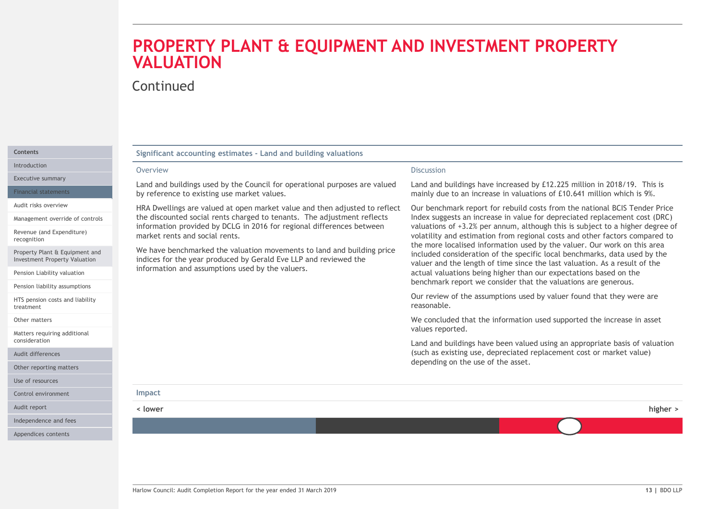# PROPERTY PLANT & EQUIPMENT AND INVESTMENT PROPERTY VALUATION

# Continued

| Continued<br>Significant accounting estimates - Land and building valuations<br><b>Discussion</b><br>Overview<br>Land and buildings used by the Council for operational purposes are valued<br>Land and buildings have increased by £12.225 million in 2018/19. This is<br>by reference to existing use market values.<br>mainly due to an increase in valuations of £10.641 million which is 9%.<br>HRA Dwellings are valued at open market value and then adjusted to reflect<br>Our benchmark report for rebuild costs from the national BCIS Tender Price<br>the discounted social rents charged to tenants. The adjustment reflects<br>Index suggests an increase in value for depreciated replacement cost (DRC)<br>information provided by DCLG in 2016 for regional differences between<br>market rents and social rents.<br>volatility and estimation from regional costs and other factors compared to<br>the more localised information used by the valuer. Our work on this area<br>We have benchmarked the valuation movements to land and building price<br>included consideration of the specific local benchmarks, data used by the<br>indices for the year produced by Gerald Eve LLP and reviewed the<br>valuer and the length of time since the last valuation. As a result of the<br>information and assumptions used by the valuers.<br>actual valuations being higher than our expectations based on the<br>benchmark report we consider that the valuations are generous.<br>Pension liability assumptions<br>Our review of the assumptions used by valuer found that they were are<br>reasonable.<br>We concluded that the information used supported the increase in asset<br>values reported.<br>(such as existing use, depreciated replacement cost or market value)<br>depending on the use of the asset.<br>Impact<br>< lower<br>Independence and fees |                                                                 | PROPERTY PLANT & EQUIPMENT AND INVESTMENT PROPERTY<br><b>VALUATION</b> |                                                                               |  |  |  |
|-------------------------------------------------------------------------------------------------------------------------------------------------------------------------------------------------------------------------------------------------------------------------------------------------------------------------------------------------------------------------------------------------------------------------------------------------------------------------------------------------------------------------------------------------------------------------------------------------------------------------------------------------------------------------------------------------------------------------------------------------------------------------------------------------------------------------------------------------------------------------------------------------------------------------------------------------------------------------------------------------------------------------------------------------------------------------------------------------------------------------------------------------------------------------------------------------------------------------------------------------------------------------------------------------------------------------------------------------------------------------------------------------------------------------------------------------------------------------------------------------------------------------------------------------------------------------------------------------------------------------------------------------------------------------------------------------------------------------------------------------------------------------------------------------------------------------------------------------------------------------------------|-----------------------------------------------------------------|------------------------------------------------------------------------|-------------------------------------------------------------------------------|--|--|--|
|                                                                                                                                                                                                                                                                                                                                                                                                                                                                                                                                                                                                                                                                                                                                                                                                                                                                                                                                                                                                                                                                                                                                                                                                                                                                                                                                                                                                                                                                                                                                                                                                                                                                                                                                                                                                                                                                                     |                                                                 |                                                                        |                                                                               |  |  |  |
|                                                                                                                                                                                                                                                                                                                                                                                                                                                                                                                                                                                                                                                                                                                                                                                                                                                                                                                                                                                                                                                                                                                                                                                                                                                                                                                                                                                                                                                                                                                                                                                                                                                                                                                                                                                                                                                                                     |                                                                 |                                                                        |                                                                               |  |  |  |
|                                                                                                                                                                                                                                                                                                                                                                                                                                                                                                                                                                                                                                                                                                                                                                                                                                                                                                                                                                                                                                                                                                                                                                                                                                                                                                                                                                                                                                                                                                                                                                                                                                                                                                                                                                                                                                                                                     |                                                                 |                                                                        |                                                                               |  |  |  |
|                                                                                                                                                                                                                                                                                                                                                                                                                                                                                                                                                                                                                                                                                                                                                                                                                                                                                                                                                                                                                                                                                                                                                                                                                                                                                                                                                                                                                                                                                                                                                                                                                                                                                                                                                                                                                                                                                     |                                                                 |                                                                        |                                                                               |  |  |  |
|                                                                                                                                                                                                                                                                                                                                                                                                                                                                                                                                                                                                                                                                                                                                                                                                                                                                                                                                                                                                                                                                                                                                                                                                                                                                                                                                                                                                                                                                                                                                                                                                                                                                                                                                                                                                                                                                                     | Executive summary<br><b>Financial statements</b>                |                                                                        |                                                                               |  |  |  |
|                                                                                                                                                                                                                                                                                                                                                                                                                                                                                                                                                                                                                                                                                                                                                                                                                                                                                                                                                                                                                                                                                                                                                                                                                                                                                                                                                                                                                                                                                                                                                                                                                                                                                                                                                                                                                                                                                     | Audit risks overview                                            |                                                                        |                                                                               |  |  |  |
|                                                                                                                                                                                                                                                                                                                                                                                                                                                                                                                                                                                                                                                                                                                                                                                                                                                                                                                                                                                                                                                                                                                                                                                                                                                                                                                                                                                                                                                                                                                                                                                                                                                                                                                                                                                                                                                                                     | Management override of controls<br>Revenue (and Expenditure)    |                                                                        | valuations of +3.2% per annum, although this is subject to a higher degree of |  |  |  |
|                                                                                                                                                                                                                                                                                                                                                                                                                                                                                                                                                                                                                                                                                                                                                                                                                                                                                                                                                                                                                                                                                                                                                                                                                                                                                                                                                                                                                                                                                                                                                                                                                                                                                                                                                                                                                                                                                     | Property Plant & Equipment and<br>Investment Property Valuation |                                                                        |                                                                               |  |  |  |
|                                                                                                                                                                                                                                                                                                                                                                                                                                                                                                                                                                                                                                                                                                                                                                                                                                                                                                                                                                                                                                                                                                                                                                                                                                                                                                                                                                                                                                                                                                                                                                                                                                                                                                                                                                                                                                                                                     | Pension Liability valuation                                     |                                                                        |                                                                               |  |  |  |
|                                                                                                                                                                                                                                                                                                                                                                                                                                                                                                                                                                                                                                                                                                                                                                                                                                                                                                                                                                                                                                                                                                                                                                                                                                                                                                                                                                                                                                                                                                                                                                                                                                                                                                                                                                                                                                                                                     | HTS pension costs and liability                                 |                                                                        |                                                                               |  |  |  |
|                                                                                                                                                                                                                                                                                                                                                                                                                                                                                                                                                                                                                                                                                                                                                                                                                                                                                                                                                                                                                                                                                                                                                                                                                                                                                                                                                                                                                                                                                                                                                                                                                                                                                                                                                                                                                                                                                     | Matters requiring additional                                    |                                                                        |                                                                               |  |  |  |
|                                                                                                                                                                                                                                                                                                                                                                                                                                                                                                                                                                                                                                                                                                                                                                                                                                                                                                                                                                                                                                                                                                                                                                                                                                                                                                                                                                                                                                                                                                                                                                                                                                                                                                                                                                                                                                                                                     |                                                                 |                                                                        | Land and buildings have been valued using an appropriate basis of valuation   |  |  |  |
|                                                                                                                                                                                                                                                                                                                                                                                                                                                                                                                                                                                                                                                                                                                                                                                                                                                                                                                                                                                                                                                                                                                                                                                                                                                                                                                                                                                                                                                                                                                                                                                                                                                                                                                                                                                                                                                                                     | Audit differences                                               |                                                                        |                                                                               |  |  |  |
|                                                                                                                                                                                                                                                                                                                                                                                                                                                                                                                                                                                                                                                                                                                                                                                                                                                                                                                                                                                                                                                                                                                                                                                                                                                                                                                                                                                                                                                                                                                                                                                                                                                                                                                                                                                                                                                                                     | Other reporting matters                                         |                                                                        |                                                                               |  |  |  |
|                                                                                                                                                                                                                                                                                                                                                                                                                                                                                                                                                                                                                                                                                                                                                                                                                                                                                                                                                                                                                                                                                                                                                                                                                                                                                                                                                                                                                                                                                                                                                                                                                                                                                                                                                                                                                                                                                     | Control environment                                             |                                                                        |                                                                               |  |  |  |
|                                                                                                                                                                                                                                                                                                                                                                                                                                                                                                                                                                                                                                                                                                                                                                                                                                                                                                                                                                                                                                                                                                                                                                                                                                                                                                                                                                                                                                                                                                                                                                                                                                                                                                                                                                                                                                                                                     |                                                                 |                                                                        | higher >                                                                      |  |  |  |
|                                                                                                                                                                                                                                                                                                                                                                                                                                                                                                                                                                                                                                                                                                                                                                                                                                                                                                                                                                                                                                                                                                                                                                                                                                                                                                                                                                                                                                                                                                                                                                                                                                                                                                                                                                                                                                                                                     |                                                                 |                                                                        |                                                                               |  |  |  |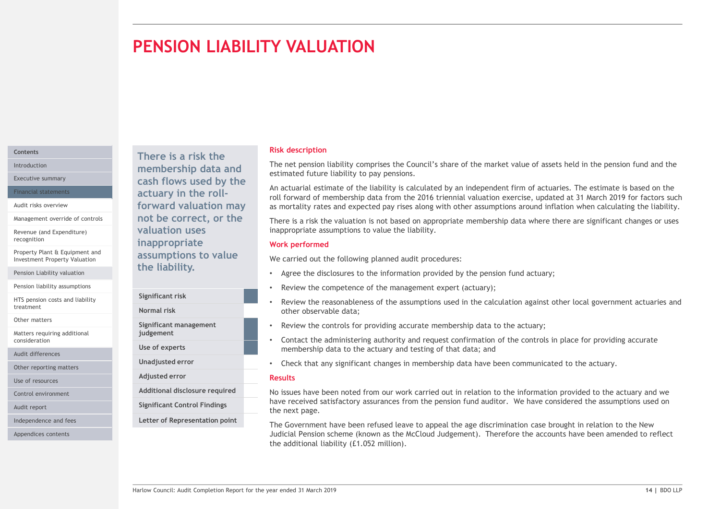# PENSION LIABILITY VALUATION

# **Contents**

Management override of controls

Revenue (and Expenditure)

Property Plant & Equipment and Investment Property Valuation

Pension Liability valuation

Pension liability assumptions

HTS pension costs and liability treatment<br>
Mormal risk

Other matters

Matters requiring additional consideration

Audit differences

Other reporting matters

Use of resources

Audit report

Independence and fees

Appendices contents

There is a risk the Introduction **Exercise Property Controllership data and** Integrated future Executive summary **Executive summary Cash flows used by the** Financial statements **Exercise 2 Contains a Setuary in the roll-**Audit risks overview **Example 20 Forward valuation may** as mortality rates not be correct, or the valuation uses recognition **Exercise Exercise Exercise Contract Contract Contract Contract Contract Contract Contract Contract Contract Contract Contract Contract Contract Contract Contract Contract Contract Contract Contract Contract Co** assumptions to value the liability.

> Significant risk Significant management judgement Use of experts Unadjusted error

Adjusted error

- Control environment **Control environment** Additional disclosure required
	- Significant Control Findings

Letter of Representation point

# Risk description

The net pension liability comprises the Council's share of the market value of assets held in the pension fund and the estimated future liability to pay pensions.

An actuarial estimate of the liability is calculated by an independent firm of actuaries. The estimate is based on the roll forward of membership data from the 2016 triennial valuation exercise, updated at 31 March 2019 for factors such as mortality rates and expected pay rises along with other assumptions around inflation when calculating the liability.

There is a risk the valuation is not based on appropriate membership data where there are significant changes or uses inappropriate assumptions to value the liability.

# Work performed

We carried out the following planned audit procedures:

- Agree the disclosures to the information provided by the pension fund actuary;
- Review the competence of the management expert (actuary);
- Review the reasonableness of the assumptions used in the calculation against other local government actuaries and other observable data; Normal risk
	- Review the controls for providing accurate membership data to the actuary;
	- Contact the administering authority and request confirmation of the controls in place for providing accurate membership data to the actuary and testing of that data; and
	- Check that any significant changes in membership data have been communicated to the actuary.

# Results

ETHE ITADILITY.<br>
Significant risk<br>
Significant risk<br>
Review the completence of the amagement experiment actuaries and<br>
Normal risk<br>
Significant management<br>
Significant management<br>
Significant management<br>
Significant manage Additional disclosure required how issues have been noted from our work carried out in relation to the information provided to the actuary and we hadditional disclosure required to the actuary and we have received satisfactory assurances from the pension fund auditor. We have considered the assumptions used on the next page.

The Government have been refused leave to appeal the age discrimination case brought in relation to the New Judicial Pension scheme (known as the McCloud Judgement). Therefore the accounts have been amended to reflect the additional liability (£1.052 million).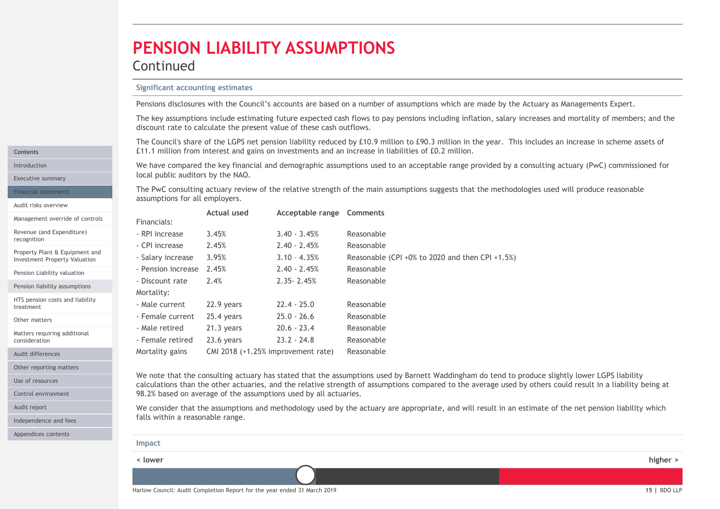# PENSION LIABILITY ASSUMPTIONS

# Continued

**PENSION LIABILITY ASSUMPTIONS**<br> **Significant accounting estimates**<br> **Pensions disclosures with the Council's accounts are based on a number of assumptions whice**<br>
The key assumptions include estimating future expected cas The key assumptions include estimating future expected cash flows to pay pensions including inflation, salary increases and mortality of members; and the discount rate to calculate the present value of these cash outflows.

**PENSION LIABILITY ASSUMPTIONS**<br>
Significant accounting estimates<br>
Pensions disclosures with the Council's accounts are based on a number of assumptions which are made by the Actuary as Managements Expert.<br>
The key assumpt **PENSION LIABILITY ASSUMPTIONS**<br>
Significant accounting estimates<br>
Pensions disclosures with the Council's accounts are based on a number of assumptions which are made by the Actuary as Managements Expert.<br>
The key assumpt Introduction **Starting actuary (PWC)** commissioned for the key financial and demographic assumptions used to an acceptable range provided by a consulting actuary (PWC) commissioned for Executive summary **Executive Summary Executive summary Executive Summary** 

| Pensions disclosures with the Council's accounts are based on a number of assumptions which are made by the Actuary as Managements Expert.<br>The key assumptions include estimating future expected cash flows to pay pensions including inflation, salary increases and mortality of members; and the<br>discount rate to calculate the present value of these cash outflows.<br>The Council's share of the LGPS net pension liability reduced by £10.9 million to £90.3 million in the year. This includes an increase in scheme assets of<br>£11.1 million from interest and gains on investments and an increase in liabilities of £0.2 million.<br>We have compared the key financial and demographic assumptions used to an acceptable range provided by a consulting actuary (PwC) commissioned for<br>local public auditors by the NAO.<br>The PwC consulting actuary review of the relative strength of the main assumptions suggests that the methodologies used will produce reasonable<br>assumptions for all employers.<br><b>Actual used</b><br>Acceptable range Comments<br>Financials:<br>- RPI increase<br>3.45%<br>$3.40 - 3.45%$<br>Reasonable<br>2.45%<br>- CPI increase<br>$2.40 - 2.45%$<br>Reasonable<br>- Salary increase<br>3.95%<br>$3.10 - 4.35%$<br>Reasonable (CPI +0% to 2020 and then CPI +1.5%)<br>$2.40 - 2.45%$<br>Reasonable<br>- Pension increase 2.45%<br>2.4%<br>$2.35 - 2.45%$<br>Reasonable<br>$22.4 - 25.0$<br>22.9 years<br>Reasonable<br>$25.0 - 26.6$<br>25.4 years<br>Reasonable<br>$20.6 - 23.4$<br>Reasonable<br>21.3 years<br>$23.2 - 24.8$<br>Reasonable<br>23.6 years<br>CMI 2018 (+1.25% improvement rate)<br>Reasonable<br>We note that the consulting actuary has stated that the assumptions used by Barnett Waddingham do tend to produce slightly lower LGPS liability<br>calculations than the other actuaries, and the relative strength of assumptions compared to the average used by others could result in a liability being at<br>98.2% based on average of the assumptions used by all actuaries.<br>We consider that the assumptions and methodology used by the actuary are appropriate, and will result in an estimate of the net pension liability which<br>falls within a reasonable range. | <b>Significant accounting estimates</b> |  |          |
|-------------------------------------------------------------------------------------------------------------------------------------------------------------------------------------------------------------------------------------------------------------------------------------------------------------------------------------------------------------------------------------------------------------------------------------------------------------------------------------------------------------------------------------------------------------------------------------------------------------------------------------------------------------------------------------------------------------------------------------------------------------------------------------------------------------------------------------------------------------------------------------------------------------------------------------------------------------------------------------------------------------------------------------------------------------------------------------------------------------------------------------------------------------------------------------------------------------------------------------------------------------------------------------------------------------------------------------------------------------------------------------------------------------------------------------------------------------------------------------------------------------------------------------------------------------------------------------------------------------------------------------------------------------------------------------------------------------------------------------------------------------------------------------------------------------------------------------------------------------------------------------------------------------------------------------------------------------------------------------------------------------------------------------------------------------------------------------------------------------------------------------------------------------------------------------------------------------------------------------------------------------------|-----------------------------------------|--|----------|
|                                                                                                                                                                                                                                                                                                                                                                                                                                                                                                                                                                                                                                                                                                                                                                                                                                                                                                                                                                                                                                                                                                                                                                                                                                                                                                                                                                                                                                                                                                                                                                                                                                                                                                                                                                                                                                                                                                                                                                                                                                                                                                                                                                                                                                                                   |                                         |  |          |
|                                                                                                                                                                                                                                                                                                                                                                                                                                                                                                                                                                                                                                                                                                                                                                                                                                                                                                                                                                                                                                                                                                                                                                                                                                                                                                                                                                                                                                                                                                                                                                                                                                                                                                                                                                                                                                                                                                                                                                                                                                                                                                                                                                                                                                                                   |                                         |  |          |
|                                                                                                                                                                                                                                                                                                                                                                                                                                                                                                                                                                                                                                                                                                                                                                                                                                                                                                                                                                                                                                                                                                                                                                                                                                                                                                                                                                                                                                                                                                                                                                                                                                                                                                                                                                                                                                                                                                                                                                                                                                                                                                                                                                                                                                                                   |                                         |  |          |
|                                                                                                                                                                                                                                                                                                                                                                                                                                                                                                                                                                                                                                                                                                                                                                                                                                                                                                                                                                                                                                                                                                                                                                                                                                                                                                                                                                                                                                                                                                                                                                                                                                                                                                                                                                                                                                                                                                                                                                                                                                                                                                                                                                                                                                                                   |                                         |  |          |
|                                                                                                                                                                                                                                                                                                                                                                                                                                                                                                                                                                                                                                                                                                                                                                                                                                                                                                                                                                                                                                                                                                                                                                                                                                                                                                                                                                                                                                                                                                                                                                                                                                                                                                                                                                                                                                                                                                                                                                                                                                                                                                                                                                                                                                                                   |                                         |  |          |
|                                                                                                                                                                                                                                                                                                                                                                                                                                                                                                                                                                                                                                                                                                                                                                                                                                                                                                                                                                                                                                                                                                                                                                                                                                                                                                                                                                                                                                                                                                                                                                                                                                                                                                                                                                                                                                                                                                                                                                                                                                                                                                                                                                                                                                                                   |                                         |  |          |
|                                                                                                                                                                                                                                                                                                                                                                                                                                                                                                                                                                                                                                                                                                                                                                                                                                                                                                                                                                                                                                                                                                                                                                                                                                                                                                                                                                                                                                                                                                                                                                                                                                                                                                                                                                                                                                                                                                                                                                                                                                                                                                                                                                                                                                                                   |                                         |  |          |
|                                                                                                                                                                                                                                                                                                                                                                                                                                                                                                                                                                                                                                                                                                                                                                                                                                                                                                                                                                                                                                                                                                                                                                                                                                                                                                                                                                                                                                                                                                                                                                                                                                                                                                                                                                                                                                                                                                                                                                                                                                                                                                                                                                                                                                                                   |                                         |  |          |
|                                                                                                                                                                                                                                                                                                                                                                                                                                                                                                                                                                                                                                                                                                                                                                                                                                                                                                                                                                                                                                                                                                                                                                                                                                                                                                                                                                                                                                                                                                                                                                                                                                                                                                                                                                                                                                                                                                                                                                                                                                                                                                                                                                                                                                                                   |                                         |  |          |
|                                                                                                                                                                                                                                                                                                                                                                                                                                                                                                                                                                                                                                                                                                                                                                                                                                                                                                                                                                                                                                                                                                                                                                                                                                                                                                                                                                                                                                                                                                                                                                                                                                                                                                                                                                                                                                                                                                                                                                                                                                                                                                                                                                                                                                                                   |                                         |  |          |
|                                                                                                                                                                                                                                                                                                                                                                                                                                                                                                                                                                                                                                                                                                                                                                                                                                                                                                                                                                                                                                                                                                                                                                                                                                                                                                                                                                                                                                                                                                                                                                                                                                                                                                                                                                                                                                                                                                                                                                                                                                                                                                                                                                                                                                                                   |                                         |  |          |
|                                                                                                                                                                                                                                                                                                                                                                                                                                                                                                                                                                                                                                                                                                                                                                                                                                                                                                                                                                                                                                                                                                                                                                                                                                                                                                                                                                                                                                                                                                                                                                                                                                                                                                                                                                                                                                                                                                                                                                                                                                                                                                                                                                                                                                                                   | - Discount rate                         |  |          |
|                                                                                                                                                                                                                                                                                                                                                                                                                                                                                                                                                                                                                                                                                                                                                                                                                                                                                                                                                                                                                                                                                                                                                                                                                                                                                                                                                                                                                                                                                                                                                                                                                                                                                                                                                                                                                                                                                                                                                                                                                                                                                                                                                                                                                                                                   | Mortality:                              |  |          |
|                                                                                                                                                                                                                                                                                                                                                                                                                                                                                                                                                                                                                                                                                                                                                                                                                                                                                                                                                                                                                                                                                                                                                                                                                                                                                                                                                                                                                                                                                                                                                                                                                                                                                                                                                                                                                                                                                                                                                                                                                                                                                                                                                                                                                                                                   | - Male current                          |  |          |
|                                                                                                                                                                                                                                                                                                                                                                                                                                                                                                                                                                                                                                                                                                                                                                                                                                                                                                                                                                                                                                                                                                                                                                                                                                                                                                                                                                                                                                                                                                                                                                                                                                                                                                                                                                                                                                                                                                                                                                                                                                                                                                                                                                                                                                                                   | - Female current                        |  |          |
|                                                                                                                                                                                                                                                                                                                                                                                                                                                                                                                                                                                                                                                                                                                                                                                                                                                                                                                                                                                                                                                                                                                                                                                                                                                                                                                                                                                                                                                                                                                                                                                                                                                                                                                                                                                                                                                                                                                                                                                                                                                                                                                                                                                                                                                                   | - Male retired                          |  |          |
|                                                                                                                                                                                                                                                                                                                                                                                                                                                                                                                                                                                                                                                                                                                                                                                                                                                                                                                                                                                                                                                                                                                                                                                                                                                                                                                                                                                                                                                                                                                                                                                                                                                                                                                                                                                                                                                                                                                                                                                                                                                                                                                                                                                                                                                                   | - Female retired                        |  |          |
|                                                                                                                                                                                                                                                                                                                                                                                                                                                                                                                                                                                                                                                                                                                                                                                                                                                                                                                                                                                                                                                                                                                                                                                                                                                                                                                                                                                                                                                                                                                                                                                                                                                                                                                                                                                                                                                                                                                                                                                                                                                                                                                                                                                                                                                                   | Mortality gains                         |  |          |
|                                                                                                                                                                                                                                                                                                                                                                                                                                                                                                                                                                                                                                                                                                                                                                                                                                                                                                                                                                                                                                                                                                                                                                                                                                                                                                                                                                                                                                                                                                                                                                                                                                                                                                                                                                                                                                                                                                                                                                                                                                                                                                                                                                                                                                                                   |                                         |  |          |
|                                                                                                                                                                                                                                                                                                                                                                                                                                                                                                                                                                                                                                                                                                                                                                                                                                                                                                                                                                                                                                                                                                                                                                                                                                                                                                                                                                                                                                                                                                                                                                                                                                                                                                                                                                                                                                                                                                                                                                                                                                                                                                                                                                                                                                                                   | Impact                                  |  |          |
|                                                                                                                                                                                                                                                                                                                                                                                                                                                                                                                                                                                                                                                                                                                                                                                                                                                                                                                                                                                                                                                                                                                                                                                                                                                                                                                                                                                                                                                                                                                                                                                                                                                                                                                                                                                                                                                                                                                                                                                                                                                                                                                                                                                                                                                                   | < lower                                 |  | higher > |
|                                                                                                                                                                                                                                                                                                                                                                                                                                                                                                                                                                                                                                                                                                                                                                                                                                                                                                                                                                                                                                                                                                                                                                                                                                                                                                                                                                                                                                                                                                                                                                                                                                                                                                                                                                                                                                                                                                                                                                                                                                                                                                                                                                                                                                                                   |                                         |  |          |

Other reporting matters

Matters requiring additional

Audit report

Contents

recognition

treatment Other matters

consideration Audit differences

Financial statements Audit risks overview

Management override of controls Revenue (and Expenditure)

Property Plant & Equipment and Investment Property Valuation Pension Liability valuation Pension liability assumptions HTS pension costs and liability

Independence and fees

Appendices contents

calculations than the other actuaries, and the relative strength of assumptions compared to the average used by others could result in a liability being at 98.2% based on average of the assumptions used by all actuaries. Control environment Use of resources **1988** Use of resources **1988** Use of resources **1988** Use of resources **1988** Use of resources

| Impact  |        |
|---------|--------|
| < lower | higher |
|         |        |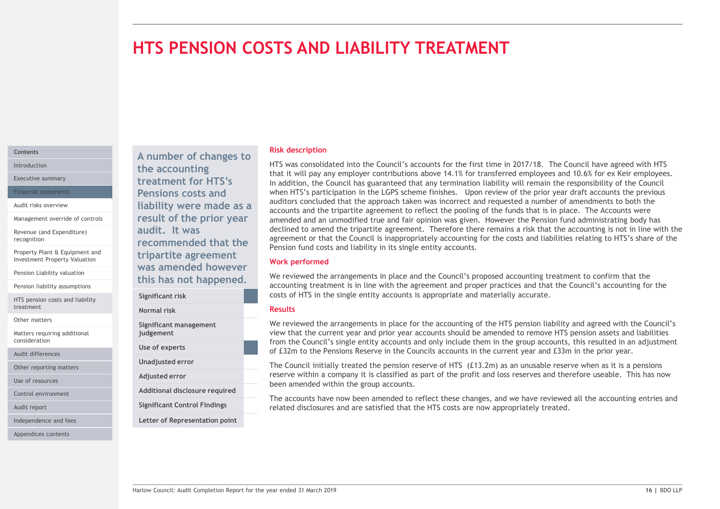# HTS PENSION COSTS AND LIABILITY TREATMENT

# **Contents**

Management override of controls

Revenue (and Expenditure)

Property Plant & Equipment and Investment Property Valuation

Pension Liability valuation

Pension liability assumptions

HTS pension costs and liability treatment

Other matters

Matters requiring additional consideration

Audit differences

Other reporting matters

Use of resources

Control environment

Audit report

Independence and fees

Appendices contents

Introduction **EXECUTE:** The accounting that it Executive summary **Executive summary treatment for HTS's** In addition, the Financial statements **Pensions costs and** When HTS's Audit risks overview **EXECUTE:**  $\begin{array}{c} \hbox{1aibility were made as a}\end{array}$ result of the prior year audit. It was recognition **recommended that the** agreement or that recommended that the pension fund costs tripartite agreement

A number of changes to

|                                     | accounting treatment is in line with                                        |
|-------------------------------------|-----------------------------------------------------------------------------|
| Significant risk                    | costs of HTS in the single entity acce                                      |
| Normal risk                         | <b>Results</b>                                                              |
| Significant management<br>judgement | We reviewed the arrangements in pl<br>view that the current year and prior  |
| Use of experts                      | from the Council's single entity acco<br>of £32m to the Pensions Reserve in |
| Unadjusted error                    | The Council initially treated the per                                       |
| Adjusted error                      | reserve within a company it is classi                                       |
| Additional disclosure required      | been amended within the group acc                                           |
| <b>Significant Control Findings</b> | The accounts have now been amend<br>related disclosures and are satisfied   |
|                                     |                                                                             |

Letter of Representation point

this has not happened.

# Risk description

HTS was consolidated into the Council's accounts for the first time in 2017/18. The Council have agreed with HTS that it will pay any employer contributions above 14.1% for transferred employees and 10.6% for ex Keir employees. In addition, the Council has guaranteed that any termination liability will remain the responsibility of the Council when HTS's participation in the LGPS scheme finishes. Upon review of the prior year draft accounts the previous auditors concluded that the approach taken was incorrect and requested a number of amendments to both the accounts and the tripartite agreement to reflect the pooling of the funds that is in place. The Accounts were amended and an unmodified true and fair opinion was given. However the Pension fund administrating body has declined to amend the tripartite agreement. Therefore there remains a risk that the accounting is not in line with the agreement or that the Council is inappropriately accounting for the costs and liabilities relating to HTS's share of the Pension fund costs and liability in its single entity accounts. Risk description<br>
HTS was consolidated into the Council's accounts for the first time in 2017/18. The Council have agreed with HTS<br>
that It will pay any employer contributions above 14.1% for transferred employees and 10.6

# Work performed

accounting treatment is in line with the agreement and proper practices and that the Council's accounting for the costs of HTS in the single entity accounts is appropriate and materially accurate. Significant risk was amended however<br>
We reviewed the arrangements in place and the Council's proposed accounting treatment to confirm that the

### Results

We reviewed the arrangements in place and the Council's proposed accounting treatment to confirm that the synchmical council is to the synchmical proper propriate and proper propriate and the U.Council's accounting for the Significant management We reviewed the arrangements in place for the accounting of the HTS pension liability and agreed with the Council's view that the current year and prior year accounts should be amended to remove HTS pension assets and liabilities from the Council's single entity accounts and only include them in the group accounts, this resulted in an adjustment Use of experts<br>
of £32m to the Pensions Reserve in the Councils accounts in the current year and £33m in the prior year.

The Council initially treated the pension reserve of HTS (£13.2m) as an unusable reserve when as it is a pensions Unadjusted error reserve within a company it is classified as part of the profit and loss reserves and therefore useable. This has now Adjusted error been amended within the group accounts.

The accounts have now been amended to reflect these changes, and we have reviewed all the accounting entries and Significant Control Findings entity and are satisfied that the HTS costs are now appropriately treated.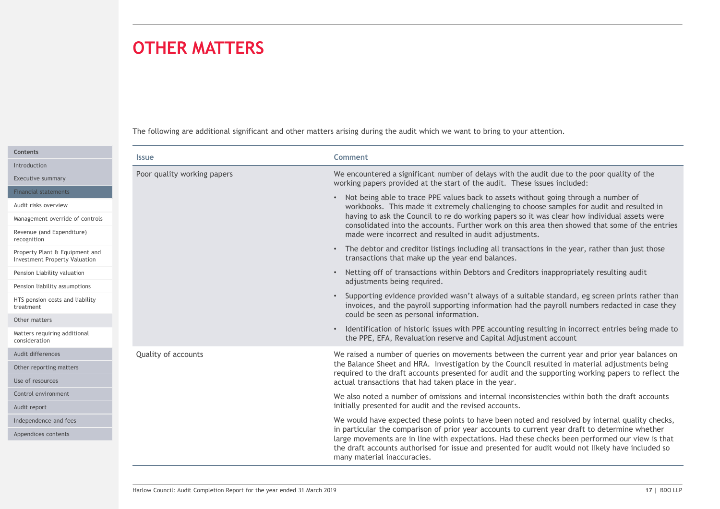# OTHER MATTERS

| <b>OTHER MATTERS</b>                                                   |                                                                                                                                                                                                                                                                                                                                                                                                                                                |
|------------------------------------------------------------------------|------------------------------------------------------------------------------------------------------------------------------------------------------------------------------------------------------------------------------------------------------------------------------------------------------------------------------------------------------------------------------------------------------------------------------------------------|
|                                                                        | The following are additional significant and other matters arising during the audit which we want to bring to your attention.                                                                                                                                                                                                                                                                                                                  |
| <b>Issue</b>                                                           | Comment                                                                                                                                                                                                                                                                                                                                                                                                                                        |
| Poor quality working papers                                            | We encountered a significant number of delays with the audit due to the poor quality of the<br>working papers provided at the start of the audit. These issues included:                                                                                                                                                                                                                                                                       |
| Management override of controls                                        | • Not being able to trace PPE values back to assets without going through a number of<br>workbooks. This made it extremely challenging to choose samples for audit and resulted in<br>having to ask the Council to re do working papers so it was clear how individual assets were<br>consolidated into the accounts. Further work on this area then showed that some of the entries<br>made were incorrect and resulted in audit adjustments. |
| Property Plant & Equipment and<br><b>Investment Property Valuation</b> | • The debtor and creditor listings including all transactions in the year, rather than just those<br>transactions that make up the year end balances.                                                                                                                                                                                                                                                                                          |
| Pension liability assumptions                                          | • Netting off of transactions within Debtors and Creditors inappropriately resulting audit<br>adjustments being required.                                                                                                                                                                                                                                                                                                                      |
| HTS pension costs and liability                                        | • Supporting evidence provided wasn't always of a suitable standard, eg screen prints rather than<br>invoices, and the payroll supporting information had the payroll numbers redacted in case they<br>could be seen as personal information.                                                                                                                                                                                                  |
| Matters requiring additional                                           | • Identification of historic issues with PPE accounting resulting in incorrect entries being made to<br>the PPE, EFA, Revaluation reserve and Capital Adjustment account                                                                                                                                                                                                                                                                       |
| Quality of accounts                                                    | We raised a number of queries on movements between the current year and prior year balances on<br>the Balance Sheet and HRA. Investigation by the Council resulted in material adjustments being<br>required to the draft accounts presented for audit and the supporting working papers to reflect the<br>actual transactions that had taken place in the year.                                                                               |
|                                                                        | We also noted a number of omissions and internal inconsistencies within both the draft accounts<br>initially presented for audit and the revised accounts.                                                                                                                                                                                                                                                                                     |
|                                                                        | We would have expected these points to have been noted and resolved by internal quality checks,<br>in particular the comparison of prior year accounts to current year draft to determine whether                                                                                                                                                                                                                                              |
| Independence and fees                                                  | large movements are in line with expectations. Had these checks been performed our view is that<br>the draft accounts authorised for issue and presented for audit would not likely have included so<br>many material inaccuracies.                                                                                                                                                                                                            |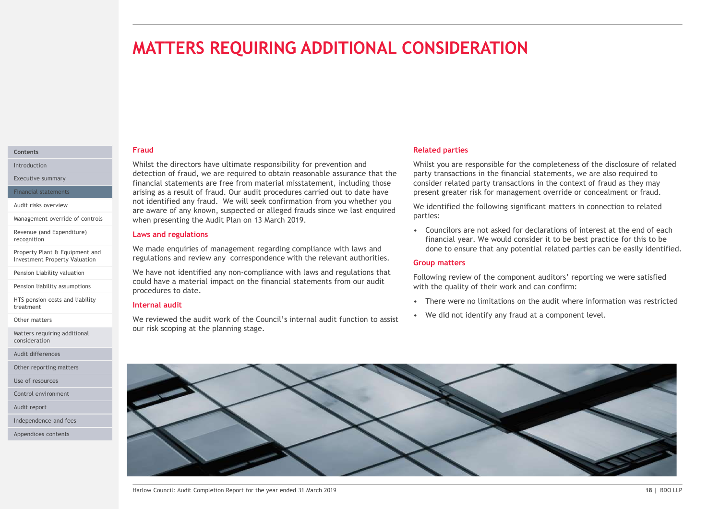# MATTERS REQUIRING ADDITIONAL CONSIDERATION

# Fraud

Whilst the directors have ultimate responsibility for prevention and Introduction detection of fraud, we are required to obtain reasonable assurance that the Executive summary<br>
Financial statements are free from material misstatement, including those consider related principles arising as a result of fraud. Our audit procedures carried out to date have Financial statements **MATTERS REQUIRING ADDITIONAL CONSIDERATI**<br>
Fraud<br>
Whilst the directors have ultimate responsibility for prevention and<br>
detection of fraud, we are required to obtain reasonable assurance that the<br>
frinancial statements ar Audit risks overview<br>are aware of any known, suspected or alleged frauds since we last enquired we identified the f when presenting the Audit Plan on 13 March 2019. Management override of controls

### Laws and regulations

We made enquiries of management regarding compliance with laws and

Pension Liability valuation **Startup and We have not identified any non-compliance with laws and regulations that** could have a material impact on the financial statements from our audit procedures to date.

# Internal audit

We reviewed the audit work of the Council's internal audit function to assist . We did not identify any fraud at a component level. our risk scoping at the planning stage.

# Related parties

Whilst you are responsible for the completeness of the disclosure of related party transactions in the financial statements, we are also required to consider related party transactions in the context of fraud as they may present greater risk for management override or concealment or fraud. **COUNTRIMANUM**<br> **Example 18 Analytical partitis**<br> **Solution** are responsible for the completeness of the disclosure of related<br>
party transactions in the financial statements, we are also required to<br>
consider related part **Related parties**<br>
Whilst you are responsible for the completeness of the disclosure of related<br>
party transactions in the financial statements, we are also required to<br>
consider related party transactions in the context o **Related parties**<br>
Whilst you are responsible for the completeness of the disclosure of related<br>
party transactions in the financial statements, we are also required to<br>
consider related party transactions in the context o

We identified the following significant matters in connection to related parties:

financial year. We would consider it to be best practice for this to be done to ensure that any potential related parties can be easily identified.

Following review of the component auditors' reporting we were satisfied with the quality of their work and can confirm:

- 
- 

# Investment Property Valuation **State and review any correspondence with the relevant authorities. Croup matters** Group matters



# **Contents Contents Contents**

Revenue (and Expenditure) recognition

Property Plant & Equipment and<br>Investment Property Valuation

Pension liability assumptions

HTS pension costs and liability treatment

Other matters

Matters requiring additional consideration

Audit differences

Other reporting matters

Use of resources

Control environment

Audit report

Independence and fees

Appendices contents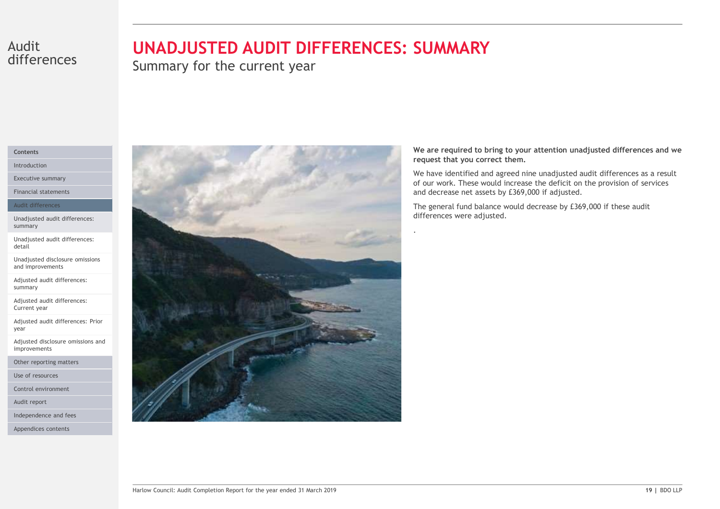# differences

# Audit **UNADJUSTED AUDIT DIFFERENCES: SUMMARY**

Summary for the current year

# Contents

Introduction

Executive summary

Financial statements

### Audit differences

Unadjusted audit differences: summary

Unadjusted audit differences: detail

Unadjusted disclosure omissions and improvements

Adjusted audit differences: summary

Adjusted audit differences: Current year

Adjusted audit differences: Prior year and the state of the state of the state of the state of the state of the state of the state of the state of the state of the state of the state of the state of the state of the state of the state of the state of the s

Adjusted disclosure omissions and improvements

Other reporting matters

Use of resources

Control environment

Audit report

Independence and fees

Appendices contents



We are required to bring to your attention unadjusted differences and we request that you correct them.

We have identified and agreed nine unadjusted audit differences as a result of our work. These would increase the deficit on the provision of services and decrease net assets by £369,000 if adjusted.

The general fund balance would decrease by £369,000 if these audit differences were adjusted.

.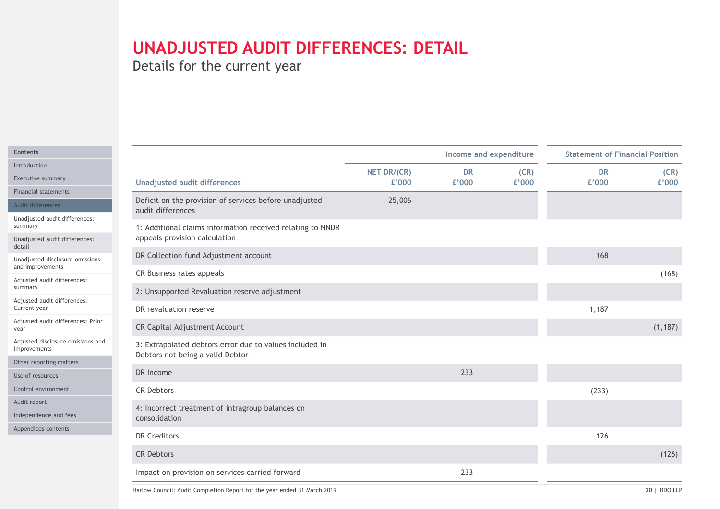| Details for the current year                                                                                                     |                      |                        |               |                                        |               |
|----------------------------------------------------------------------------------------------------------------------------------|----------------------|------------------------|---------------|----------------------------------------|---------------|
|                                                                                                                                  |                      |                        |               |                                        |               |
|                                                                                                                                  |                      |                        |               |                                        |               |
|                                                                                                                                  |                      |                        |               |                                        |               |
|                                                                                                                                  |                      |                        |               |                                        |               |
|                                                                                                                                  |                      |                        |               |                                        |               |
|                                                                                                                                  |                      | Income and expenditure |               | <b>Statement of Financial Position</b> |               |
| <b>Unadjusted audit differences</b>                                                                                              | NET DR/(CR)<br>£'000 | <b>DR</b><br>£'000     | (CR)<br>£'000 | <b>DR</b><br>£'000                     | (CR)<br>£'000 |
| Deficit on the provision of services before unadjusted                                                                           |                      |                        |               |                                        |               |
| audit differences                                                                                                                | 25,006               |                        |               |                                        |               |
| 1: Additional claims information received relating to NNDR                                                                       |                      |                        |               |                                        |               |
| appeals provision calculation                                                                                                    |                      |                        |               |                                        |               |
| DR Collection fund Adjustment account<br>Unadjusted disclosure omissions                                                         |                      |                        |               | 168                                    |               |
| CR Business rates appeals                                                                                                        |                      |                        |               |                                        | (168)         |
| 2: Unsupported Revaluation reserve adjustment                                                                                    |                      |                        |               |                                        |               |
| DR revaluation reserve                                                                                                           |                      |                        |               | 1,187                                  |               |
| Adjusted audit differences: Prior<br>CR Capital Adjustment Account                                                               |                      |                        |               |                                        | (1, 187)      |
| Adjusted disclosure omissions and<br>3: Extrapolated debtors error due to values included in<br>Debtors not being a valid Debtor |                      |                        |               |                                        |               |
| DR Income                                                                                                                        |                      | 233                    |               |                                        |               |
|                                                                                                                                  |                      |                        |               |                                        |               |
|                                                                                                                                  |                      |                        |               | (233)                                  |               |
| CR Debtors                                                                                                                       |                      |                        |               |                                        |               |
| 4: Incorrect treatment of intragroup balances on<br>consolidation                                                                |                      |                        |               |                                        |               |
|                                                                                                                                  |                      |                        |               |                                        |               |
| DR Creditors                                                                                                                     |                      |                        |               | 126                                    |               |
| CR Debtors<br>Impact on provision on services carried forward                                                                    |                      | 233                    |               |                                        | (126)         |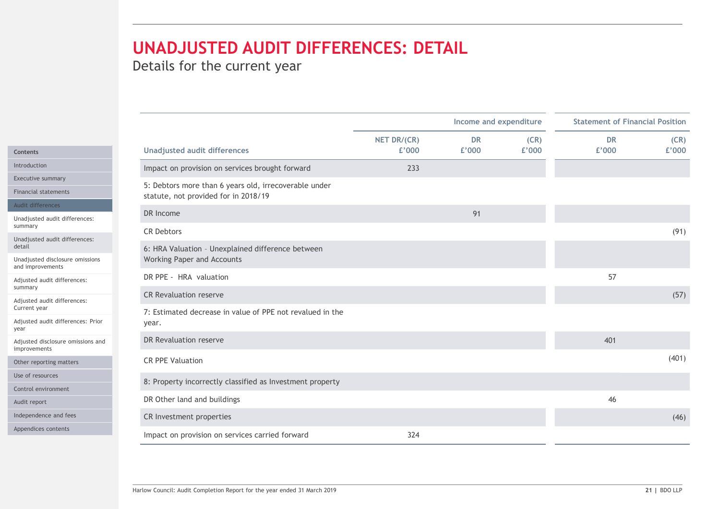|                                                                  | Details for the current year                                                                  | <b>UNADJUSTED AUDIT DIFFERENCES: DETAIL</b> |                        |               |                                        |               |
|------------------------------------------------------------------|-----------------------------------------------------------------------------------------------|---------------------------------------------|------------------------|---------------|----------------------------------------|---------------|
|                                                                  |                                                                                               |                                             |                        |               |                                        |               |
|                                                                  |                                                                                               |                                             | Income and expenditure |               | <b>Statement of Financial Position</b> |               |
|                                                                  | <b>Unadjusted audit differences</b>                                                           | NET DR/(CR)<br>£'000                        | <b>DR</b><br>£'000     | (CR)<br>£'000 | <b>DR</b><br>£'000                     | (CR)<br>£'000 |
|                                                                  | Impact on provision on services brought forward                                               | 233                                         |                        |               |                                        |               |
|                                                                  | 5: Debtors more than 6 years old, irrecoverable under<br>statute, not provided for in 2018/19 |                                             |                        |               |                                        |               |
|                                                                  | DR Income                                                                                     |                                             | 91                     |               |                                        |               |
| Unadjusted audit differences:                                    | <b>CR Debtors</b>                                                                             |                                             |                        |               |                                        | (91)          |
| Unadjusted audit differences:                                    | 6: HRA Valuation - Unexplained difference between                                             |                                             |                        |               |                                        |               |
| Unadjusted disclosure omissions                                  | Working Paper and Accounts                                                                    |                                             |                        |               |                                        |               |
| Adjusted audit differences:                                      | DR PPE - HRA valuation                                                                        |                                             |                        |               | 57                                     |               |
|                                                                  | <b>CR Revaluation reserve</b>                                                                 |                                             |                        |               |                                        | (57)          |
| Adjusted audit differences:<br>Adjusted audit differences: Prior | 7: Estimated decrease in value of PPE not revalued in the<br>year.                            |                                             |                        |               |                                        |               |
| Adjusted disclosure omissions and                                | DR Revaluation reserve                                                                        |                                             |                        |               | 401                                    |               |
|                                                                  | CR PPE Valuation                                                                              |                                             |                        |               |                                        | (401)         |
|                                                                  |                                                                                               |                                             |                        |               |                                        |               |
|                                                                  | 8: Property incorrectly classified as Investment property                                     |                                             |                        |               |                                        |               |
|                                                                  | DR Other land and buildings                                                                   |                                             |                        |               | 46                                     |               |
|                                                                  | CR Investment properties                                                                      |                                             |                        |               |                                        | (46)          |
|                                                                  | Impact on provision on services carried forward                                               | 324                                         |                        |               |                                        |               |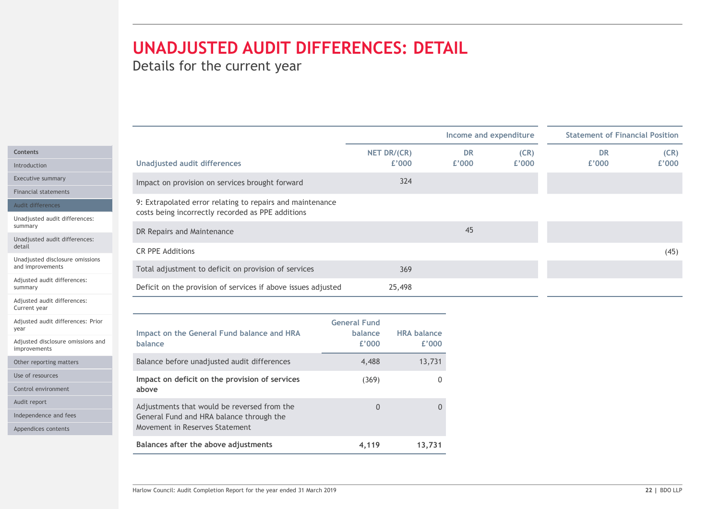|                                                     |                                                                                                                |                     |                             | UNADJUSTED AUDIT DIFFERENCES: DETAIL |       |           |                                        |  |  |
|-----------------------------------------------------|----------------------------------------------------------------------------------------------------------------|---------------------|-----------------------------|--------------------------------------|-------|-----------|----------------------------------------|--|--|
|                                                     |                                                                                                                |                     |                             | Income and expenditure               |       |           | <b>Statement of Financial Position</b> |  |  |
|                                                     |                                                                                                                |                     | NET DR/(CR)                 | <b>DR</b>                            | (CR)  | <b>DR</b> | (CR)                                   |  |  |
| Introduction                                        | <b>Unadjusted audit differences</b>                                                                            |                     | £'000                       | £'000                                | £'000 | £'000     | £'000                                  |  |  |
| Executive summary                                   | Impact on provision on services brought forward                                                                |                     | 324                         |                                      |       |           |                                        |  |  |
| <b>Financial statements</b>                         |                                                                                                                |                     |                             |                                      |       |           |                                        |  |  |
| Audit differences                                   | 9: Extrapolated error relating to repairs and maintenance<br>costs being incorrectly recorded as PPE additions |                     |                             |                                      |       |           |                                        |  |  |
| Unadjusted audit differences:                       |                                                                                                                |                     |                             |                                      |       |           |                                        |  |  |
| Unadjusted audit differences:                       | DR Repairs and Maintenance                                                                                     |                     |                             | 45                                   |       |           |                                        |  |  |
| detail                                              | <b>CR PPE Additions</b>                                                                                        |                     |                             |                                      |       |           | (45)                                   |  |  |
| Unadjusted disclosure omissions<br>and improvements | Total adjustment to deficit on provision of services                                                           |                     | 369                         |                                      |       |           |                                        |  |  |
| Adjusted audit differences:                         | Deficit on the provision of services if above issues adjusted                                                  |                     | 25,498                      |                                      |       |           |                                        |  |  |
| Adjusted audit differences:<br>Current year         |                                                                                                                |                     |                             |                                      |       |           |                                        |  |  |
| Adjusted audit differences: Prior                   |                                                                                                                | <b>General Fund</b> |                             |                                      |       |           |                                        |  |  |
| Adjusted disclosure omissions and<br>improvements   | Impact on the General Fund balance and HRA<br>balance                                                          | balance<br>£'000    | <b>HRA balance</b><br>£'000 |                                      |       |           |                                        |  |  |
| Other reporting matters                             | Balance before unadjusted audit differences                                                                    | 4,488               | 13,731                      |                                      |       |           |                                        |  |  |
| Use of resources                                    | Impact on deficit on the provision of services                                                                 | (369)               |                             | 0                                    |       |           |                                        |  |  |
| Control environment                                 | above                                                                                                          |                     |                             |                                      |       |           |                                        |  |  |
| Audit report                                        | Adjustments that would be reversed from the                                                                    | $\overline{0}$      |                             | $\overline{0}$                       |       |           |                                        |  |  |
| Independence and fees                               | General Fund and HRA balance through the                                                                       |                     |                             |                                      |       |           |                                        |  |  |
| Appendices contents                                 | Movement in Reserves Statement                                                                                 |                     |                             |                                      |       |           |                                        |  |  |
|                                                     | Balances after the above adjustments                                                                           | 4,119               | 13,731                      |                                      |       |           |                                        |  |  |

| Financial statements                                          | 9: Extrapolated error relating to repairs and maintenance     |                     |                    |    |      |
|---------------------------------------------------------------|---------------------------------------------------------------|---------------------|--------------------|----|------|
| Audit differences<br>Unadjusted audit differences:<br>summary |                                                               |                     |                    |    |      |
|                                                               | costs being incorrectly recorded as PPE additions             |                     |                    |    |      |
|                                                               | DR Repairs and Maintenance                                    |                     |                    | 45 |      |
| Unadjusted audit differences:<br>detail                       |                                                               |                     |                    |    |      |
| Unadjusted disclosure omissions                               | <b>CR PPE Additions</b>                                       |                     |                    |    | (45) |
| and improvements                                              | Total adjustment to deficit on provision of services          |                     | 369                |    |      |
| Adjusted audit differences:<br>summary                        | Deficit on the provision of services if above issues adjusted |                     | 25,498             |    |      |
| Adjusted audit differences:<br>Current year                   |                                                               |                     |                    |    |      |
| Adjusted audit differences: Prior                             |                                                               | <b>General Fund</b> |                    |    |      |
| year                                                          | Impact on the General Fund balance and HRA                    | balance             | <b>HRA balance</b> |    |      |
| Adjusted disclosure omissions and<br>improvements             | balance                                                       | £'000               | £'000              |    |      |
| Other reporting matters                                       | Balance before unadjusted audit differences                   | 4,488               | 13,731             |    |      |
| Use of resources                                              | Impact on deficit on the provision of services                | (369)               | $\overline{0}$     |    |      |
| Control environment                                           | above                                                         |                     |                    |    |      |
| Audit report                                                  | Adjustments that would be reversed from the                   | $\overline{0}$      | $\Omega$           |    |      |
| Independence and fees                                         | General Fund and HRA balance through the                      |                     |                    |    |      |
| Appendices contents                                           | Movement in Reserves Statement                                |                     |                    |    |      |
|                                                               | Balances after the above adjustments                          | 4,119               | 13,731             |    |      |
|                                                               |                                                               |                     |                    |    |      |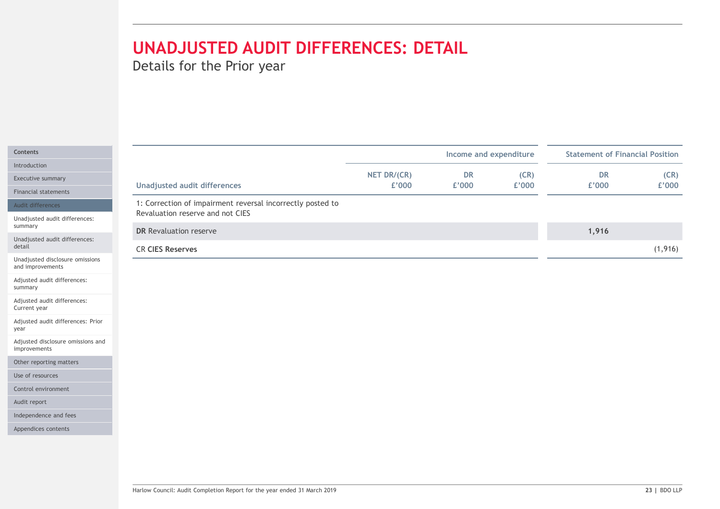|                                                                        | Details for the Prior year                                 | <b>UNADJUSTED AUDIT DIFFERENCES: DETAIL</b> |                        |               |                                        |               |
|------------------------------------------------------------------------|------------------------------------------------------------|---------------------------------------------|------------------------|---------------|----------------------------------------|---------------|
|                                                                        |                                                            |                                             |                        |               |                                        |               |
|                                                                        |                                                            |                                             | Income and expenditure |               | <b>Statement of Financial Position</b> |               |
|                                                                        | <b>Unadjusted audit differences</b>                        | NET DR/(CR)<br>£'000                        | <b>DR</b><br>£'000     | (CR)<br>£'000 | <b>DR</b><br>£'000                     | (CR)<br>£'000 |
|                                                                        | 1: Correction of impairment reversal incorrectly posted to |                                             |                        |               |                                        |               |
| Unadjusted audit differences:                                          | Revaluation reserve and not CIES                           |                                             |                        |               |                                        |               |
| Unadjusted audit differences:                                          | DR Revaluation reserve                                     |                                             |                        |               | 1,916                                  |               |
|                                                                        | <b>CR CIES Reserves</b>                                    |                                             |                        |               |                                        | (1, 916)      |
| Unadjusted disclosure omissions                                        |                                                            |                                             |                        |               |                                        |               |
| Adjusted audit differences:                                            |                                                            |                                             |                        |               |                                        |               |
| Adjusted audit differences:                                            |                                                            |                                             |                        |               |                                        |               |
|                                                                        |                                                            |                                             |                        |               |                                        |               |
|                                                                        |                                                            |                                             |                        |               |                                        |               |
| Adjusted audit differences: Prior<br>Adjusted disclosure omissions and |                                                            |                                             |                        |               |                                        |               |
|                                                                        |                                                            |                                             |                        |               |                                        |               |
|                                                                        |                                                            |                                             |                        |               |                                        |               |
|                                                                        |                                                            |                                             |                        |               |                                        |               |
|                                                                        |                                                            |                                             |                        |               |                                        |               |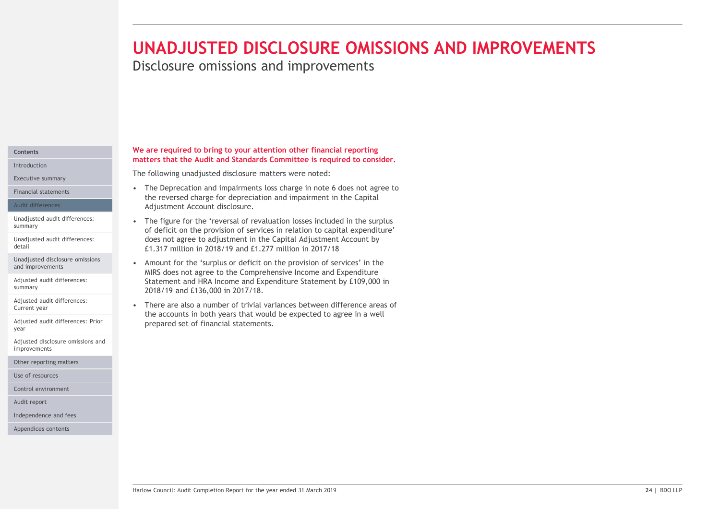# UNADJUSTED DISCLOSURE OMISSIONS AND IMPROVEMENTS.<br>Disclosure omissions and improvements<br>we are required to bring to your attention other financial reporting<br>matters that the Audit and Standards Committee is required to con UNADJUSTED DISCLOSURE OMISSIONS AND IMPROVEMENTS

Disclosure omissions and improvements

# Introduction

Executive summary

### Audit differences

detail

and improvements

Adjusted audit differences:

Current year

Adjusted audit differences: Prior year and the state of the state of the state of the state of the state of the state of the state of the state of the state of the state of the state of the state of the state of the state of the state of the state of the s

Adjusted disclosure omissions and improvements

Other reporting matters

Use of resources

Control environment

Audit report

Independence and fees

Appendices contents

### We are required to bring to your attention other financial reporting Contents **Contents Contents Contents Contents Contents Contents Contents Contents Contents Contents Contents Contents Contents Contents Contents Contents Contents Contents Contents Con**

The following unadjusted disclosure matters were noted:

- the reversed charge for depreciation and impairment in the Capital Adjustment Account disclosure. Financial statements **Exercise 2018** • The Deprecation and impairments loss charge in note 6 does not agree to
- **UNADJUSTED DISCLOSURE OMISSIONS AND IN**<br>Disclosure omissions and improvements<br>we are required to bring to your attention other financial reporting<br>matters that the Audit and Standards Committee is required to consider.<br>Th • The figure of the 'reversal of revaluation in the Capital Adjustment Coversions and the surplusters that the Audit and Standards Committee is required to consider.<br>The following unadjusted disclosure matters were noted: summary<br>
of deficit on the provision of services in relation to capital expenditure' **NADJUSTED DISCLOSURE OMISSIONS AND IMPROVEMENTS**<br>sclosure omissions and improvements<br>term the dust and standards Committee is required to consider.<br>for figure and the dust and standards committee is required to consider.<br> £1.317 million in 2018/19 and £1.277 million in 2017/18 **UNADJUSTED DISCLOSURE OMISSIONS AND**<br>
Disclosure omissions and improvements<br>
we are required to bring to your attention other financial reporting<br>
The following unadjusted disclosure matters were noted:<br>
The Expectation **We are required to bring to your attention other financial reporting<br>
matters that the Audit and Standards Committee is required to consider.**<br>The following unadjusted disclosure matters were noted:<br>
• The Deprecation an Unadjusted audit differences:<br>
• The figure for the 'reversal of revaluation losses included in the surplus Unadjusted audit differences: does not agree to adjustment in the Capital Adjustment Account by
- MIRS does not agree to the Comprehensive Income and Expenditure Statement and HRA Income and Expenditure Statement by £109,000 in summary 2018/19 and £136,000 in 2017/18. Unadjusted disclosure omissions <br>
In Amount for the 'surplus or deficit on the provision of services' in the
- MRS does not agree to the Comprehensive Income and Expenditure<br>
Statement and HRA Income and Expenditure Statement by £109,000 in<br>
2018/19 and {136,000 in 2017/18.<br>
There are also a number of trivial variances between diff the accounts in both years that would be expected to agree in a well prepared set of financial statements. Adjusted audit differences:<br>Current uses are at the street are also a number of trivial variances between difference areas of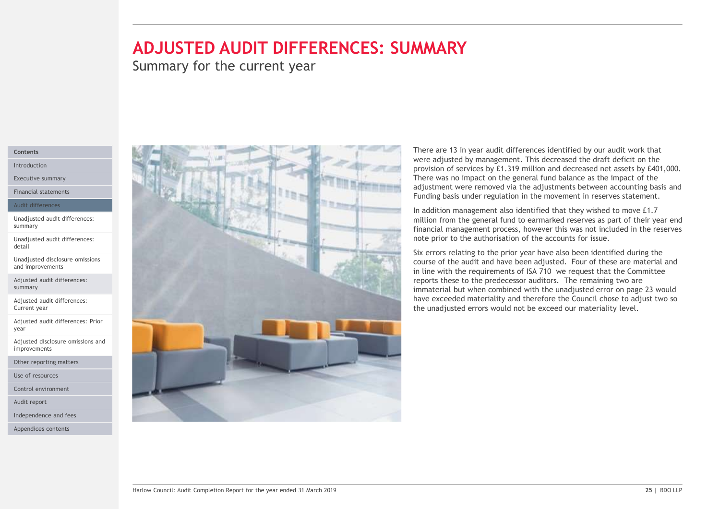# ADJUSTED AUDIT DIFFERENCES: SUMMARY

Summary for the current year

# Contents

Introduction Executive summary

Financial statements

### Audit differences

Unadjusted audit differences: summary

Unadjusted audit differences: detail

Unadjusted disclosure omissions and improvements

Adjusted audit differences: summary

Adjusted audit differences: Current year

Adjusted audit differences: Prior year and the state of the state of the state of the state of the state of the state of the state of the state of the state of the state of the state of the state of the state of the state of the state of the state of the s

Adjusted disclosure omissions and improvements

Other reporting matters

Use of resources

Control environment

Audit report

Independence and fees

Appendices contents



There are 13 in year audit differences identified by our audit work that **WAARY**<br>There are 13 in year audit differences identified by our audit work that<br>were adjusted by management. This decreased the draft deficit on the<br>provision of services by £1.319 million and decreased net assets by £401 provision of services by £1.319 million and decreased net assets by £401,000. There was no impact on the general fund balance as the impact of the adjustment were removed via the adjustments between accounting basis and Funding basis under regulation in the movement in reserves statement. **There are 13 in year audit differences identified by our audit work that were adjusted by mangement. This decreased the dark deficit on the provision of services by £1.319 million and decreased net assets by £401,000. The** 

In addition management also identified that they wished to move £1.7 million from the general fund to earmarked reserves as part of their year end financial management process, however this was not included in the reserves

Six errors relating to the prior year have also been identified during the course of the audit and have been adjusted. Four of these are material and in line with the requirements of ISA 710 we request that the Committee reports these to the predecessor auditors. The remaining two are immaterial but when combined with the unadjusted error on page 23 would have exceeded materiality and therefore the Council chose to adjust two so the unadjusted errors would not be exceed our materiality level.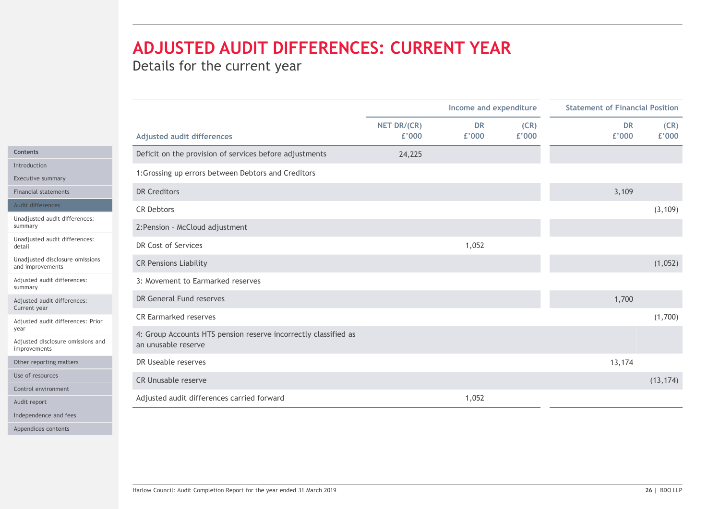|                                                                          |                                                                 |                      | Income and expenditure |               | <b>Statement of Financial Position</b> |               |
|--------------------------------------------------------------------------|-----------------------------------------------------------------|----------------------|------------------------|---------------|----------------------------------------|---------------|
|                                                                          | <b>Adjusted audit differences</b>                               | NET DR/(CR)<br>£'000 | <b>DR</b><br>£'000     | (CR)<br>£'000 | <b>DR</b><br>£'000                     | (CR)<br>£'000 |
|                                                                          | Deficit on the provision of services before adjustments         | 24,225               |                        |               |                                        |               |
| Introduction                                                             | 1: Grossing up errors between Debtors and Creditors             |                      |                        |               |                                        |               |
| Executive summary                                                        |                                                                 |                      |                        |               |                                        |               |
| <b>DR Creditors</b><br><b>Financial statements</b>                       |                                                                 |                      |                        |               | 3,109                                  |               |
| Audit differences<br><b>CR Debtors</b><br>Unadjusted audit differences:  |                                                                 |                      |                        |               |                                        | (3, 109)      |
|                                                                          | 2: Pension - McCloud adjustment                                 |                      |                        |               |                                        |               |
| Unadjusted audit differences:<br>DR Cost of Services                     |                                                                 |                      | 1,052                  |               |                                        |               |
| Unadjusted disclosure omissions<br>and improvements                      | <b>CR Pensions Liability</b>                                    |                      |                        |               |                                        | (1,052)       |
| Adjusted audit differences:                                              | 3: Movement to Earmarked reserves                               |                      |                        |               |                                        |               |
| Adjusted audit differences:<br>Current year                              | DR General Fund reserves                                        |                      |                        |               | 1,700                                  |               |
| Adjusted audit differences: Prior                                        | CR Earmarked reserves                                           |                      |                        |               |                                        | (1,700)       |
| Adjusted disclosure omissions and<br>an unusable reserve<br>improvements | 4: Group Accounts HTS pension reserve incorrectly classified as |                      |                        |               |                                        |               |
| DR Useable reserves<br>Other reporting matters                           |                                                                 |                      |                        |               | 13,174                                 |               |
| Use of resources                                                         | CR Unusable reserve                                             |                      |                        |               |                                        | (13, 174)     |
| Control environment                                                      |                                                                 |                      |                        |               |                                        |               |
| Audit report                                                             | Adjusted audit differences carried forward                      |                      | 1,052                  |               |                                        |               |
| Independence and fees                                                    |                                                                 |                      |                        |               |                                        |               |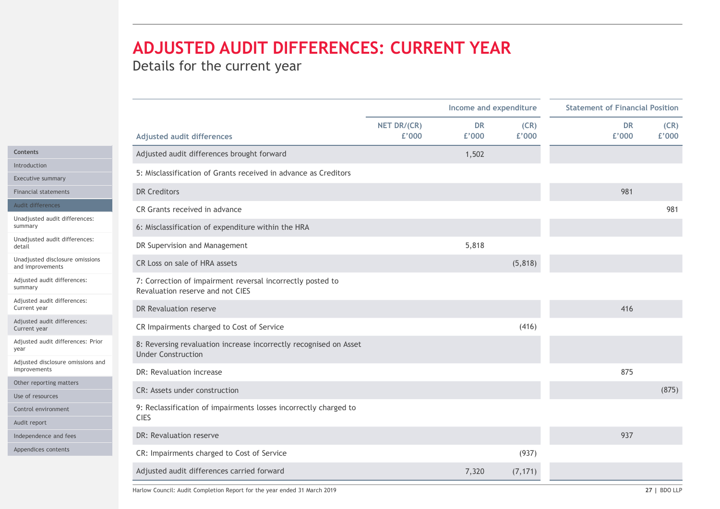|                                                     | ADJUSTED AUDIT DIFFERENCES: CURRENT YEAR                                                       |             |                        |          |                                        |       |
|-----------------------------------------------------|------------------------------------------------------------------------------------------------|-------------|------------------------|----------|----------------------------------------|-------|
|                                                     |                                                                                                |             |                        |          |                                        |       |
|                                                     |                                                                                                |             |                        |          |                                        |       |
|                                                     | Details for the current year                                                                   |             |                        |          |                                        |       |
|                                                     |                                                                                                |             | Income and expenditure |          | <b>Statement of Financial Position</b> |       |
|                                                     |                                                                                                | NET DR/(CR) | <b>DR</b>              | (CR)     | <b>DR</b>                              | (CR)  |
|                                                     | <b>Adjusted audit differences</b>                                                              | £'000       | £'000                  | £'000    | £'000                                  | £'000 |
| Contents                                            | Adjusted audit differences brought forward                                                     |             | 1,502                  |          |                                        |       |
| Introduction<br>Executive summary                   | 5: Misclassification of Grants received in advance as Creditors                                |             |                        |          |                                        |       |
| <b>Financial statements</b>                         | <b>DR Creditors</b>                                                                            |             |                        |          | 981                                    |       |
| Audit differences                                   | CR Grants received in advance                                                                  |             |                        |          |                                        | 981   |
| Unadjusted audit differences:<br>summary            | 6: Misclassification of expenditure within the HRA                                             |             |                        |          |                                        |       |
| Unadjusted audit differences:                       |                                                                                                |             |                        |          |                                        |       |
|                                                     | DR Supervision and Management                                                                  |             | 5,818                  |          |                                        |       |
| Unadjusted disclosure omissions<br>and improvements | CR Loss on sale of HRA assets                                                                  |             |                        | (5,818)  |                                        |       |
| Adjusted audit differences:<br>summary              | 7: Correction of impairment reversal incorrectly posted to<br>Revaluation reserve and not CIES |             |                        |          |                                        |       |
| Adjusted audit differences:<br>Current year         | DR Revaluation reserve                                                                         |             |                        |          | 416                                    |       |
| Adjusted audit differences:<br>Current year         | CR Impairments charged to Cost of Service                                                      |             |                        | (416)    |                                        |       |
| Adjusted audit differences: Prior                   | 8: Reversing revaluation increase incorrectly recognised on Asset<br><b>Under Construction</b> |             |                        |          |                                        |       |
| Adjusted disclosure omissions and<br>improvements   | DR: Revaluation increase                                                                       |             |                        |          | 875                                    |       |
| Other reporting matters                             |                                                                                                |             |                        |          |                                        |       |
| Use of resources                                    | CR: Assets under construction                                                                  |             |                        |          |                                        | (875) |
| Control environment                                 | 9: Reclassification of impairments losses incorrectly charged to<br><b>CIES</b>                |             |                        |          |                                        |       |
| Audit report                                        | DR: Revaluation reserve                                                                        |             |                        |          | 937                                    |       |
| Independence and fees<br>Appendices contents        |                                                                                                |             |                        |          |                                        |       |
|                                                     | CR: Impairments charged to Cost of Service                                                     |             |                        | (937)    |                                        |       |
|                                                     | Adjusted audit differences carried forward                                                     |             | 7,320                  | (7, 171) |                                        |       |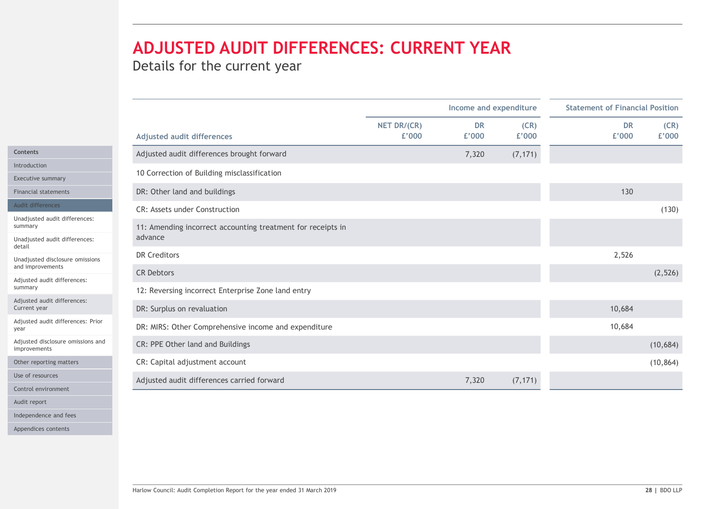|                                                 |                                                                        |             | Income and expenditure |          | <b>Statement of Financial Position</b> |
|-------------------------------------------------|------------------------------------------------------------------------|-------------|------------------------|----------|----------------------------------------|
|                                                 |                                                                        | NET DR/(CR) | <b>DR</b>              | (CR)     | (CR)<br><b>DR</b>                      |
|                                                 | <b>Adjusted audit differences</b>                                      | £'000       | £'000                  | £'000    | £'000<br>£'000                         |
|                                                 | Adjusted audit differences brought forward                             |             | 7,320                  | (7, 171) |                                        |
| Introduction<br>Executive summary               | 10 Correction of Building misclassification                            |             |                        |          |                                        |
| <b>Financial statements</b>                     | DR: Other land and buildings                                           |             |                        |          | 130                                    |
| Audit differences                               | CR: Assets under Construction                                          |             |                        |          |                                        |
| Unadjusted audit differences:<br>summary        |                                                                        |             |                        |          | (130)                                  |
| Unadjusted audit differences:                   | 11: Amending incorrect accounting treatment for receipts in<br>advance |             |                        |          |                                        |
| Unadjusted disclosure omissions                 | <b>DR Creditors</b>                                                    |             |                        |          | 2,526                                  |
| and improvements<br>Adjusted audit differences: | <b>CR Debtors</b>                                                      |             |                        |          | (2, 526)                               |
| summary                                         | 12: Reversing incorrect Enterprise Zone land entry                     |             |                        |          |                                        |
| Adjusted audit differences:<br>Current year     | DR: Surplus on revaluation                                             |             |                        |          | 10,684                                 |
| Adjusted audit differences: Prior               |                                                                        |             |                        |          | 10,684                                 |
| Adjusted disclosure omissions and               | DR: MIRS: Other Comprehensive income and expenditure                   |             |                        |          |                                        |
| improvements                                    | CR: PPE Other land and Buildings                                       |             |                        |          | (10, 684)                              |
| Other reporting matters                         | CR: Capital adjustment account                                         |             |                        |          | (10, 864)                              |
| Use of resources                                | Adjusted audit differences carried forward                             |             | 7,320                  | (7, 171) |                                        |
| Control environment                             |                                                                        |             |                        |          |                                        |
| Independence and fees                           |                                                                        |             |                        |          |                                        |
|                                                 |                                                                        |             |                        |          |                                        |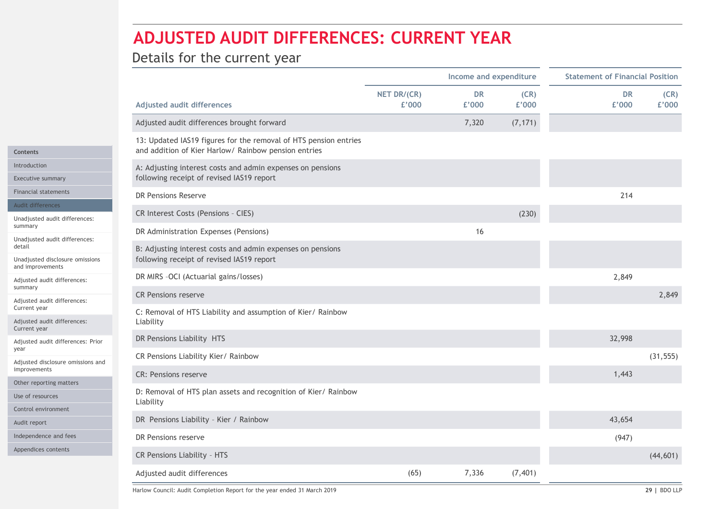|                                                     | Details for the current year                                                                            |                      | <b>ADJUSTED AUDIT DIFFERENCES: CURRENT YEAR</b> |               |                                        |               |
|-----------------------------------------------------|---------------------------------------------------------------------------------------------------------|----------------------|-------------------------------------------------|---------------|----------------------------------------|---------------|
|                                                     |                                                                                                         |                      | Income and expenditure                          |               | <b>Statement of Financial Position</b> |               |
|                                                     | <b>Adjusted audit differences</b>                                                                       | NET DR/(CR)<br>£'000 | <b>DR</b><br>£'000                              | (CR)<br>£'000 | DR<br>£'000                            | (CR)<br>£'000 |
|                                                     | Adjusted audit differences brought forward                                                              |                      | 7,320                                           | (7, 171)      |                                        |               |
|                                                     | 13: Updated IAS19 figures for the removal of HTS pension entries                                        |                      |                                                 |               |                                        |               |
|                                                     | and addition of Kier Harlow/ Rainbow pension entries                                                    |                      |                                                 |               |                                        |               |
| Introduction<br>Executive summary                   | A: Adjusting interest costs and admin expenses on pensions<br>following receipt of revised IAS19 report |                      |                                                 |               |                                        |               |
| <b>Financial statements</b>                         | DR Pensions Reserve                                                                                     |                      |                                                 |               | 214                                    |               |
| Audit differences                                   |                                                                                                         |                      |                                                 |               |                                        |               |
| Unadjusted audit differences:                       | CR Interest Costs (Pensions - CIES)                                                                     |                      |                                                 | (230)         |                                        |               |
| Unadjusted audit differences:                       | DR Administration Expenses (Pensions)                                                                   |                      | 16                                              |               |                                        |               |
| Unadjusted disclosure omissions<br>and improvements | B: Adjusting interest costs and admin expenses on pensions<br>following receipt of revised IAS19 report |                      |                                                 |               |                                        |               |
| Adjusted audit differences:                         | DR MIRS -OCI (Actuarial gains/losses)                                                                   |                      |                                                 |               | 2,849                                  |               |
| Adjusted audit differences:                         | <b>CR Pensions reserve</b>                                                                              |                      |                                                 |               |                                        | 2,849         |
| Current year<br>Adjusted audit differences:         | C: Removal of HTS Liability and assumption of Kier/ Rainbow<br>Liability                                |                      |                                                 |               |                                        |               |
| Current year                                        | DR Pensions Liability HTS                                                                               |                      |                                                 |               | 32,998                                 |               |
| Adjusted audit differences: Prior                   | CR Pensions Liability Kier/ Rainbow                                                                     |                      |                                                 |               |                                        | (31, 555)     |
| Adjusted disclosure omissions and<br>improvements   |                                                                                                         |                      |                                                 |               |                                        |               |
| Other reporting matters                             | <b>CR: Pensions reserve</b>                                                                             |                      |                                                 |               | 1,443                                  |               |
| Use of resources                                    | D: Removal of HTS plan assets and recognition of Kier/ Rainbow<br>Liability                             |                      |                                                 |               |                                        |               |
| Control environment                                 |                                                                                                         |                      |                                                 |               |                                        |               |
|                                                     | DR Pensions Liability - Kier / Rainbow                                                                  |                      |                                                 |               | 43,654                                 |               |
| Independence and fees                               | DR Pensions reserve                                                                                     |                      |                                                 |               | (947)                                  |               |
| Appendices contents                                 | CR Pensions Liability - HTS                                                                             |                      |                                                 |               |                                        | (44, 601)     |
|                                                     | Adjusted audit differences                                                                              | (65)                 | 7,336                                           | (7, 401)      |                                        |               |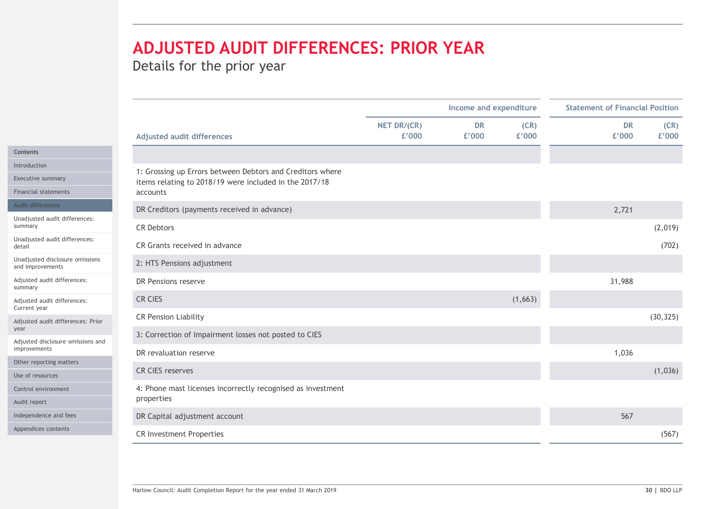# ADJUSTED AUDIT DIFFERENCES: PRIOR YEAR

|                                                     |                                                                    |             | Income and expenditure |         | <b>Statement of Financial Position</b> |
|-----------------------------------------------------|--------------------------------------------------------------------|-------------|------------------------|---------|----------------------------------------|
|                                                     |                                                                    | NET DR/(CR) | <b>DR</b>              | (CR)    | <b>DR</b><br>(CR)                      |
|                                                     | <b>Adjusted audit differences</b>                                  | £'000       | £'000                  | £'000   | £'000<br>£'000                         |
|                                                     |                                                                    |             |                        |         |                                        |
| Executive summary                                   | 1: Grossing up Errors between Debtors and Creditors where          |             |                        |         |                                        |
| Financial statements                                | items relating to 2018/19 were included in the 2017/18<br>accounts |             |                        |         |                                        |
| Audit differences                                   |                                                                    |             |                        |         |                                        |
| Unadjusted audit differences:                       | DR Creditors (payments received in advance)                        |             |                        |         | 2,721                                  |
|                                                     | <b>CR Debtors</b>                                                  |             |                        |         | (2,019)                                |
| Unadjusted audit differences:                       | CR Grants received in advance                                      |             |                        |         | (702)                                  |
| Unadjusted disclosure omissions<br>and improvements | 2: HTS Pensions adjustment                                         |             |                        |         |                                        |
| Adjusted audit differences:                         | DR Pensions reserve                                                |             |                        |         | 31,988                                 |
| Adjusted audit differences:<br>Current year         | CR CIES                                                            |             |                        | (1,663) |                                        |
| Adjusted audit differences: Prior                   | <b>CR Pension Liability</b>                                        |             |                        |         | (30, 325)                              |
|                                                     | 3: Correction of Impairment losses not posted to CIES              |             |                        |         |                                        |
| Adjusted disclosure omissions and<br>improvements   | DR revaluation reserve                                             |             |                        |         | 1,036                                  |
| Other reporting matters                             |                                                                    |             |                        |         |                                        |
| Use of resources                                    | CR CIES reserves                                                   |             |                        |         | (1,036)                                |
| Control environment                                 | 4: Phone mast licenses incorrectly recognised as investment        |             |                        |         |                                        |
| Audit report                                        | properties                                                         |             |                        |         |                                        |
| Independence and fees<br>Appendices contents        | DR Capital adjustment account                                      |             |                        |         | 567                                    |
|                                                     |                                                                    |             |                        |         |                                        |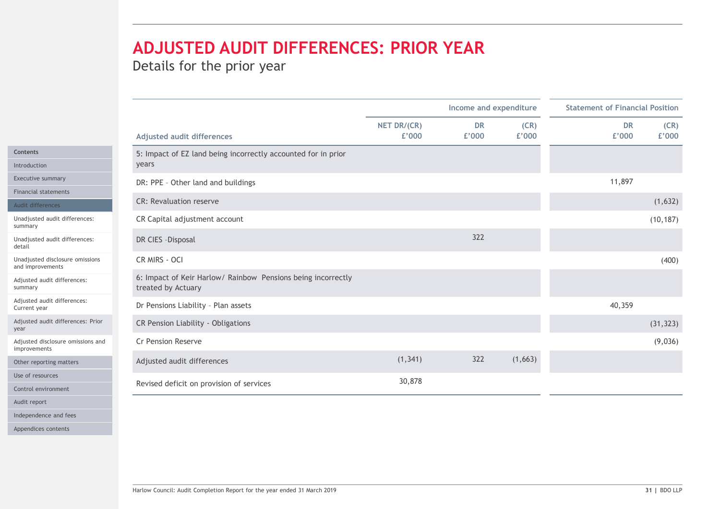# ADJUSTED AUDIT DIFFERENCES: PRIOR YEAR

|                                                     |                                                                                    | Income and expenditure |           |         | <b>Statement of Financial Position</b> |  |  |
|-----------------------------------------------------|------------------------------------------------------------------------------------|------------------------|-----------|---------|----------------------------------------|--|--|
|                                                     |                                                                                    | NET DR/(CR)            | <b>DR</b> | (CR)    | <b>DR</b><br>(CR)                      |  |  |
|                                                     | <b>Adjusted audit differences</b>                                                  | £'000                  | £'000     | £'000   | £'000<br>£'000                         |  |  |
|                                                     | 5: Impact of EZ land being incorrectly accounted for in prior                      |                        |           |         |                                        |  |  |
| Introduction                                        | years                                                                              |                        |           |         |                                        |  |  |
| Executive summary                                   | DR: PPE - Other land and buildings                                                 |                        |           |         | 11,897                                 |  |  |
| <b>Financial statements</b><br>Audit differences    | CR: Revaluation reserve                                                            |                        |           |         | (1,632)                                |  |  |
| Unadjusted audit differences:                       | CR Capital adjustment account                                                      |                        |           |         | (10, 187)                              |  |  |
| Unadjusted audit differences:                       | DR CIES - Disposal                                                                 |                        | 322       |         |                                        |  |  |
| Unadjusted disclosure omissions<br>and improvements | CR MIRS - OCI                                                                      |                        |           |         | (400)                                  |  |  |
| Adjusted audit differences:                         | 6: Impact of Keir Harlow/ Rainbow Pensions being incorrectly<br>treated by Actuary |                        |           |         |                                        |  |  |
| Adjusted audit differences:<br>Current year         | Dr Pensions Liability - Plan assets                                                |                        |           |         | 40,359                                 |  |  |
| Adjusted audit differences: Prior                   | CR Pension Liability - Obligations                                                 |                        |           |         | (31, 323)                              |  |  |
| Adjusted disclosure omissions and<br>improvements   | Cr Pension Reserve                                                                 |                        |           |         | (9,036)                                |  |  |
| Other reporting matters                             | Adjusted audit differences                                                         | (1, 341)               | 322       | (1,663) |                                        |  |  |
| Use of resources                                    |                                                                                    | 30,878                 |           |         |                                        |  |  |
| Control environment                                 | Revised deficit on provision of services                                           |                        |           |         |                                        |  |  |
|                                                     |                                                                                    |                        |           |         |                                        |  |  |
| Independence and fees                               |                                                                                    |                        |           |         |                                        |  |  |
| Appendices contents                                 |                                                                                    |                        |           |         |                                        |  |  |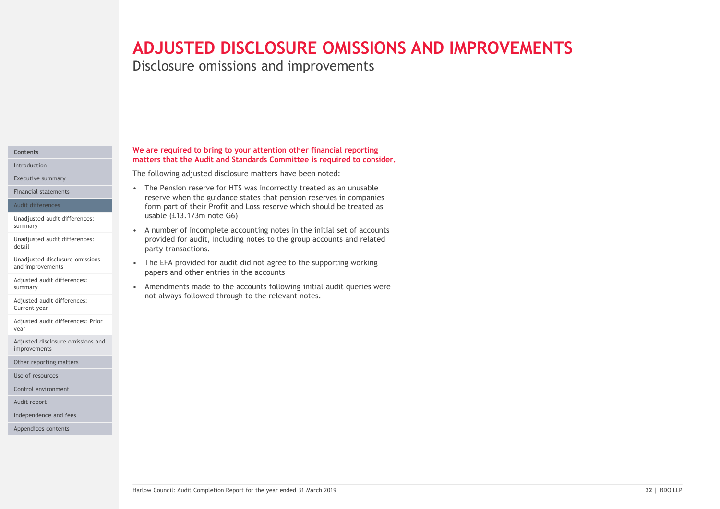# ADJUSTED DISCLOSURE OMISSIONS AND IMPROVEMENTS

Disclosure omissions and improvements

# Contents Introduction

Executive summary

### Audit differences

Unadjusted audit differences:

Unadjusted audit differences: detail

and improvements

Adjusted audit differences:

Adjusted audit differences: Current year

Adjusted audit differences: Prior year

Adjusted disclosure omissions and improvements

Other reporting matters

Use of resources

Control environment

Audit report

Independence and fees

Appendices contents

### We are required to bring to your attention other financial reporting matters that the Audit and Standards Committee is required to consider.

The following adjusted disclosure matters have been noted:

- **ADJUSTED DISCLOSURE OMISSIONS AND IN**<br>Disclosure omissions and improvements<br>we are required to bring to your attention other financial reporting<br>matters that the Audit and Standards Committee is required to consider.<br>The reserve when the guidance states that pension reserves in companies form part of their Profit and Loss reserve which should be treated as usable (£13.173m note G6) **ADJUSTED DISCLOSURE OMISSIONS AND IMP**<br>
Disclosure omissions and improvements<br>
we are required to bring to your attention other financial reporting<br>
matters that the Audit and Standards Committee is required to consider.<br> FRID DISCLOSURE OMISSIONS AND IN Disclosure omissions and improvements<br>
We are required to bring to your attention other financial reporting<br>
The following adjusted disclosure matters have been noted:<br>
The fension reserves **Example 19 Consulter Commissions and improvements**<br> **Solution**<br> **Solution**<br> **Solution**<br> **Solution**<br> **Solution**<br> **The following adjusted disclosure matters have been noted:**<br> **•** The Pension reserve for HTS was incorrectly Financial statements **Exercise 2008** • The Pension reserve for HTS was incorrectly treated as an unusable
- provided for audit, including notes to the group accounts and related party transactions. summary<br>A number of incomplete accounting notes in the initial set of accounts
- papers and other entries in the accounts Unadjusted disclosure omissions<br>
Fhe EFA provided for audit did not agree to the supporting working
- papers and other entries in the accounts<br>- Amendments made to the accounts following initial audit queries were<br>not always followed through to the relevant motes.<br>-<br>Mariaw Council: Audit Completion Report for the year ende not always followed through to the relevant notes. summary and the second of the accounts following initial audit queries were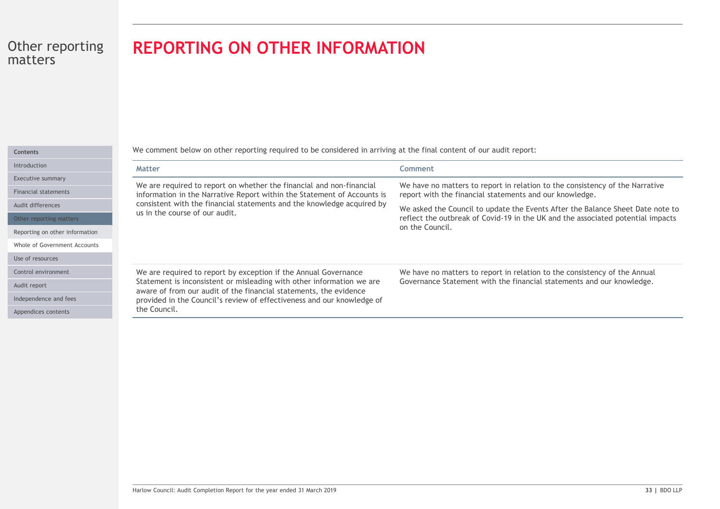# REPORTING ON OTHER INFORMATION

| . . | <b>CONTRACTOR</b> |  |  |  |  |
|-----|-------------------|--|--|--|--|
|     |                   |  |  |  |  |
|     |                   |  |  |  |  |

Introductio

Executive

Financial s

Audit diffe

Other rep

Reporting

Whole of G

Use of reso

Control en

Audit repo

Independe

Appendices

| <b>REPORTING ON OTHER INFORMATION</b>                                                                                                                                                                                                                                                                   |                                                                                                                                                                                                                                                                                                                                 |
|---------------------------------------------------------------------------------------------------------------------------------------------------------------------------------------------------------------------------------------------------------------------------------------------------------|---------------------------------------------------------------------------------------------------------------------------------------------------------------------------------------------------------------------------------------------------------------------------------------------------------------------------------|
| We comment below on other reporting required to be considered in arriving at the final content of our audit report:                                                                                                                                                                                     |                                                                                                                                                                                                                                                                                                                                 |
| <b>Matter</b>                                                                                                                                                                                                                                                                                           | <b>Comment</b>                                                                                                                                                                                                                                                                                                                  |
| We are required to report on whether the financial and non-financial<br>information in the Narrative Report within the Statement of Accounts is<br>consistent with the financial statements and the knowledge acquired by<br>us in the course of our audit.                                             | We have no matters to report in relation to the consistency of the Narrative<br>report with the financial statements and our knowledge.<br>We asked the Council to update the Events After the Balance Sheet Date note to<br>reflect the outbreak of Covid-19 in the UK and the associated potential impacts<br>on the Council. |
| We are required to report by exception if the Annual Governance<br>Statement is inconsistent or misleading with other information we are<br>aware of from our audit of the financial statements, the evidence<br>provided in the Council's review of effectiveness and our knowledge of<br>the Council. | We have no matters to report in relation to the consistency of the Annual<br>Governance Statement with the financial statements and our knowledge.                                                                                                                                                                              |
|                                                                                                                                                                                                                                                                                                         |                                                                                                                                                                                                                                                                                                                                 |
|                                                                                                                                                                                                                                                                                                         |                                                                                                                                                                                                                                                                                                                                 |
| Harlow Council: Audit Completion Report for the year ended 31 March 2019                                                                                                                                                                                                                                | 33   BDO LLP                                                                                                                                                                                                                                                                                                                    |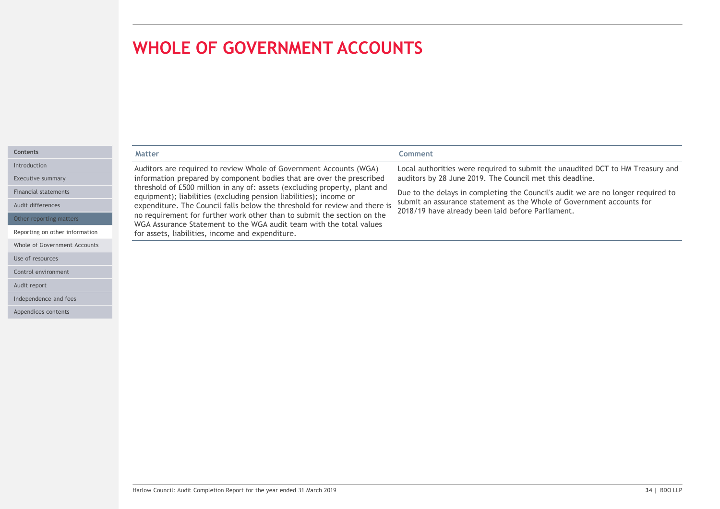Use of resources Control environment

Audit report

Independence and fees Appendices contents

|                                | <b>WHOLE OF GOVERNMENT ACCOUNTS</b>                                                                                                              |                                                                                                                            |
|--------------------------------|--------------------------------------------------------------------------------------------------------------------------------------------------|----------------------------------------------------------------------------------------------------------------------------|
|                                |                                                                                                                                                  |                                                                                                                            |
|                                |                                                                                                                                                  |                                                                                                                            |
|                                |                                                                                                                                                  |                                                                                                                            |
|                                |                                                                                                                                                  |                                                                                                                            |
|                                |                                                                                                                                                  |                                                                                                                            |
| Contents                       | <b>Matter</b>                                                                                                                                    | Comment                                                                                                                    |
| Introduction                   | Auditors are required to review Whole of Government Accounts (WGA)                                                                               | Local authorities were required to submit the unaudited DCT to HM Treasury and                                             |
| Executive summary              | information prepared by component bodies that are over the prescribed                                                                            | auditors by 28 June 2019. The Council met this deadline.                                                                   |
| <b>Financial statements</b>    | threshold of £500 million in any of: assets (excluding property, plant and<br>equipment); liabilities (excluding pension liabilities); income or | Due to the delays in completing the Council's audit we are no longer required to                                           |
| Audit differences              | expenditure. The Council falls below the threshold for review and there is                                                                       | submit an assurance statement as the Whole of Government accounts for<br>2018/19 have already been laid before Parliament. |
| Other reporting matters        | no requirement for further work other than to submit the section on the<br>WGA Assurance Statement to the WGA audit team with the total values   |                                                                                                                            |
| Reporting on other information | for assets, liabilities, income and expenditure.                                                                                                 |                                                                                                                            |
|                                |                                                                                                                                                  |                                                                                                                            |
| Whole of Government Accounts   |                                                                                                                                                  |                                                                                                                            |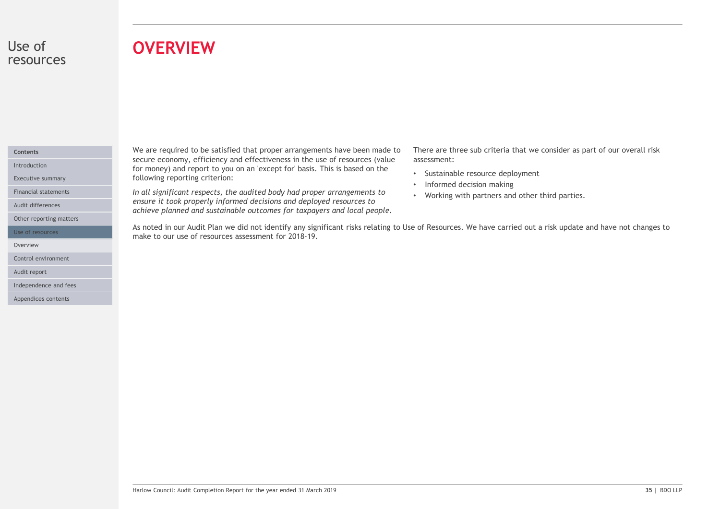# Use of resources

# **OVERVIEW**

# Contents

Audit differences

Other reporting matters

Overview **of the contract of the contract of the contract of the contract of the contract of the contract of the contract of the contract of the contract of the contract of the contract of the contract of the contract of t** 

Control environment

Audit report

Independence and fees

Appendices contents

We are required to be satisfied that proper arrangements have been made to secure economy, efficiency and effectiveness in the use of resources (value Introduction **Except for money)** and report to you on an 'except for' basis. This is based on the **Interior and the** Executive summary **Executive summary Executive summary Executive summary EXECUTE:** 

Financial statements **Exercicians Convertsery of the audited body had proper arrangements to Morking with** ensure it took properly informed decisions and deployed resources to achieve planned and sustainable outcomes for taxpayers and local people.

There are three sub criteria that we consider as part of our overall risk assessment:

- Sustainable resource deployment
- Informed decision making
- Working with partners and other third parties.

As note of the satisfied that proper arrangements have been made to There are three sub criteria that we consider as part of our overall risks for money) and report to you on an 'except for basis. This is based on the cons make to our use of resources assessment for 2018-19. Use of resources **Starting to the Starting Control** As noted in our Audit Plan we did not identify any significant risks relating to Use of Resources. We have carried out a risk update and have not changes to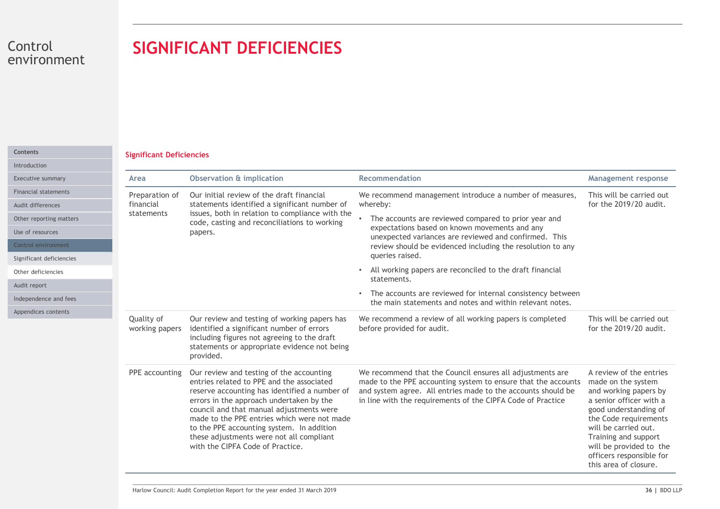# SIGNIFICANT DEFICIENCIES

# Significant Deficiencies Contents

| Control<br>environment                                                                                                   | <b>SIGNIFICANT DEFICIENCIES</b>                                                                                                                                                                                                                                                                                                                                                                            |                                                                                                                                                                                                                                                           |                                                                                                                                                                                                                                                                                     |
|--------------------------------------------------------------------------------------------------------------------------|------------------------------------------------------------------------------------------------------------------------------------------------------------------------------------------------------------------------------------------------------------------------------------------------------------------------------------------------------------------------------------------------------------|-----------------------------------------------------------------------------------------------------------------------------------------------------------------------------------------------------------------------------------------------------------|-------------------------------------------------------------------------------------------------------------------------------------------------------------------------------------------------------------------------------------------------------------------------------------|
| <b>Significant Deficiencies</b>                                                                                          |                                                                                                                                                                                                                                                                                                                                                                                                            |                                                                                                                                                                                                                                                           |                                                                                                                                                                                                                                                                                     |
| Executive summary<br>Area                                                                                                | <b>Observation &amp; implication</b>                                                                                                                                                                                                                                                                                                                                                                       | Recommendation                                                                                                                                                                                                                                            | <b>Management response</b>                                                                                                                                                                                                                                                          |
| <b>Financial statements</b><br>Preparation of<br>financial<br>Audit differences<br>statements<br>Other reporting matters | Our initial review of the draft financial<br>statements identified a significant number of<br>issues, both in relation to compliance with the<br>code, casting and reconciliations to working                                                                                                                                                                                                              | We recommend management introduce a number of measures,<br>whereby:<br>• The accounts are reviewed compared to prior year and                                                                                                                             | This will be carried out<br>for the 2019/20 audit.                                                                                                                                                                                                                                  |
| Use of resources<br>Control environment<br>Significant deficiencies                                                      | papers.                                                                                                                                                                                                                                                                                                                                                                                                    | expectations based on known movements and any<br>unexpected variances are reviewed and confirmed. This<br>review should be evidenced including the resolution to any<br>queries raised.                                                                   |                                                                                                                                                                                                                                                                                     |
| Other deficiencies                                                                                                       |                                                                                                                                                                                                                                                                                                                                                                                                            | • All working papers are reconciled to the draft financial<br>statements.                                                                                                                                                                                 |                                                                                                                                                                                                                                                                                     |
| Independence and fees                                                                                                    |                                                                                                                                                                                                                                                                                                                                                                                                            | • The accounts are reviewed for internal consistency between<br>the main statements and notes and within relevant notes.                                                                                                                                  |                                                                                                                                                                                                                                                                                     |
| Appendices contents<br>Quality of<br>working papers                                                                      | Our review and testing of working papers has<br>identified a significant number of errors<br>including figures not agreeing to the draft<br>statements or appropriate evidence not being<br>provided.                                                                                                                                                                                                      | We recommend a review of all working papers is completed<br>before provided for audit.                                                                                                                                                                    | This will be carried out<br>for the 2019/20 audit.                                                                                                                                                                                                                                  |
| PPE accounting                                                                                                           | Our review and testing of the accounting<br>entries related to PPE and the associated<br>reserve accounting has identified a number of<br>errors in the approach undertaken by the<br>council and that manual adjustments were<br>made to the PPE entries which were not made<br>to the PPE accounting system. In addition<br>these adjustments were not all compliant<br>with the CIPFA Code of Practice. | We recommend that the Council ensures all adjustments are<br>made to the PPE accounting system to ensure that the accounts<br>and system agree. All entries made to the accounts should be<br>in line with the requirements of the CIPFA Code of Practice | A review of the entries<br>made on the system<br>and working papers by<br>a senior officer with a<br>good understanding of<br>the Code requirements<br>will be carried out.<br>Training and support<br>will be provided to the<br>officers responsible for<br>this area of closure. |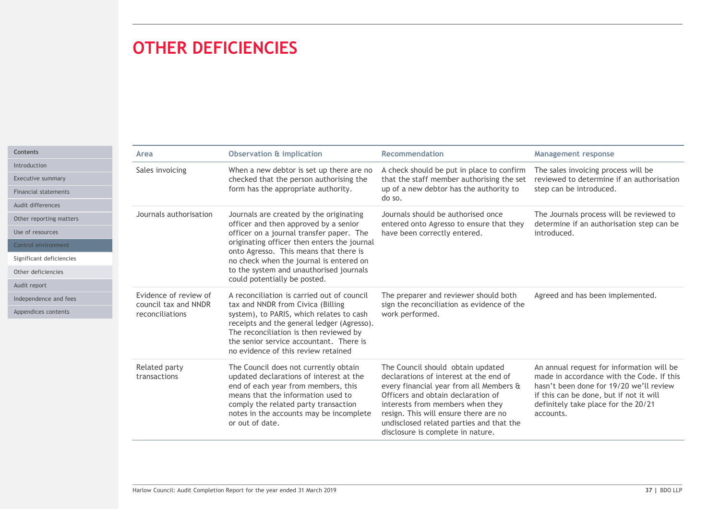# OTHER DEFICIENCIES

|                                                                                                                                           | <b>OTHER DEFICIENCIES</b>                                        |                                                                                                                                                                                                                                                                                                                                             |                                                                                                                                                                                                                                                                                                                            |                                                                                                                                                                                                                                  |
|-------------------------------------------------------------------------------------------------------------------------------------------|------------------------------------------------------------------|---------------------------------------------------------------------------------------------------------------------------------------------------------------------------------------------------------------------------------------------------------------------------------------------------------------------------------------------|----------------------------------------------------------------------------------------------------------------------------------------------------------------------------------------------------------------------------------------------------------------------------------------------------------------------------|----------------------------------------------------------------------------------------------------------------------------------------------------------------------------------------------------------------------------------|
|                                                                                                                                           |                                                                  | <b>Observation &amp; implication</b>                                                                                                                                                                                                                                                                                                        | <b>Recommendation</b>                                                                                                                                                                                                                                                                                                      |                                                                                                                                                                                                                                  |
| <b>Executive summary</b><br>Financial statements                                                                                          | Area<br>Sales invoicing                                          | When a new debtor is set up there are no<br>checked that the person authorising the<br>form has the appropriate authority.                                                                                                                                                                                                                  | A check should be put in place to confirm<br>that the staff member authorising the set<br>up of a new debtor has the authority to<br>do so.                                                                                                                                                                                | <b>Management response</b><br>The sales invoicing process will be<br>reviewed to determine if an authorisation<br>step can be introduced.                                                                                        |
| Audit differences<br>Other reporting matters<br>Use of resources<br>Control environment<br>Significant deficiencies<br>Other deficiencies | Journals authorisation                                           | Journals are created by the originating<br>officer and then approved by a senior<br>officer on a journal transfer paper. The<br>originating officer then enters the journal<br>onto Agresso. This means that there is<br>no check when the journal is entered on<br>to the system and unauthorised journals<br>could potentially be posted. | Journals should be authorised once<br>entered onto Agresso to ensure that they<br>have been correctly entered.                                                                                                                                                                                                             | The Journals process will be reviewed to<br>determine if an authorisation step can be<br>introduced.                                                                                                                             |
| Independence and fees<br>Appendices contents                                                                                              | Evidence of review of<br>council tax and NNDR<br>reconciliations | A reconciliation is carried out of council<br>tax and NNDR from Civica (Billing<br>system), to PARIS, which relates to cash<br>receipts and the general ledger (Agresso).<br>The reconciliation is then reviewed by<br>the senior service accountant. There is<br>no evidence of this review retained                                       | The preparer and reviewer should both<br>sign the reconciliation as evidence of the<br>work performed.                                                                                                                                                                                                                     | Agreed and has been implemented.                                                                                                                                                                                                 |
|                                                                                                                                           | Related party<br>transactions                                    | The Council does not currently obtain<br>updated declarations of interest at the<br>end of each year from members, this<br>means that the information used to<br>comply the related party transaction<br>notes in the accounts may be incomplete<br>or out of date.                                                                         | The Council should obtain updated<br>declarations of interest at the end of<br>every financial year from all Members &<br>Officers and obtain declaration of<br>interests from members when they<br>resign. This will ensure there are no<br>undisclosed related parties and that the<br>disclosure is complete in nature. | An annual request for information will be<br>made in accordance with the Code. If this<br>hasn't been done for 19/20 we'll review<br>if this can be done, but if not it will<br>definitely take place for the 20/21<br>accounts. |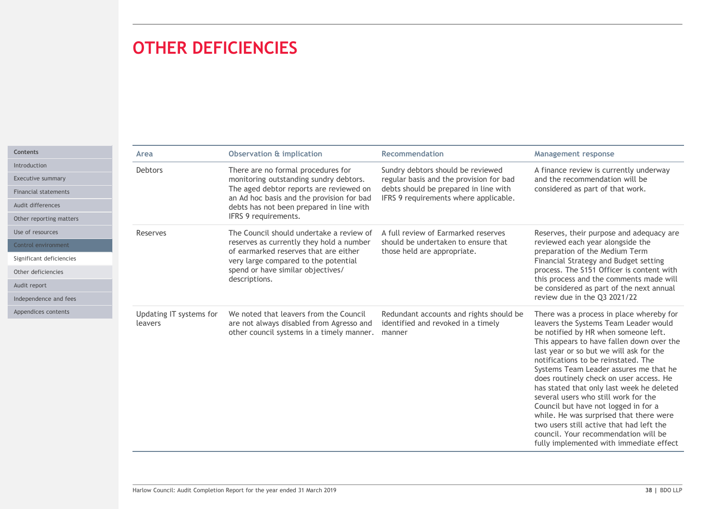# OTHER DEFICIENCIES

|                 | <b>OTHER DEFICIENCIES</b>                                                                                                                                                                                                                                                          |                                                                                                                                                                                  |                                                                                                                                                                                                                                                                                                                                                                                                                                                                                                                                                                                                          |
|-----------------|------------------------------------------------------------------------------------------------------------------------------------------------------------------------------------------------------------------------------------------------------------------------------------|----------------------------------------------------------------------------------------------------------------------------------------------------------------------------------|----------------------------------------------------------------------------------------------------------------------------------------------------------------------------------------------------------------------------------------------------------------------------------------------------------------------------------------------------------------------------------------------------------------------------------------------------------------------------------------------------------------------------------------------------------------------------------------------------------|
|                 |                                                                                                                                                                                                                                                                                    |                                                                                                                                                                                  |                                                                                                                                                                                                                                                                                                                                                                                                                                                                                                                                                                                                          |
| Area<br>Debtors | <b>Observation &amp; implication</b><br>There are no formal procedures for<br>monitoring outstanding sundry debtors.<br>The aged debtor reports are reviewed on<br>an Ad hoc basis and the provision for bad<br>debts has not been prepared in line with<br>IFRS 9 requirements.   | Recommendation<br>Sundry debtors should be reviewed<br>regular basis and the provision for bad<br>debts should be prepared in line with<br>IFRS 9 requirements where applicable. | <b>Management response</b><br>A finance review is currently underway<br>and the recommendation will be<br>considered as part of that work.                                                                                                                                                                                                                                                                                                                                                                                                                                                               |
| Reserves        | The Council should undertake a review of<br>reserves as currently they hold a number<br>of earmarked reserves that are either<br>very large compared to the potential<br>spend or have similar objectives/<br>descriptions.                                                        | A full review of Earmarked reserves<br>should be undertaken to ensure that<br>those held are appropriate.                                                                        | Reserves, their purpose and adequacy are<br>reviewed each year alongside the<br>preparation of the Medium Term<br>Financial Strategy and Budget setting<br>process. The S151 Officer is content with<br>this process and the comments made will<br>be considered as part of the next annual<br>review due in the Q3 2021/22                                                                                                                                                                                                                                                                              |
| leavers         | Updating IT systems for We noted that leavers from the Council Redundant accounts and rights should be There was a process in place whereby for<br>are not always disabled from Agresso and identified and revoked in a timely<br>other council systems in a timely manner. manner |                                                                                                                                                                                  | leavers the Systems Team Leader would<br>be notified by HR when someone left.<br>This appears to have fallen down over the<br>last year or so but we will ask for the<br>notifications to be reinstated. The<br>Systems Team Leader assures me that he<br>does routinely check on user access. He<br>has stated that only last week he deleted<br>several users who still work for the<br>Council but have not logged in for a<br>while. He was surprised that there were<br>two users still active that had left the<br>council. Your recommendation will be<br>fully implemented with immediate effect |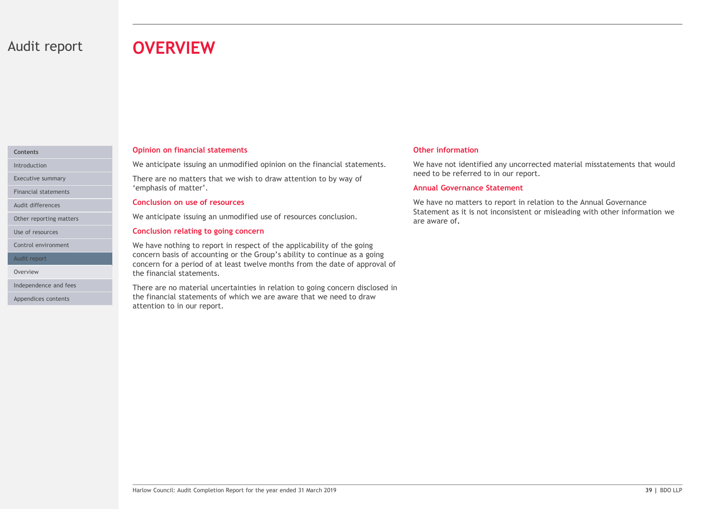# Audit report **OVERVIEW**

# Contents

Audit differences

Audit report

Appendices contents

### Opinion on financial statements

Introduction **1990 The State Interpreterate issuing an unmodified opinion on the financial statements.** We have not identifie

Executive summary **Executive summary Executive summary Executive summary Executive summary EXECUTE: COVERVIEW**<br>
Opinion on financial statements<br>
We anticipate issuing an unmodified opinion on the financial statements. We have n<br>
There are no matters that we wish to draw attention to by way of<br>
"emphasis of matter".<br>
Con Financial statements **Financial statements Financial statements** 

### Conclusion on use of resources

Other reporting matters **Exercise 20 Your Additional Exercise 20 Your Additional Properties Conclusion.** 

### Use of resources **Conclusion relating to going concern** and the set of resources and the **Conclusion relating to going concern**

**OVERVIEW**<br> **OPERVIEW**<br>
We anticipate issuing an unmodified opinion on the financial statements.<br>
We have inferred to in our report.<br>
There are no matters that we wish to draw attention to by way of<br>
"There are no matters We have nothing to report in respect of the applicability of the going Control environment concern basis of accounting or the Group's ability to continue as a going concern for a period of at least twelve months from the date of approval of Overview **Example 2018 Contract Statements** of the financial statements.

Harlow Council: Audit Completion Report for the year ended 31 March 2019<br>There are no material uncertainties in relation to going concern disclosed in<br>the financial: statements of which we are aware that we need to draw<br>at Independence and fees **There are no material uncertainties in relation to going concern disclosed in** the financial statements of which we are aware that we need to draw attention to in our report.

### Other information

We have not identified any uncorrected material misstatements that would need to be referred to in our report.

# Annual Governance Statement

We have no matters to report in relation to the Annual Governance Statement as it is not inconsistent or misleading with other information we are aware of.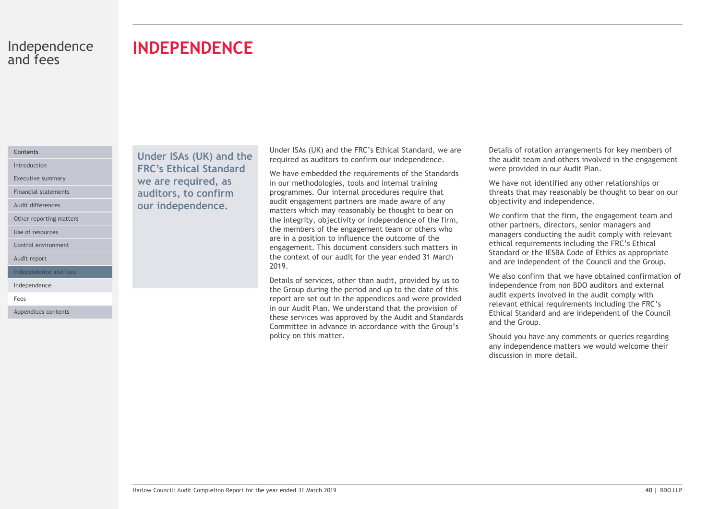# INDEPENDENCE

# Contents

Audit differences

Other reporting matters

Use of resources

Control environment

Audit report

Independence and fees

Independence

Fees **Fees Fees** 

Appendices contents

Under ISAs (UK) and the Introduction **FRC's Ethical Standard** We have embedded Executive summary **Executive summary We are required, as** in our method Financial statements **auditors, to confirm** programmes. our independence.

Under ISAs (UK) and the FRC's Ethical Standard, we are required as auditors to confirm our independence.

We have embedded the requirements of the Standards in our methodologies, tools and internal training programmes. Our internal procedures require that audit engagement partners are made aware of any matters which may reasonably be thought to bear on the integrity, objectivity or independence of the firm, the members of the engagement team or others who are in a position to influence the outcome of the engagement. This document considers such matters in the context of our audit for the year ended 31 March 2019.

Exais of services, other than audit, provided by us to<br>
He also confirm that we have end this week and the Coup during the period and up to the date of this<br>
the Coup during the period and up to the date of this<br>
report ar Details of services, other than audit, provided by us to the Group during the period and up to the date of this report are set out in the appendices and were provided in our Audit Plan. We understand that the provision of these services was approved by the Audit and Standards Committee in advance in accordance with the Group's policy on this matter.

Details of rotation arrangements for key members of the audit team and others involved in the engagement were provided in our Audit Plan.

We have not identified any other relationships or threats that may reasonably be thought to bear on our objectivity and independence.

We confirm that the firm, the engagement team and other partners, directors, senior managers and managers conducting the audit comply with relevant ethical requirements including the FRC's Ethical Standard or the IESBA Code of Ethics as appropriate and are independent of the Council and the Group.

We also confirm that we have obtained confirmation of independence from non BDO auditors and external audit experts involved in the audit comply with relevant ethical requirements including the FRC's Ethical Standard and are independent of the Council and the Group.

Should you have any comments or queries regarding any independence matters we would welcome their discussion in more detail.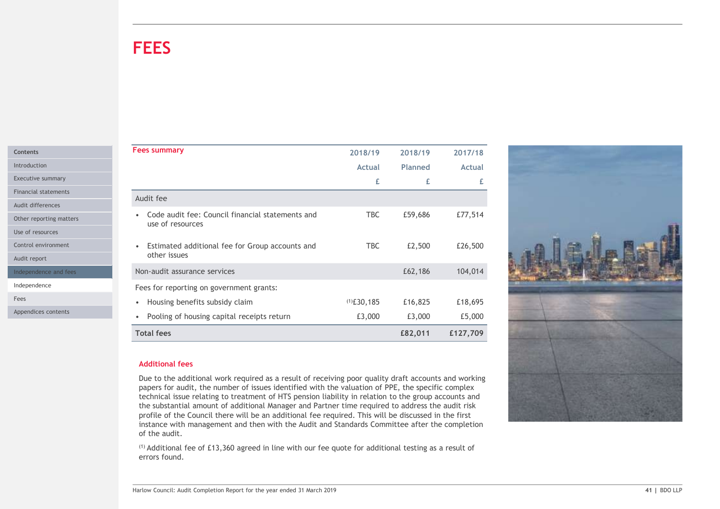# **FEES**

| <b>Contents</b> |
|-----------------|
| Introduction    |

Use of resources

| <b>FEES</b>                                                          |               |         |               |  |
|----------------------------------------------------------------------|---------------|---------|---------------|--|
|                                                                      |               |         |               |  |
|                                                                      |               |         |               |  |
|                                                                      |               |         |               |  |
|                                                                      |               |         |               |  |
|                                                                      |               |         |               |  |
| <b>Fees summary</b>                                                  | 2018/19       | 2018/19 | 2017/18       |  |
|                                                                      | Actual        | Planned | <b>Actual</b> |  |
|                                                                      | £             | £       | £             |  |
| Audit fee                                                            |               |         |               |  |
|                                                                      |               |         |               |  |
| Code audit fee: Council financial statements and<br>use of resources | <b>TBC</b>    | £59,686 | £77,514       |  |
|                                                                      |               |         |               |  |
| Estimated additional fee for Group accounts and<br>$\bullet$         | TBC           | £2,500  | £26,500       |  |
| other issues                                                         |               |         |               |  |
| Non-audit assurance services                                         |               | £62,186 | 104,014       |  |
| Fees for reporting on government grants:                             |               |         |               |  |
| • Housing benefits subsidy claim                                     | $(1)$ £30,185 | £16,825 | £18,695       |  |
| • Pooling of housing capital receipts return                         | £3,000        | £3,000  | £5,000        |  |
| <b>Total fees</b>                                                    |               | £82,011 | £127,709      |  |
|                                                                      |               |         |               |  |

# Additional fees

Due to the additional work required as a result of receiving poor quality draft accounts and working papers for audit, the number of issues identified with the valuation of PPE, the specific complex technical issue relating to treatment of HTS pension liability in relation to the group accounts and the substantial amount of additional Manager and Partner time required to address the audit risk profile of the Council there will be an additional fee required. This will be discussed in the first instance with management and then with the Audit and Standards Committee after the completion of the audit.

(1) Additional fee of £13,360 agreed in line with our fee quote for additional testing as a result of errors found.

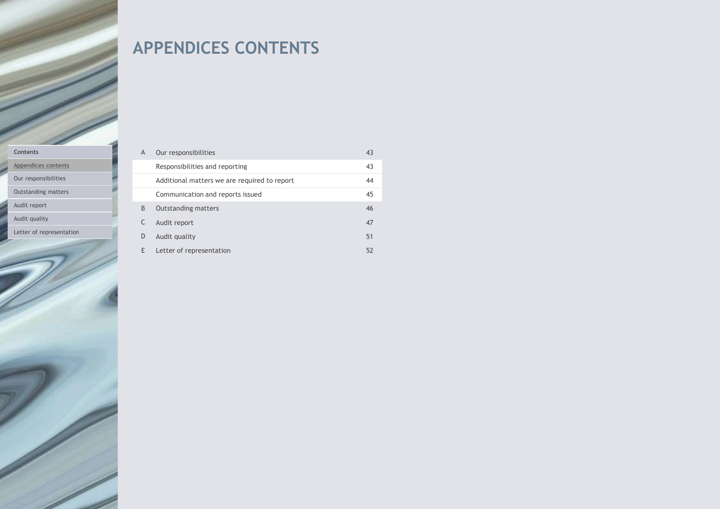# APPENDICES CONTENTS

### Contents

Appendices contents

Our responsibilities

Outstanding matters

Audit report

Audit quality

Letter of representation

| $\overline{A}$ | Our responsibilities                         | 43 |
|----------------|----------------------------------------------|----|
|                | Responsibilities and reporting               | 43 |
|                | Additional matters we are required to report | 44 |
|                | Communication and reports issued             | 45 |
| B              | <b>Outstanding matters</b>                   | 46 |
|                | Audit report                                 | 47 |
| D              | Audit quality                                | 51 |
|                | Letter of representation                     | 52 |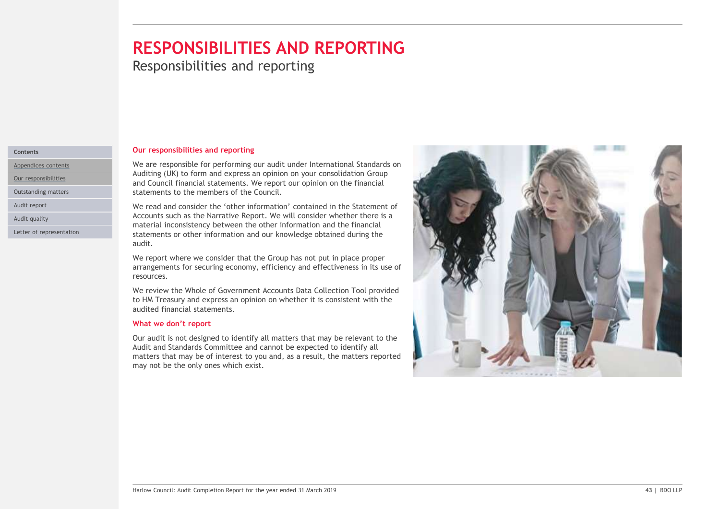# RESPONSIBILITIES AND REPORTING

**Responsibilities and reporting** 

### Contents

Appendices contents

Our responsibilities

Outstanding matters

Audit report

Audit quality

Letter of representation

### Our responsibilities and reporting

We are responsible for performing our audit under International Standards on Auditing (UK) to form and express an opinion on your consolidation Group and Council financial statements. We report our opinion on the financial statements to the members of the Council.

We read and consider the 'other information' contained in the Statement of Accounts such as the Narrative Report. We will consider whether there is a material inconsistency between the other information and the financial statements or other information and our knowledge obtained during the audit.

We report where we consider that the Group has not put in place proper arrangements for securing economy, efficiency and effectiveness in its use of resources.

We review the Whole of Government Accounts Data Collection Tool provided to HM Treasury and express an opinion on whether it is consistent with the audited financial statements.

# What we don't report

Our audit is not designed to identify all matters that may be relevant to the Audit and Standards Committee and cannot be expected to identify all matters that may be of interest to you and, as a result, the matters reported may not be the only ones which exist.

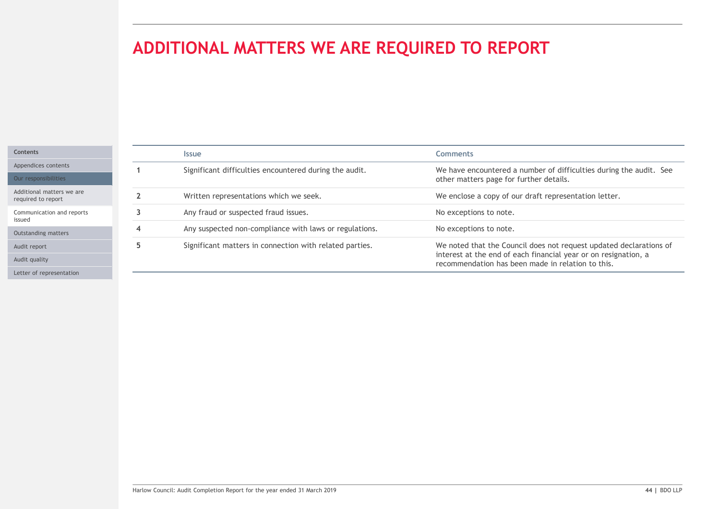# ADDITIONAL MATTERS WE ARE REQUIRED TO REPORT

| <b>Contents</b> |
|-----------------|
| Appendices      |

Audit report

Audit quality

| ADDITIONAL MATTERS WE ARE REQUIRED TO REPORT<br><b>Comments</b><br><b>Issue</b><br>Significant difficulties encountered during the audit.<br>We have encountered a number of difficulties during the audit. See<br>-1<br>other matters page for further details.<br>Written representations which we seek.<br>We enclose a copy of our draft representation letter.<br>$\overline{2}$<br>Any fraud or suspected fraud issues.<br>No exceptions to note.<br>$\mathbf{3}$<br>Any suspected non-compliance with laws or regulations.<br>No exceptions to note.<br>4<br>Significant matters in connection with related parties.<br>5<br>We noted that the Council does not request updated declarations of<br>interest at the end of each financial year or on resignation, a<br>recommendation has been made in relation to this. |  |  |  |  |  |  |  |
|--------------------------------------------------------------------------------------------------------------------------------------------------------------------------------------------------------------------------------------------------------------------------------------------------------------------------------------------------------------------------------------------------------------------------------------------------------------------------------------------------------------------------------------------------------------------------------------------------------------------------------------------------------------------------------------------------------------------------------------------------------------------------------------------------------------------------------|--|--|--|--|--|--|--|
|                                                                                                                                                                                                                                                                                                                                                                                                                                                                                                                                                                                                                                                                                                                                                                                                                                |  |  |  |  |  |  |  |
|                                                                                                                                                                                                                                                                                                                                                                                                                                                                                                                                                                                                                                                                                                                                                                                                                                |  |  |  |  |  |  |  |
|                                                                                                                                                                                                                                                                                                                                                                                                                                                                                                                                                                                                                                                                                                                                                                                                                                |  |  |  |  |  |  |  |
|                                                                                                                                                                                                                                                                                                                                                                                                                                                                                                                                                                                                                                                                                                                                                                                                                                |  |  |  |  |  |  |  |
|                                                                                                                                                                                                                                                                                                                                                                                                                                                                                                                                                                                                                                                                                                                                                                                                                                |  |  |  |  |  |  |  |
|                                                                                                                                                                                                                                                                                                                                                                                                                                                                                                                                                                                                                                                                                                                                                                                                                                |  |  |  |  |  |  |  |
|                                                                                                                                                                                                                                                                                                                                                                                                                                                                                                                                                                                                                                                                                                                                                                                                                                |  |  |  |  |  |  |  |
|                                                                                                                                                                                                                                                                                                                                                                                                                                                                                                                                                                                                                                                                                                                                                                                                                                |  |  |  |  |  |  |  |
|                                                                                                                                                                                                                                                                                                                                                                                                                                                                                                                                                                                                                                                                                                                                                                                                                                |  |  |  |  |  |  |  |
|                                                                                                                                                                                                                                                                                                                                                                                                                                                                                                                                                                                                                                                                                                                                                                                                                                |  |  |  |  |  |  |  |
|                                                                                                                                                                                                                                                                                                                                                                                                                                                                                                                                                                                                                                                                                                                                                                                                                                |  |  |  |  |  |  |  |
|                                                                                                                                                                                                                                                                                                                                                                                                                                                                                                                                                                                                                                                                                                                                                                                                                                |  |  |  |  |  |  |  |
|                                                                                                                                                                                                                                                                                                                                                                                                                                                                                                                                                                                                                                                                                                                                                                                                                                |  |  |  |  |  |  |  |
|                                                                                                                                                                                                                                                                                                                                                                                                                                                                                                                                                                                                                                                                                                                                                                                                                                |  |  |  |  |  |  |  |
|                                                                                                                                                                                                                                                                                                                                                                                                                                                                                                                                                                                                                                                                                                                                                                                                                                |  |  |  |  |  |  |  |
|                                                                                                                                                                                                                                                                                                                                                                                                                                                                                                                                                                                                                                                                                                                                                                                                                                |  |  |  |  |  |  |  |
|                                                                                                                                                                                                                                                                                                                                                                                                                                                                                                                                                                                                                                                                                                                                                                                                                                |  |  |  |  |  |  |  |
|                                                                                                                                                                                                                                                                                                                                                                                                                                                                                                                                                                                                                                                                                                                                                                                                                                |  |  |  |  |  |  |  |
|                                                                                                                                                                                                                                                                                                                                                                                                                                                                                                                                                                                                                                                                                                                                                                                                                                |  |  |  |  |  |  |  |
|                                                                                                                                                                                                                                                                                                                                                                                                                                                                                                                                                                                                                                                                                                                                                                                                                                |  |  |  |  |  |  |  |
|                                                                                                                                                                                                                                                                                                                                                                                                                                                                                                                                                                                                                                                                                                                                                                                                                                |  |  |  |  |  |  |  |
|                                                                                                                                                                                                                                                                                                                                                                                                                                                                                                                                                                                                                                                                                                                                                                                                                                |  |  |  |  |  |  |  |
|                                                                                                                                                                                                                                                                                                                                                                                                                                                                                                                                                                                                                                                                                                                                                                                                                                |  |  |  |  |  |  |  |
| Harlow Council: Audit Completion Report for the year ended 31 March 2019<br>44   BDO LLP                                                                                                                                                                                                                                                                                                                                                                                                                                                                                                                                                                                                                                                                                                                                       |  |  |  |  |  |  |  |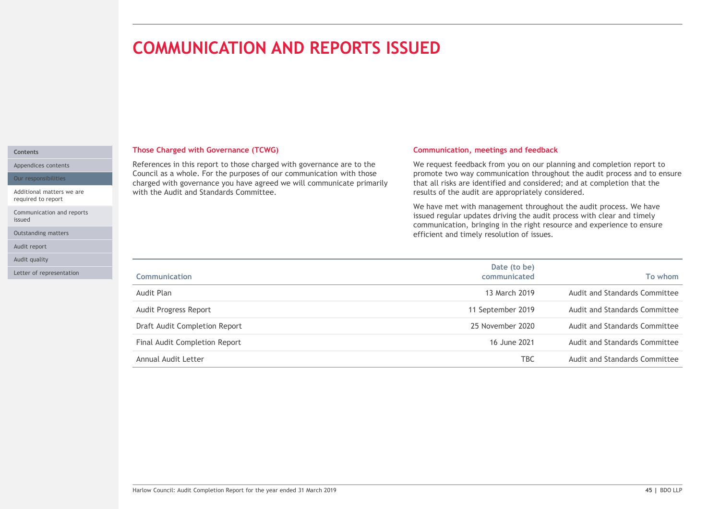# COMMUNICATION AND REPORTS ISSUED

### Contents

Appendices contents

Our responsibilities

Additional matters we are required to report

Communication and reports issued

Outstanding matters

Audit report

Audit quality

Letter of representation

### Those Charged with Governance (TCWG)

# Communication, meetings and feedback

| References in this report to those charged with governance are to the<br>We request feedback from you on our planning and completion report to<br>Council as a whole. For the purposes of our communication with those<br>promote two way communication throughout the audit process and to ensure<br>charged with governance you have agreed we will communicate primarily<br>that all risks are identified and considered; and at completion that the<br>with the Audit and Standards Committee.<br>results of the audit are appropriately considered. |         |
|----------------------------------------------------------------------------------------------------------------------------------------------------------------------------------------------------------------------------------------------------------------------------------------------------------------------------------------------------------------------------------------------------------------------------------------------------------------------------------------------------------------------------------------------------------|---------|
| We have met with management throughout the audit process. We have<br>issued regular updates driving the audit process with clear and timely<br>communication, bringing in the right resource and experience to ensure<br>efficient and timely resolution of issues.                                                                                                                                                                                                                                                                                      |         |
| Date (to be)<br>Communication<br>communicated                                                                                                                                                                                                                                                                                                                                                                                                                                                                                                            | To whom |
| Audit and Standards Committee<br>13 March 2019<br>Audit Plan                                                                                                                                                                                                                                                                                                                                                                                                                                                                                             |         |
| Audit Progress Report<br>11 September 2019<br>Audit and Standards Committee                                                                                                                                                                                                                                                                                                                                                                                                                                                                              |         |
| 25 November 2020<br>Audit and Standards Committee<br>Draft Audit Completion Report                                                                                                                                                                                                                                                                                                                                                                                                                                                                       |         |
| Audit and Standards Committee<br>Final Audit Completion Report<br>16 June 2021                                                                                                                                                                                                                                                                                                                                                                                                                                                                           |         |
| <b>TBC</b><br>Audit and Standards Committee<br>Annual Audit Letter                                                                                                                                                                                                                                                                                                                                                                                                                                                                                       |         |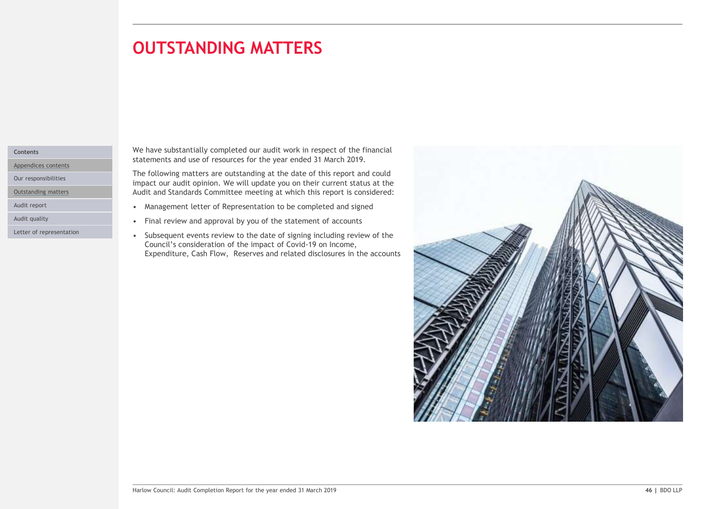# **OUTSTANDING MATTERS** matters in the control of the con-

### Contents

Appendices contents

Our responsibilities

Outstanding matters

Letter of representation

We have substantially completed our audit work in respect of the financial statements and use of resources for the year ended 31 March 2019.

The following matters are outstanding at the date of this report and could impact our audit opinion. We will update you on their current status at the Audit and Standards Committee meeting at which this report is considered:

- Audit report **Audit report Audit report Audit report Audit report Audit report Audit report Audit report Audit report Audit report Audit report Audit** report
- Audit quality **Audit quality Audit** quality **Audit** quality **Audit** quality **Audit** quality **Audit** quality **Audit** quality **Audit** quality **Audit** quality **Audit** quality **Audit** quality **Audit** quality **Audit** quality
	- Council's consideration of the impact of Covid-19 on Income, Expenditure, Cash Flow, Reserves and related disclosures in the accounts

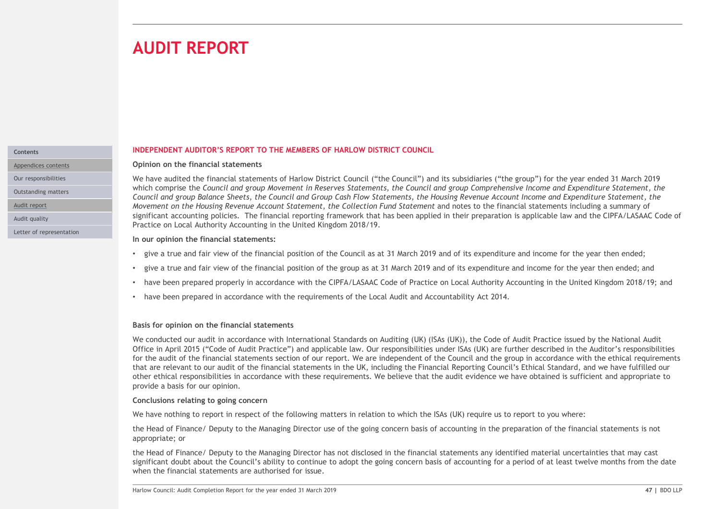# **AUDIT REPORT**

# **Contents**

Appendices contents

Audit report

Letter of representation

# INDEPENDENT AUDITOR'S REPORT TO THE MEMBERS OF HARLOW DISTRICT COUNCIL

# Opinion on the financial statements

**AUDIT REPORT**<br>Opinion on the financial statements<br>Opinion on the financial statements of Harlow District Council ("the Council") and its subsidiaries ("the group") for the year ended 31 March 2019<br>We have audited the fina which comprise the Council and group Movement in Reserves Statements, the Council and group Comprehensive Income and Expenditure Statement, the **COUNCIFY AND ACCOUNCE SEPORT**<br>Commission and the financial statements<br>Vehicle compute the financial statements of Helsen Nistic Cash Cash Cash Cash Cash Cash Cash Crisis and Group Cash Flow Statements of Housing Revenue A Movement on the Housing Revenue Account Statement, the Collection Fund Statement and notes to the financial statements including a summary of **SIDENT REPORT**<br>We have audited the financial statements<br>We have audited the financial statements of Harlow District Council ("the Council") and its aubidiaries ("the group") for the year ended 31 March 2019<br>We have audite Practice on Local Authority Accounting in the United Kingdom 2018/19. **AUDIT REPORT**<br>We been properted in a statements of Haracki production of the Control and the Control and the substitutions ("the group") for the year ended 31 March 2019<br>We have audited the financial statements of Haraw D Our responsibilities We have audited the financial statements of Harlow District Council ("the Council") and its subsidiaries ("the group") for the year ended 31 March 2019 Outstanding matters and Experience in Council and group Relation of the Council and Group Cash Flow Statements, the Council and group Balance Sheets, the Council and Group Cash Flow Statements, the Housing Revenue Account Audit quality **1990 The State of the State of the State of the State of Code of** State and the CIPFA/LASAAC Code of

# In our opinion the financial statements:

- 
- 
- have been prepared properly in accordance with the CIPFA/LASAAC Code of Practice on Local Authority Accounting in the United Kingdom 2018/19; and
- have been prepared in accordance with the requirements of the Local Audit and Accountability Act 2014.

# Basis for opinion on the financial statements

F gave a tue and tan Yew of the financial pastion of the group as at 3 March 2019 and of ts expenditure and nociding to the grapital council in the United Kingdom 2018/19; and<br>
• have been prepared in accordance with the r We conducted our audit in accordance with International Standards on Auditing (UK) (ISAs (UK)), the Code of Audit Practice issued by the National Audit Office in April 2015 ("Code of Audit Practice") and applicable law. Our responsibilities under ISAs (UK) are further described in the Auditor's responsibilities for the audit of the financial statements section of our report. We are independent of the Council and the group in accordance with the ethical requirements that are relevant to our audit of the financial statements in the UK, including the Financial Reporting Council's Ethical Standard, and we have fulfilled our other ethical responsibilities in accordance with these requirements. We believe that the audit evidence we have obtained is sufficient and appropriate to provide a basis for our opinion.

# Conclusions relating to going concern

We have nothing to report in respect of the following matters in relation to which the ISAs (UK) require us to report to you where:

the Head of Finance/ Deputy to the Managing Director use of the going concern basis of accounting in the preparation of the financial statements is not appropriate; or

the Head of Finance/ Deputy to the Managing Director has not disclosed in the financial statements any identified material uncertainties that may cast significant doubt about the Council's ability to continue to adopt the going concern basis of accounting for a period of at least twelve months from the date when the financial statements are authorised for issue.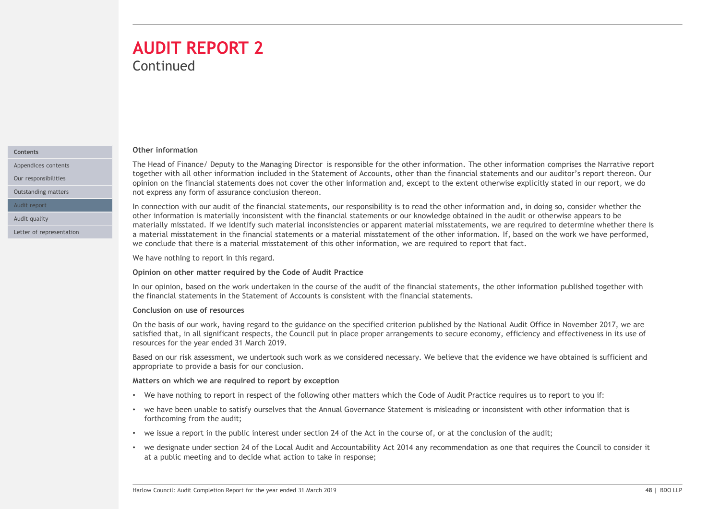# **Continued** AUDIT REPORT 2

### Contents

Appendices contents

Audit report

Audit quality

Letter of representation

### Other information

The Head of Finance/ Deputy to the Managing Director is responsible for the other information. The other information comprises the Narrative report **AUDIT REPORT 2**<br>
Continued<br>
The Head of Finance/ Deputy to the Managing Director is responsible for the other information. The other information comprises the Narative report<br>
together with all other information included opinion on the financial statements does not cover the other information and, except to the extent otherwise explicitly stated in our report, we do not express any form of assurance conclusion thereon. Outstanding matters Our responsibilities together with all other information included in the Statement of Accounts, other than the financial statements and our auditor's report thereon. Our

In connection with our audit of the financial statements, our responsibility is to read the other information and, in doing so, consider whether the other information is materially inconsistent with the financial statements or our knowledge obtained in the audit or otherwise appears to be materially misstated. If we identify such material inconsistencies or apparent material misstatements, we are required to determine whether there is a material misstatement in the financial statements or a material misstatement of the other information. If, based on the work we have performed, we conclude that there is a material misstatement of this other information, we are required to report that fact.

We have nothing to report in this regard.

# Opinion on other matter required by the Code of Audit Practice

In our opinion, based on the work undertaken in the course of the audit of the financial statements, the other information published together with the financial statements in the Statement of Accounts is consistent with the financial statements.

# Conclusion on use of resources

Opinion on other matter required by the Code of Audit Practice<br>
In our opinion, based on the scure of the scure of the suite of the financial statements, the other information published together with<br>
In our opinion, based On the basis of our work, having regard to the guidance on the specified criterion published by the National Audit Office in November 2017, we are satisfied that, in all significant respects, the Council put in place proper arrangements to secure economy, efficiency and effectiveness in its use of resources for the year ended 31 March 2019. materaly misstace. It we locate with the finance in consideration is one and misstacement of the due to other information, we are required to report that fact the work we have performed, we conclude that there is a materia

Based on our risk assessment, we undertook such work as we considered necessary. We believe that the evidence we have obtained is sufficient and appropriate to provide a basis for our conclusion.

# Matters on which we are required to report by exception

- We have nothing to report in respect of the following other matters which the Code of Audit Practice requires us to report to you if:
- we have been unable to satisfy ourselves that the Annual Governance Statement is misleading or inconsistent with other information that is forthcoming from the audit;
- we issue a report in the public interest under section 24 of the Act in the course of, or at the conclusion of the audit;
- at a public meeting and to decide what action to take in response;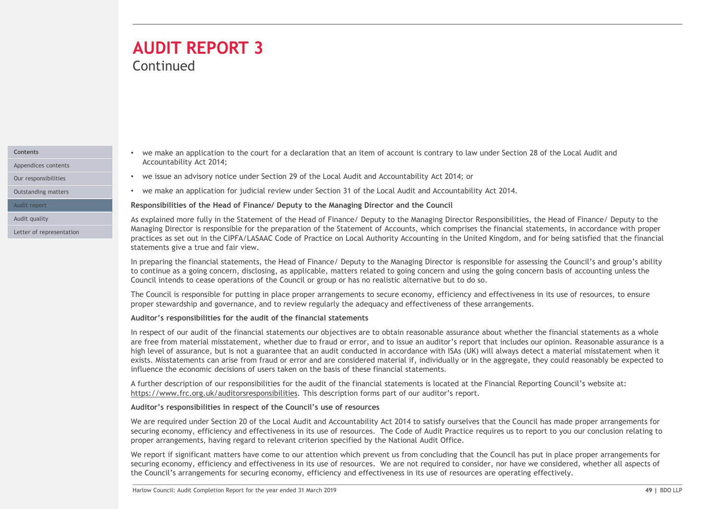# **Continued** AUDIT REPORT 3

Appendices contents

Our responsibilities

Outstanding matters

Audit report

Letter of representation

- we make an application to the court for a declaration that an item of account is contrary to law under Section 28 of the Local Audit and Contents Accountability Act 2014;
	- we issue an advisory notice under Section 29 of the Local Audit and Accountability Act 2014; or
	- we make an application for judicial review under Section 31 of the Local Audit and Accountability Act 2014.

# Responsibilities of the Head of Finance/ Deputy to the Managing Director and the Council

As explained more fully in the Statement of the Head of Finance/ Deputy to the Managing Director Responsibilities, the Head of Finance/ Deputy to the Audit quality Managing Director is responsible for the preparation of the Statement of Accounts, which comprises the financial statements, in accordance with proper practices as set out in the CIPFA/LASAAC Code of Practice on Local Authority Accounting in the United Kingdom, and for being satisfied that the financial statements give a true and fair view. THE CONTRICUTE AND THE CONTRICUTE ASSANT CONTRICUTE IS a going concern is contrary to law under Section 28 of the Local Audit and Accountability Act 2014; or<br>
Ye issue an advisory notice under Section 29 of the Local Audit e we make an application to the court for a declaration that an item of account is contrary to law under Section 28 of the Local Audit and<br>
• we issue an advisory note under Section 29 of the Local Audit and Accountability

In preparing the financial statements, the Head of Finance/ Deputy to the Managing Director is responsible for assessing the Council's and group's ability Council intends to cease operations of the Council or group or has no realistic alternative but to do so.

proper stewardship and governance, and to review regularly the adequacy and effectiveness of these arrangements.

# Auditor's responsibilities for the audit of the financial statements

a continue as a going concern, distolaring, as applicable, matter is related to going concern and using the council is a construing unless the council is ready constant of the Council or group or has no realistic alternati In respect of our audit of the financial statements our objectives are to obtain reasonable assurance about whether the financial statements as a whole are free from material misstatement, whether due to fraud or error, and to issue an auditor's report that includes our opinion. Reasonable assurance is a high level of assurance, but is not a guarantee that an audit conducted in accordance with ISAs (UK) will always detect a material misstatement when it extinate an application to the court for a declaration that an item of accountability Act 2014; or<br>Accountability Act 2014;<br>
excountability Act 2014;<br>
exists an advisory notice under Section 29 of the Local Audit and Accou influence the economic decisions of users taken on the basis of these financial statements. se papalmed more fully in the Statement of the Head of Finance' Deputy to the Managing Director Responsibilities, the Head of Finance's Conservation of the Statement of Accounting the financial statements, in accordance wi

A further description of our responsibilities for the audit of the financial statements is located at the Financial Reporting Council's website at: https://www.frc.org.uk/auditorsresponsibilities. This description forms part of our auditor's report.

# Auditor's responsibilities in respect of the Council's use of resources

We are required under Section 20 of the Local Audit and Accountability Act 2014 to satisfy ourselves that the Council has made proper arrangements for proper arrangements, having regard to relevant criterion specified by the National Audit Office.

We report if significant matters have come to our attention which prevent us from concluding that the Council has put in place proper arrangements for securing economy, efficiency and effectiveness in its use of resources. We are not required to consider, nor have we considered, whether all aspects of the Council's arrangements for securing economy, efficiency and effectiveness in its use of resources are operating effectively.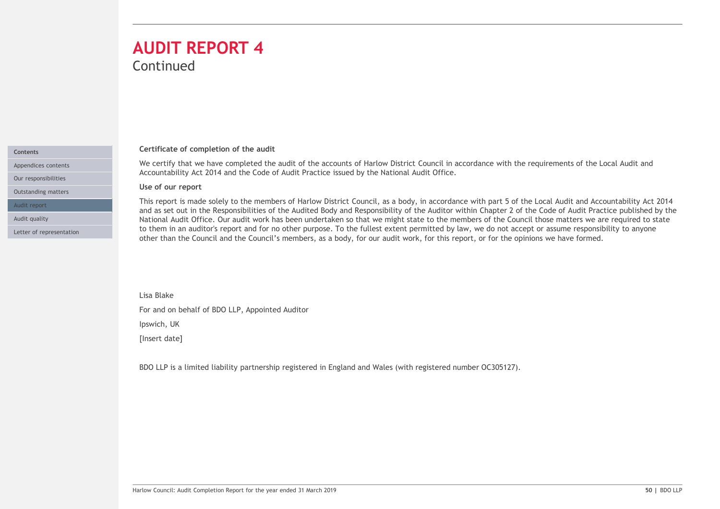# **Continued** AUDIT REPORT 4

# Certificate of completion of the audit

Accountability Act 2014 and the Code of Audit Practice issued by the National Audit Office. Appendices contents **Exercice Contents** We certify that we have completed the audit of the accounts of Harlow District Council in accordance with the requirements of the Local Audit and

Use of our report

Contents

Our responsibilities Outstanding matters

Letter of representation

Audit report

**WE Certificate of completion of the audit**<br>Certificate of completion of the audit<br>We certify that we have completed the audit of the accounts of Harlow District Council in accordance with the requirements of the Local Aud This report is made solely to the members of Harlow District Council, as a body, in accordance with part 5 of the Local Audit and Accountability Act 2014 and as set out in the Responsibilities of the Audited Body and Responsibility of the Auditor within Chapter 2 of the Code of Audit Practice published by the Audit quality **that in the State of Audit Office.** Our audit work has been undertaken so that we might state to the members of the Council those matters we are required to state to state to state to state to state to state to them in an auditor's report and for no other purpose. To the fullest extent permitted by law, we do not accept or assume responsibility to anyone **Cortificate of completion of the audit**<br>Cortificate of completion of the audit of the accounts of Harlow District Council in accordance with the requirements of the Local Audit and<br>Accountability Act 2014 and the Code of

Lisa Blake

For and on behalf of BDO LLP, Appointed Auditor

Ipswich, UK

[Insert date]

Lisa Blake<br>| Ipswich, UK<br>| Ipsacrt date|<br>| Ipsacrt date|<br>| Audit Council: Audit Completion Report for the year ended 31 March 2019<br>| SO | BDO LLP | Ba & Limited Idobility partnership registered in England and Wales (with r BDO LLP is a limited liability partnership registered in England and Wales (with registered number OC305127).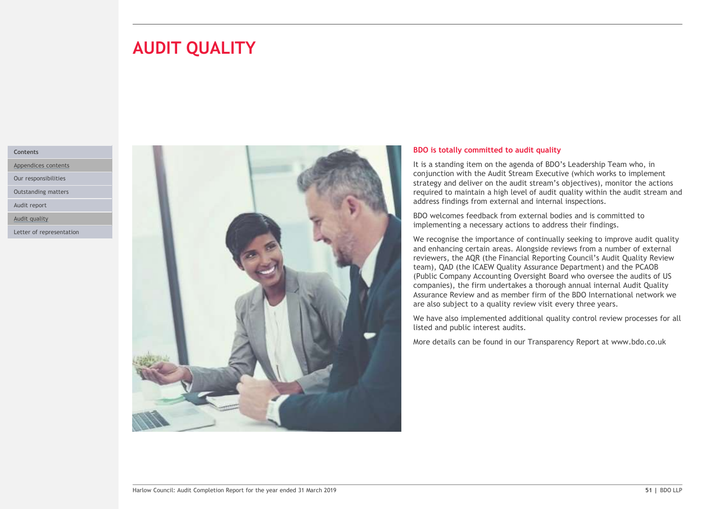# **AUDIT QUALITY**

### Contents

Appendices contents

Our responsibilities

Outstanding matters

Audit report

Audit quality

Letter of representation



### BDO is totally committed to audit quality

It is a standing item on the agenda of BDO's Leadership Team who, in conjunction with the Audit Stream Executive (which works to implement strategy and deliver on the audit stream's objectives), monitor the actions required to maintain a high level of audit quality within the audit stream and address findings from external and internal inspections.

BDO welcomes feedback from external bodies and is committed to implementing a necessary actions to address their findings.

We recognise the importance of continually seeking to improve audit quality and enhancing certain areas. Alongside reviews from a number of external reviewers, the AQR (the Financial Reporting Council's Audit Quality Review team), QAD (the ICAEW Quality Assurance Department) and the PCAOB (Public Company Accounting Oversight Board who oversee the audits of US companies), the firm undertakes a thorough annual internal Audit Quality Assurance Review and as member firm of the BDO International network we are also subject to a quality review visit every three years.

We have also implemented additional quality control review processes for all listed and public interest audits.

More details can be found in our Transparency Report at www.bdo.co.uk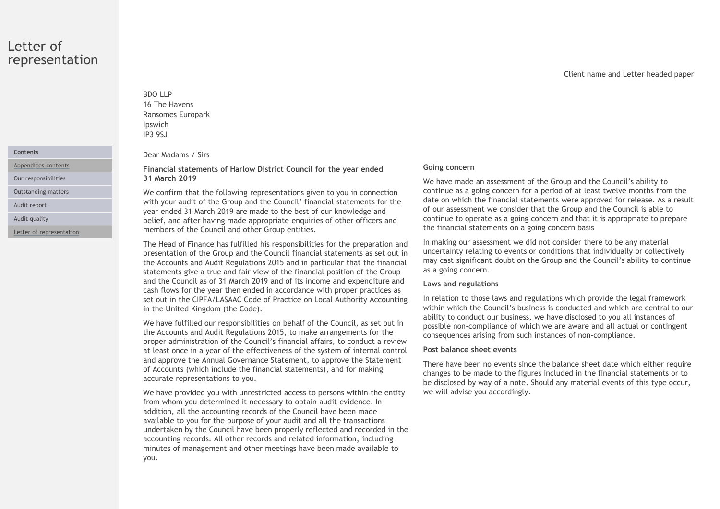# Letter of representation

Appendices contents

Outstanding matters

Audit report

Letter of representation

# BDO LLP 16 The Havens BDO LLP<br>16 The Havens<br>Ransomes Europark<br>Ipswich<br>Par Madams / Sirs<br>Financial statements of Harlow District Council for the year ended Going con Ipswich IP3 9SJ

Dear Madams / Sirs

Financial statements of Harlow District Council for the year ended Our responsibilities **31 March 2019** 

BDO LLP<br>
16 The Havens<br>
Ransomes Europark<br>
IP3 95J<br>
Dear Madams / Sirs<br>
Financial statements of Harlow District Council for the year ended<br>
31 March 2019<br>
We confirm that the following representations given to you in conne We confirm that the following representations given to you in connection with your audit of the Group and the Council' financial statements for the year ended 31 March 2019 are made to the best of our knowledge and Audit quality **Exercise 2 and 18 and 18 and 18 and 18 and 18 and 18 and 18 and 18 and 18 and 18 and 18 and 18 and 18 and 18 and 18 and 18 and 18 and 18 and 18 and 18 and 18 and 18 and 18 and 18 and 18 and 18 and 18 and 18** members of the Council and other Group entities.

> The Head of Finance has fulfilled his responsibilities for the preparation and presentation of the Group and the Council financial statements as set out in the Accounts and Audit Regulations 2015 and in particular that the financial statements give a true and fair view of the financial position of the Group and the Council as of 31 March 2019 and of its income and expenditure and cash flows for the year then ended in accordance with proper practices as set out in the CIPFA/LASAAC Code of Practice on Local Authority Accounting in the United Kingdom (the Code).

> We have fulfilled our responsibilities on behalf of the Council, as set out in the Accounts and Audit Regulations 2015, to make arrangements for the proper administration of the Council's financial affairs, to conduct a review at least once in a year of the effectiveness of the system of internal control and approve the Annual Governance Statement, to approve the Statement of Accounts (which include the financial statements), and for making accurate representations to you.

> We have provided you with unrestricted access to persons within the entity from whom you determined it necessary to obtain audit evidence. In addition, all the accounting records of the Council have been made available to you for the purpose of your audit and all the transactions undertaken by the Council have been properly reflected and recorded in the accounting records. All other records and related information, including minutes of management and other meetings have been made available to you.

# Client name and Letter headed paper

### Going concern

We have made an assessment of the Group and the Council's ability to continue as a going concern for a period of at least twelve months from the date on which the financial statements were approved for release. As a result of our assessment we consider that the Group and the Council is able to continue to operate as a going concern and that it is appropriate to prepare the financial statements on a going concern basis

In making our assessment we did not consider there to be any material uncertainty relating to events or conditions that individually or collectively may cast significant doubt on the Group and the Council's ability to continue as a going concern.

# Laws and regulations

In relation to those laws and regulations which provide the legal framework within which the Council's business is conducted and which are central to our ability to conduct our business, we have disclosed to you all instances of possible non-compliance of which we are aware and all actual or contingent consequences arising from such instances of non-compliance.

### Post balance sheet events

There have been no events since the balance sheet date which either require changes to be made to the figures included in the financial statements or to be disclosed by way of a note. Should any material events of this type occur, we will advise you accordingly.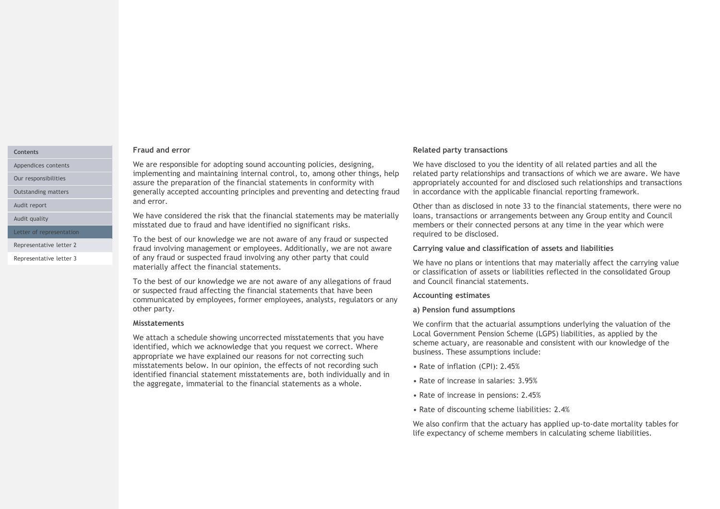### Contents

Appendices contents

Our responsibilities

Audit report

Audit quality

Letter of representation

Representative letter 3

### Fraud and error

We are responsible for adopting sound accounting policies, designing, implementing and maintaining internal control, to, among other things, help assure the preparation of the financial statements in conformity with Outstanding matters **the accounting of the Counting principles** and preventing and detecting fraud in accordance with t and error.

> We have considered the risk that the financial statements may be materially misstated due to fraud and have identified no significant risks.

To the best of our knowledge we are not aware of any fraud or suspected Representative letter 2 **1988** fraud involving management or employees. Additionally, we are not aware **Carrying value an** of any fraud or suspected fraud involving any other party that could materially affect the financial statements.

> To the best of our knowledge we are not aware of any allegations of fraud or suspected fraud affecting the financial statements that have been communicated by employees, former employees, analysts, regulators or any other party.

### Misstatements

We attach a schedule showing uncorrected misstatements that you have identified, which we acknowledge that you request we correct. Where appropriate we have explained our reasons for not correcting such misstatements below. In our opinion, the effects of not recording such identified financial statement misstatements are, both individually and in the aggregate, immaterial to the financial statements as a whole.

# Related party transactions

We have disclosed to you the identity of all related parties and all the related party relationships and transactions of which we are aware. We have appropriately accounted for and disclosed such relationships and transactions in accordance with the applicable financial reporting framework.

Other than as disclosed in note 33 to the financial statements, there were no loans, transactions or arrangements between any Group entity and Council members or their connected persons at any time in the year which were required to be disclosed.

### Carrying value and classification of assets and liabilities

We have no plans or intentions that may materially affect the carrying value or classification of assets or liabilities reflected in the consolidated Group and Council financial statements.

# Accounting estimates

# a) Pension fund assumptions

We confirm that the actuarial assumptions underlying the valuation of the Local Government Pension Scheme (LGPS) liabilities, as applied by the scheme actuary, are reasonable and consistent with our knowledge of the business. These assumptions include:

- Rate of inflation (CPI): 2.45%
- Rate of increase in salaries: 3.95%
- Rate of increase in pensions: 2.45%
- Rate of discounting scheme liabilities: 2.4%

We also confirm that the actuary has applied up-to-date mortality tables for life expectancy of scheme members in calculating scheme liabilities.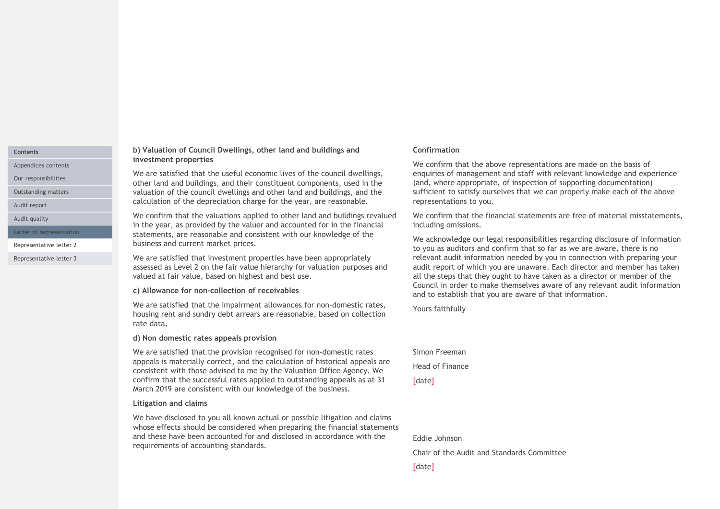### Contents

Appendices contents

Our responsibilities

Audit report

Representative letter 3

### b) Valuation of Council Dwellings, other land and buildings and investment properties

We are satisfied that the useful economic lives of the council dwellings, other land and buildings, and their constituent components, used in the valuation of the council dwellings and other land and buildings, and the Outstanding matters calculation of the depreciation charge for the year, are reasonable.

We confirm that the valuations applied to other land and buildings revalued in the properties are the useful and buildings and<br>
We are astistied that the useful economic lives of the council dwellings,<br>
We are astistied that the useful economic lives of the council dwellings,<br>
We are astistied tha Letter of representation **Statements, are reasonable and consistent with our knowledge of the** Mensive Mensive business and current market prices. Representative letter 2 Audit quality **Audit controlled to the Venerical** We confirm that the valuations applied to other land and buildings revality<br>in the vear, as provided by the valuer and accounted for in the financial

We are satisfied that investment properties have been appropriately assessed as Level 2 on the fair value hierarchy for valuation purposes and valued at fair value, based on highest and best use.

### c) Allowance for non-collection of receivables

We are satisfied that the impairment allowances for non-domestic rates, housing rent and sundry debt arrears are reasonable, based on collection rate data.<br>d) Non domestic rates appeals provision

We are satisfied that the provision recognised for non-domestic rates appeals is materially correct, and the calculation of historical appeals are consistent with those advised to me by the Valuation Office Agency. We confirm that the successful rates applied to outstanding appeals as at 31 March 2019 are consistent with our knowledge of the business.

# Litigation and claims

We have disclosed to you all known actual or possible litigation and claims whose effects should be considered when preparing the financial statements and these have been accounted for and disclosed in accordance with the requirements of accounting standards.

# Confirmation

We confirm that the above representations are made on the basis of enquiries of management and staff with relevant knowledge and experience (and, where appropriate, of inspection of supporting documentation) sufficient to satisfy ourselves that we can properly make each of the above representations to you.

We confirm that the financial statements are free of material misstatements, including omissions.

We acknowledge our legal responsibilities regarding disclosure of information to you as auditors and confirm that so far as we are aware, there is no relevant audit information needed by you in connection with preparing your audit report of which you are unaware. Each director and member has taken all the steps that they ought to have taken as a director or member of the Council in order to make themselves aware of any relevant audit information and to establish that you are aware of that information.

Yours faithfully

Simon Freeman Head of Finance [date]

Eddie Johnson

Chair of the Audit and Standards Committee

[date]